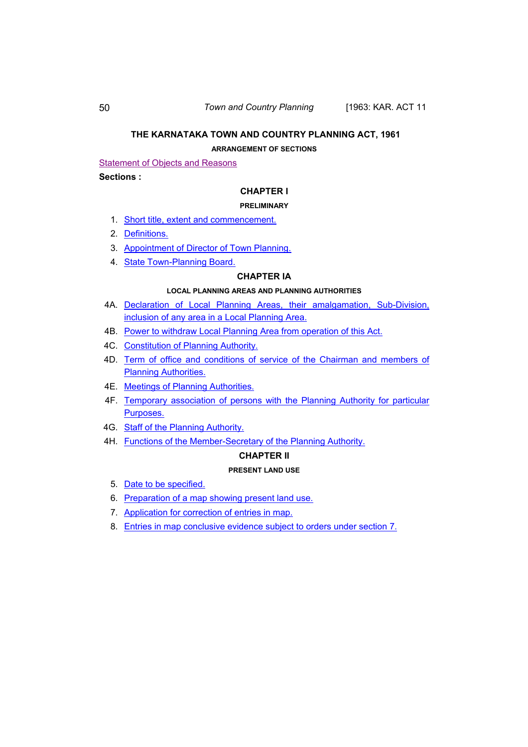#### 50 *Town and Country Planning* [1963: KAR. ACT 11

#### **THE KARNATAKA TOWN AND COUNTRY PLANNING ACT, 1961**

#### **ARRANGEMENT OF SECTIONS**

## Statement of Objects and Reasons

## **Sections :**

## **CHAPTER I**

#### **PRELIMINARY**

- 1. [Short title, extent and commencement.](#page-16-0)
- 2. [Definitions.](#page-16-0)
- 3. [Appointment of Director of Town Planning.](#page-20-0)
- 4. [State Town-Planning Board.](#page-20-0)

### **CHAPTER IA**

#### **LOCAL PLANNING AREAS AND PLANNING AUTHORITIES**

- 4A. [Declaration of Local Planning Areas, their amalgamation, Sub-Division,](#page-20-0)  [inclusion of any area in a Local Planning Area.](#page-20-0)
- 4B. [Power to withdraw Local Planning Area from operation of this Act.](#page-21-0)
- 4C. [Constitution of Planning Authority.](#page-22-0)
- 4D. [Term of office and conditions of service of the Chairman and members of](#page-23-0)  **[Planning Authorities.](#page-23-0)**
- 4E. [Meetings of Planning Authorities.](#page-23-0)
- 4F. [Temporary association of persons with the Planning Authority for particular](#page-24-0)  [Purposes.](#page-24-0)
- 4G. [Staff of the Planning Authority.](#page-24-0)
- 4H. [Functions of the Member-Secretary of the Planning Authority.](#page-24-0)

### **CHAPTER II**

### **PRESENT LAND USE**

- 5. [Date to be specified.](#page-25-0)
- 6. [Preparation of a map showing present land use.](#page-26-0)
- 7. [Application for correction of entries in map.](#page-26-0)
- 8. [Entries in map conclusive evidence subject to orders under section 7.](#page-26-0)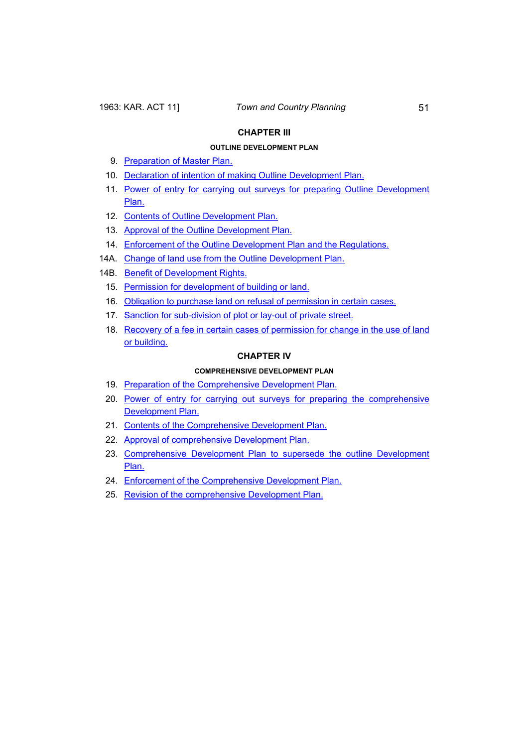## **CHAPTER III**

## **OUTLINE DEVELOPMENT PLAN**

- 9. [Preparation of Master Plan.](#page-26-0)
- 10. [Declaration of intention of making Outline Development Plan.](#page-27-0)
- 11. [Power of entry for carrying out surveys for preparing Outline Development](#page-28-0)  [Plan.](#page-28-0)
- 12. [Contents of Outline Development Plan.](#page-28-0)
- 13. [Approval of the Outline Development Plan.](#page-30-0)
- 14. [Enforcement of the Outline Development Plan and the Regulations.](#page-33-0)
- 14A. [Change of land use from the Outline Development Plan.](#page-34-0)
- 14B. [Benefit of Development Rights.](#page-35-0)
	- 15. [Permission for development of building or land.](#page-38-0)
	- 16. [Obligation to purchase land on refusal of permission in certain cases.](#page-39-0)
	- 17. [Sanction for sub-division of plot or lay-out of private street.](#page-40-0)
	- 18. [Recovery of a fee in certain cases of permission for change in the use of land](#page-41-0)  [or building.](#page-41-0)

#### **CHAPTER IV**

#### **COMPREHENSIVE DEVELOPMENT PLAN**

- 19. [Preparation of the Comprehensive Development Plan.](#page-44-0)
- 20. [Power of entry for carrying out surveys for preparing the comprehensive](#page-44-0)  [Development Plan.](#page-44-0)
- 21. [Contents of the Comprehensive Development Plan.](#page-44-0)
- 22. [Approval of comprehensive Development Plan.](#page-44-0)
- 23. [Comprehensive Development Plan to supersede the outline Development](#page-44-0)  [Plan.](#page-44-0)
- 24. [Enforcement of the Comprehensive Development Plan.](#page-44-0)
- 25. [Revision of the comprehensive Development Plan.](#page-44-0)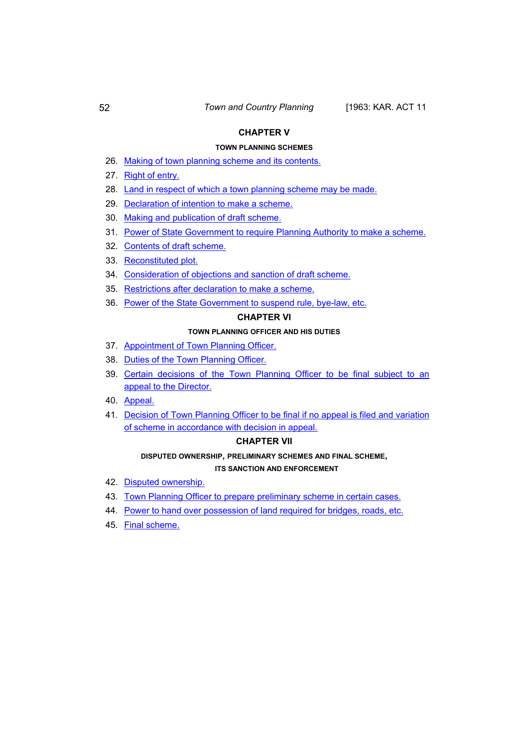### **CHAPTER V**

### **TOWN PLANNING SCHEMES**

- 26. [Making of town planning scheme and its contents.](#page-44-0)
- 27. [Right of entry.](#page-46-0)
- 28. [Land in respect of which a town planning scheme may be made.](#page-46-0)
- 29. [Declaration of intention to make a scheme.](#page-46-0)
- 30. [Making and publication of draft scheme.](#page-47-0)
- 31. [Power of State Government to require Planning Authority to make a scheme.](#page-47-0)
- 32. [Contents of draft scheme.](#page-48-0)
- 33. [Reconstituted plot.](#page-48-0)
- 34. [Consideration of objections and sanction of draft scheme.](#page-49-0)
- 35. [Restrictions after declaration to make a scheme.](#page-49-0)
- 36. [Power of the State Government to suspend rule, bye-law, etc.](#page-52-0)

## **CHAPTER VI**

#### **TOWN PLANNING OFFICER AND HIS DUTIES**

- 37. [Appointment of Town Planning Officer.](#page-52-0)
- 38. [Duties of the Town Planning Officer.](#page-53-0)
- 39. [Certain decisions of the Town Planning Officer to be final subject to an](#page-54-0)  [appeal to the Director.](#page-54-0)
- 40. [Appeal.](#page-55-0)
- 41. [Decision of Town Planning Officer to be final if no appeal is filed and variation](#page-55-0)  [of scheme in accordance with decision in appeal.](#page-55-0)

## **CHAPTER VII**

### **DISPUTED OWNERSHIP, PRELIMINARY SCHEMES AND FINAL SCHEME, ITS SANCTION AND ENFORCEMENT**

- 42. [Disputed ownership.](#page-56-0)
- 43. [Town Planning Officer to prepare preliminary scheme in certain cases.](#page-57-0)
- 44. [Power to hand over possession of land required for bridges, roads, etc.](#page-57-0)
- 45. [Final scheme.](#page-59-0)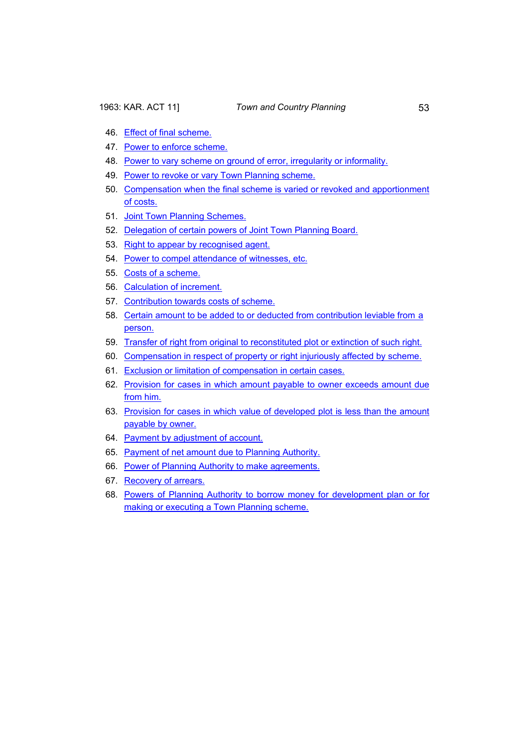- 46. [Effect of final scheme.](#page-59-0)
- 47. [Power to enforce scheme.](#page-60-0)
- 48. [Power to vary scheme on ground of error, irregularity or informality.](#page-60-0)
- 49. [Power to revoke or vary Town Planning scheme.](#page-61-0)
- 50. [Compensation when the final scheme is varied or revoked and apportionment](#page-61-0)  [of costs.](#page-61-0)
- 51. [Joint Town Planning Schemes.](#page-62-0)
- 52. [Delegation of certain powers of Joint Town Planning Board.](#page-63-0)
- 53. [Right to appear by recognised agent.](#page-63-0)
- 54. [Power to compel attendance of witnesses, etc.](#page-63-0)
- 55. [Costs of a scheme.](#page-63-0)
- 56. [Calculation of increment.](#page-64-0)
- 57. [Contribution towards costs of scheme.](#page-64-0)
- 58. [Certain amount to be added to or deducted from contribution leviable from a](#page-65-0)  [person.](#page-65-0)
- 59. [Transfer of right from original to reconstituted plot or extinction of such right.](#page-66-0)
- 60. [Compensation in respect of property or right injuriously affected by scheme.](#page-66-0)
- 61. [Exclusion or limitation of compensation in certain cases.](#page-66-0)
- 62. [Provision for cases in which amount payable to owner exceeds amount due](#page-67-0)  [from him.](#page-67-0)
- 63. [Provision for cases in which value of developed plot is less than the amount](#page-67-0)  [payable by owner.](#page-67-0)
- 64. [Payment by adjustment of account.](#page-67-0)
- 65. [Payment of net amount due to Planning Authority.](#page-68-0)
- 66. [Power of Planning Authority to make agreements.](#page-68-0)
- 67. [Recovery of arrears.](#page-69-0)
- 68. [Powers of Planning Authority to borrow money for development plan or for](#page-69-0)  [making or executing a Town Planning scheme.](#page-69-0)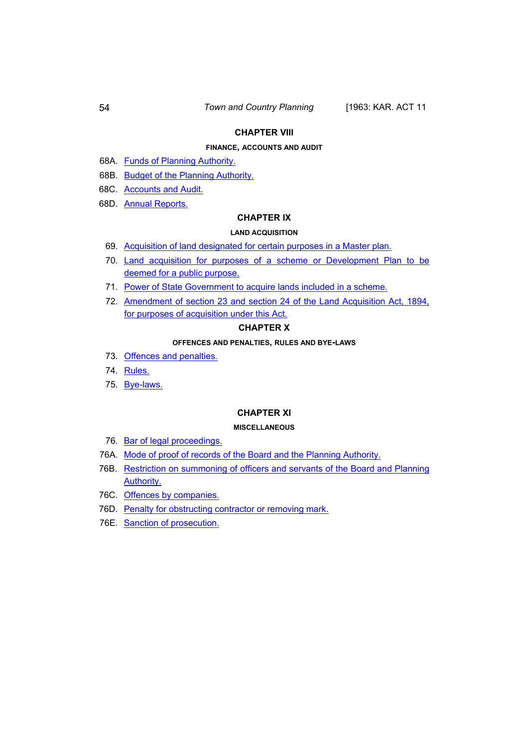### **CHAPTER VIII**

### **FINANCE, ACCOUNTS AND AUDIT**

- 68A. [Funds of Planning Authority.](#page-70-0)
- 68B. [Budget of the Planning Authority.](#page-70-0)
- 68C. [Accounts and Audit.](#page-70-0)
- 68D. [Annual Reports.](#page-71-0)

## **CHAPTER IX**

#### **LAND ACQUISITION**

- 69. [Acquisition of land designated for certain purposes in a Master plan.](#page-71-0)
- 70. [Land acquisition for purposes of a scheme or Development Plan to be](#page-71-0)  [deemed for a public purpose.](#page-71-0)
- 71. [Power of State Government to acquire lands included in a scheme.](#page-72-0)
- 72. [Amendment of section 23 and section 24 of the Land Acquisition Act, 1894,](#page-72-0)  [for purposes of acquisition under this Act.](#page-72-0)

#### **CHAPTER X**

#### **OFFENCES AND PENALTIES, RULES AND BYE-LAWS**

- 73. [Offences and penalties.](#page-75-0)
- 74. [Rules.](#page-76-0)
- 75. [Bye-laws.](#page-81-0)

### **CHAPTER XI**

#### **MISCELLANEOUS**

- 76. [Bar of legal proceedings.](#page-81-0)
- 76A. [Mode of proof of records of the Board and the Planning Authority.](#page-81-0)
- 76B. Restriction on summoning of officers and servants of the Board and Planning [Authority.](#page-82-0)
- 76C. [Offences by companies.](#page-82-0)
- 76D. [Penalty for obstructing contractor or removing mark.](#page-83-0)
- 76E. [Sanction of prosecution.](#page-83-0)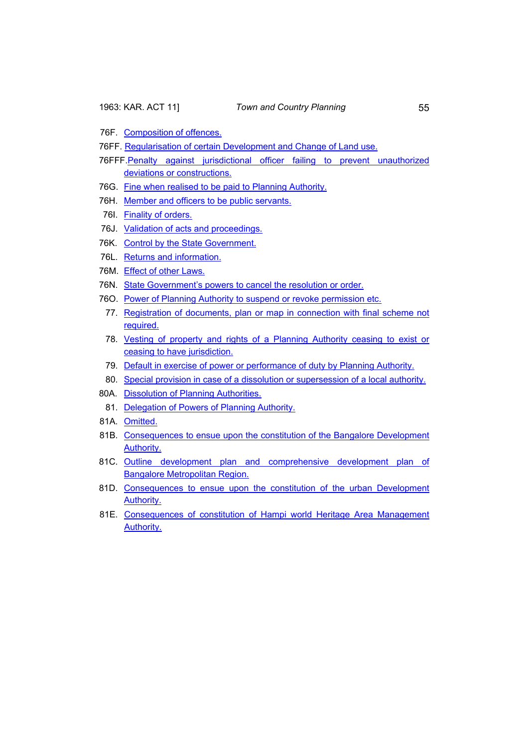- 76F. [Composition of offences.](#page-83-0)
- 76FF. [Regularisation of certain Development and Change of Land use.](#page-83-0)
- 76FFF.[Penalty against jurisdictional officer failing to prevent unauthorized](#page-86-0)  [deviations or constructions.](#page-86-0)
- 76G. [Fine when realised to be paid to Planning Authority.](#page-86-0)
- 76H. [Member and officers to be public servants.](#page-86-0)
- 76I. [Finality of orders.](#page-86-0)
- 76J. [Validation of acts and proceedings.](#page-87-0)
- 76K. [Control by the State Government.](#page-87-0)
- 76L. [Returns and information.](#page-87-0)
- 76M. [Effect of other Laws.](#page-87-0)
- 76N. [State Government's powers to cancel the resolution or order.](#page-88-0)
- 76O. [Power of Planning Authority to suspend or revoke permission etc.](#page-88-0)
	- 77. [Registration of documents, plan or map in connection with final scheme not](#page-89-0)  [required.](#page-89-0)
	- 78. [Vesting of property and rights of a Planning Authority ceasing to exist or](#page-89-0)  [ceasing to have jurisdiction.](#page-89-0)
	- 79. [Default in exercise of power or performance of duty by Planning Authority.](#page-90-0)
	- 80. [Special provision in case of a dissolution or supersession of a local authority.](#page-90-0)
- 80A. [Dissolution of Planning Authorities.](#page-91-0)
- 81. [Delegation of Powers of Planning Authority.](#page-91-0)
- 81A. [Omitted.](#page-91-0)
- 81B. [Consequences to ensue upon the constitution of the Bangalore Development](#page-92-0)  [Authority.](#page-92-0)
- 81C. Outline development plan and comprehensive development plan of [Bangalore Metropolitan Region.](#page-93-0)
- 81D. Consequences to ensue upon the constitution of the urban Development [Authority.](#page-93-0)
- 81E. [Consequences of constitution of Hampi world Heritage Area Management](#page-94-0)  [Authority.](#page-94-0)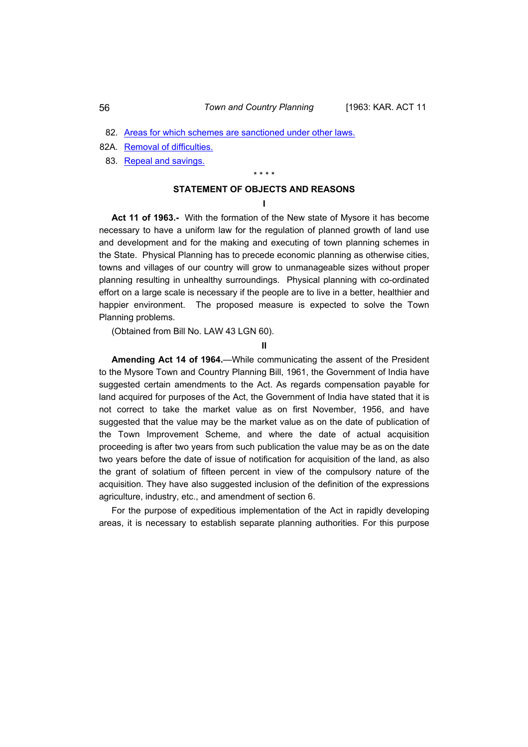- 82. [Areas for which schemes are sanctioned under other laws.](#page-95-0)
- 82A. [Removal of difficulties.](#page-95-0)
- 83. [Repeal and savings.](#page-96-0)

\* \* \* \*

## **STATEMENT OF OBJECTS AND REASONS**

**I** 

**Act 11 of 1963.-** With the formation of the New state of Mysore it has become necessary to have a uniform law for the regulation of planned growth of land use and development and for the making and executing of town planning schemes in the State. Physical Planning has to precede economic planning as otherwise cities, towns and villages of our country will grow to unmanageable sizes without proper planning resulting in unhealthy surroundings. Physical planning with co-ordinated effort on a large scale is necessary if the people are to live in a better, healthier and happier environment. The proposed measure is expected to solve the Town Planning problems.

(Obtained from Bill No. LAW 43 LGN 60).

**II** 

**Amending Act 14 of 1964.**—While communicating the assent of the President to the Mysore Town and Country Planning Bill, 1961, the Government of India have suggested certain amendments to the Act. As regards compensation payable for land acquired for purposes of the Act, the Government of India have stated that it is not correct to take the market value as on first November, 1956, and have suggested that the value may be the market value as on the date of publication of the Town Improvement Scheme, and where the date of actual acquisition proceeding is after two years from such publication the value may be as on the date two years before the date of issue of notification for acquisition of the land, as also the grant of solatium of fifteen percent in view of the compulsory nature of the acquisition. They have also suggested inclusion of the definition of the expressions agriculture, industry, etc., and amendment of section 6.

For the purpose of expeditious implementation of the Act in rapidly developing areas, it is necessary to establish separate planning authorities. For this purpose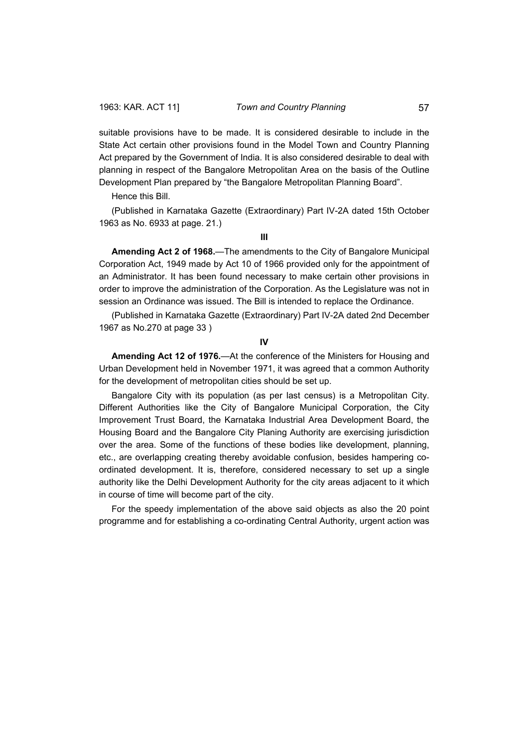suitable provisions have to be made. It is considered desirable to include in the State Act certain other provisions found in the Model Town and Country Planning Act prepared by the Government of India. It is also considered desirable to deal with planning in respect of the Bangalore Metropolitan Area on the basis of the Outline Development Plan prepared by "the Bangalore Metropolitan Planning Board".

Hence this Bill.

(Published in Karnataka Gazette (Extraordinary) Part IV-2A dated 15th October 1963 as No. 6933 at page. 21.)

**III** 

**Amending Act 2 of 1968.**—The amendments to the City of Bangalore Municipal Corporation Act, 1949 made by Act 10 of 1966 provided only for the appointment of an Administrator. It has been found necessary to make certain other provisions in order to improve the administration of the Corporation. As the Legislature was not in session an Ordinance was issued. The Bill is intended to replace the Ordinance.

(Published in Karnataka Gazette (Extraordinary) Part IV-2A dated 2nd December 1967 as No.270 at page 33 )

**IV** 

**Amending Act 12 of 1976.**—At the conference of the Ministers for Housing and Urban Development held in November 1971, it was agreed that a common Authority for the development of metropolitan cities should be set up.

Bangalore City with its population (as per last census) is a Metropolitan City. Different Authorities like the City of Bangalore Municipal Corporation, the City Improvement Trust Board, the Karnataka Industrial Area Development Board, the Housing Board and the Bangalore City Planing Authority are exercising jurisdiction over the area. Some of the functions of these bodies like development, planning, etc., are overlapping creating thereby avoidable confusion, besides hampering coordinated development. It is, therefore, considered necessary to set up a single authority like the Delhi Development Authority for the city areas adjacent to it which in course of time will become part of the city.

For the speedy implementation of the above said objects as also the 20 point programme and for establishing a co-ordinating Central Authority, urgent action was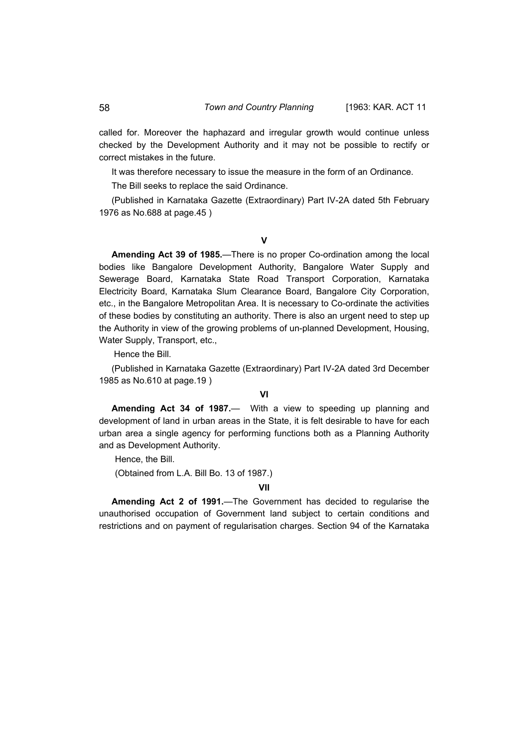called for. Moreover the haphazard and irregular growth would continue unless checked by the Development Authority and it may not be possible to rectify or correct mistakes in the future.

It was therefore necessary to issue the measure in the form of an Ordinance.

The Bill seeks to replace the said Ordinance.

(Published in Karnataka Gazette (Extraordinary) Part IV-2A dated 5th February 1976 as No.688 at page.45 )

## **V**

**Amending Act 39 of 1985.**—There is no proper Co-ordination among the local bodies like Bangalore Development Authority, Bangalore Water Supply and Sewerage Board, Karnataka State Road Transport Corporation, Karnataka Electricity Board, Karnataka Slum Clearance Board, Bangalore City Corporation, etc., in the Bangalore Metropolitan Area. It is necessary to Co-ordinate the activities of these bodies by constituting an authority. There is also an urgent need to step up the Authority in view of the growing problems of un-planned Development, Housing, Water Supply, Transport, etc.,

Hence the Bill.

(Published in Karnataka Gazette (Extraordinary) Part IV-2A dated 3rd December 1985 as No.610 at page.19 )

## **VI**

**Amending Act 34 of 1987.**— With a view to speeding up planning and development of land in urban areas in the State, it is felt desirable to have for each urban area a single agency for performing functions both as a Planning Authority and as Development Authority.

Hence, the Bill.

(Obtained from L.A. Bill Bo. 13 of 1987.)

### **VII**

**Amending Act 2 of 1991.**—The Government has decided to regularise the unauthorised occupation of Government land subject to certain conditions and restrictions and on payment of regularisation charges. Section 94 of the Karnataka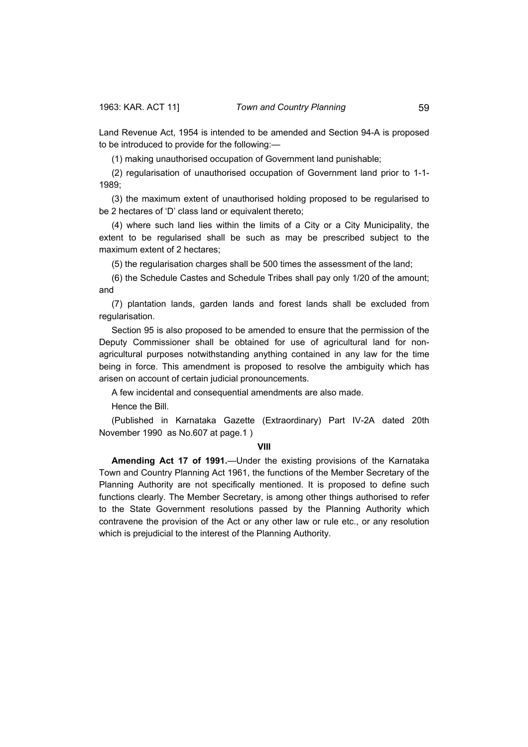Land Revenue Act, 1954 is intended to be amended and Section 94-A is proposed to be introduced to provide for the following:—

(1) making unauthorised occupation of Government land punishable;

(2) regularisation of unauthorised occupation of Government land prior to 1-1- 1989;

(3) the maximum extent of unauthorised holding proposed to be regularised to be 2 hectares of 'D' class land or equivalent thereto;

(4) where such land lies within the limits of a City or a City Municipality, the extent to be regularised shall be such as may be prescribed subject to the maximum extent of 2 hectares;

(5) the regularisation charges shall be 500 times the assessment of the land;

(6) the Schedule Castes and Schedule Tribes shall pay only 1/20 of the amount; and

(7) plantation lands, garden lands and forest lands shall be excluded from regularisation.

Section 95 is also proposed to be amended to ensure that the permission of the Deputy Commissioner shall be obtained for use of agricultural land for nonagricultural purposes notwithstanding anything contained in any law for the time being in force. This amendment is proposed to resolve the ambiguity which has arisen on account of certain judicial pronouncements.

A few incidental and consequential amendments are also made.

Hence the Bill.

(Published in Karnataka Gazette (Extraordinary) Part IV-2A dated 20th November 1990 as No.607 at page.1 )

#### **VIII**

**Amending Act 17 of 1991.**—Under the existing provisions of the Karnataka Town and Country Planning Act 1961, the functions of the Member Secretary of the Planning Authority are not specifically mentioned. It is proposed to define such functions clearly. The Member Secretary, is among other things authorised to refer to the State Government resolutions passed by the Planning Authority which contravene the provision of the Act or any other law or rule etc., or any resolution which is prejudicial to the interest of the Planning Authority.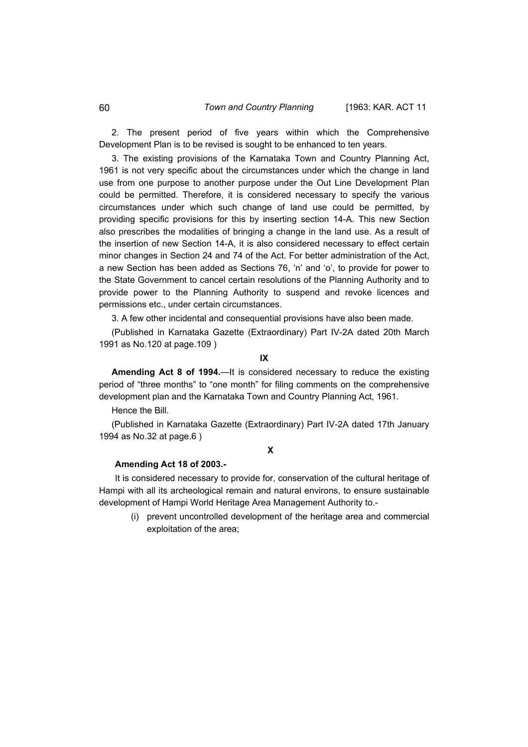2. The present period of five years within which the Comprehensive Development Plan is to be revised is sought to be enhanced to ten years.

3. The existing provisions of the Karnataka Town and Country Planning Act, 1961 is not very specific about the circumstances under which the change in land use from one purpose to another purpose under the Out Line Development Plan could be permitted. Therefore, it is considered necessary to specify the various circumstances under which such change of land use could be permitted, by providing specific provisions for this by inserting section 14-A. This new Section also prescribes the modalities of bringing a change in the land use. As a result of the insertion of new Section 14-A, it is also considered necessary to effect certain minor changes in Section 24 and 74 of the Act. For better administration of the Act, a new Section has been added as Sections 76, 'n' and 'o', to provide for power to the State Government to cancel certain resolutions of the Planning Authority and to provide power to the Planning Authority to suspend and revoke licences and permissions etc., under certain circumstances.

3. A few other incidental and consequential provisions have also been made.

(Published in Karnataka Gazette (Extraordinary) Part IV-2A dated 20th March 1991 as No.120 at page.109 )

**IX** 

**Amending Act 8 of 1994.**—It is considered necessary to reduce the existing period of "three months" to "one month" for filing comments on the comprehensive development plan and the Karnataka Town and Country Planning Act, 1961.

Hence the Bill.

(Published in Karnataka Gazette (Extraordinary) Part IV-2A dated 17th January 1994 as No.32 at page.6 )

## **X**

#### **Amending Act 18 of 2003.-**

It is considered necessary to provide for, conservation of the cultural heritage of Hampi with all its archeological remain and natural environs, to ensure sustainable development of Hampi World Heritage Area Management Authority to.-

(i) prevent uncontrolled development of the heritage area and commercial exploitation of the area;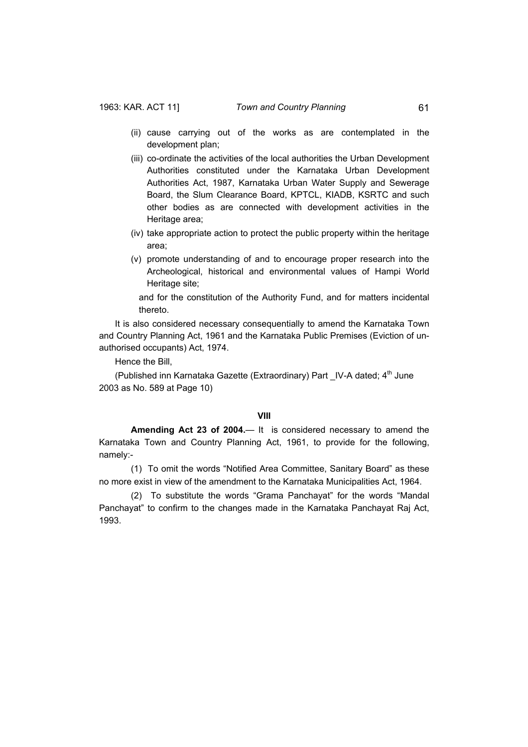- (ii) cause carrying out of the works as are contemplated in the development plan;
- (iii) co-ordinate the activities of the local authorities the Urban Development Authorities constituted under the Karnataka Urban Development Authorities Act, 1987, Karnataka Urban Water Supply and Sewerage Board, the Slum Clearance Board, KPTCL, KIADB, KSRTC and such other bodies as are connected with development activities in the Heritage area;
- (iv) take appropriate action to protect the public property within the heritage area;
- (v) promote understanding of and to encourage proper research into the Archeological, historical and environmental values of Hampi World Heritage site;

and for the constitution of the Authority Fund, and for matters incidental thereto.

It is also considered necessary consequentially to amend the Karnataka Town and Country Planning Act, 1961 and the Karnataka Public Premises (Eviction of unauthorised occupants) Act, 1974.

Hence the Bill,

(Published inn Karnataka Gazette (Extraordinary) Part IV-A dated; 4<sup>th</sup> June 2003 as No. 589 at Page 10)

#### **VIII**

 **Amending Act 23 of 2004.**— It is considered necessary to amend the Karnataka Town and Country Planning Act, 1961, to provide for the following, namely:-

 (1) To omit the words "Notified Area Committee, Sanitary Board" as these no more exist in view of the amendment to the Karnataka Municipalities Act, 1964.

 (2) To substitute the words "Grama Panchayat" for the words "Mandal Panchayat" to confirm to the changes made in the Karnataka Panchayat Raj Act, 1993.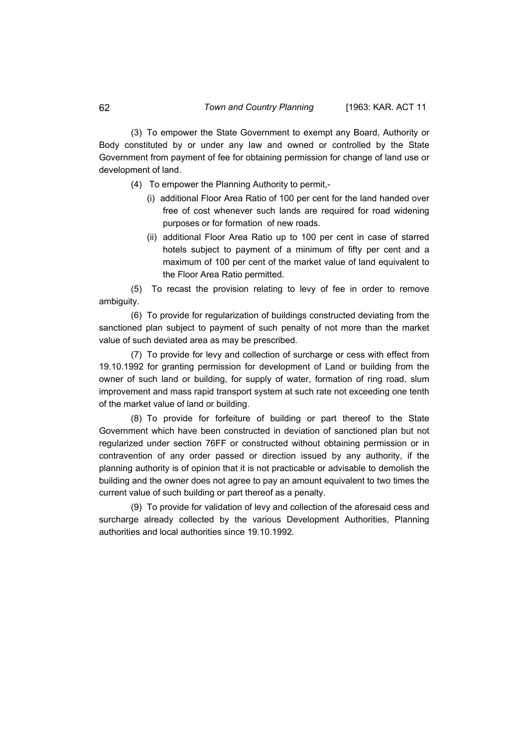(3) To empower the State Government to exempt any Board, Authority or Body constituted by or under any law and owned or controlled by the State Government from payment of fee for obtaining permission for change of land use or development of land.

(4) To empower the Planning Authority to permit,-

- (i) additional Floor Area Ratio of 100 per cent for the land handed over free of cost whenever such lands are required for road widening purposes or for formation of new roads.
- (ii) additional Floor Area Ratio up to 100 per cent in case of starred hotels subject to payment of a minimum of fifty per cent and a maximum of 100 per cent of the market value of land equivalent to the Floor Area Ratio permitted.

 (5) To recast the provision relating to levy of fee in order to remove ambiguity.

 (6) To provide for regularization of buildings constructed deviating from the sanctioned plan subject to payment of such penalty of not more than the market value of such deviated area as may be prescribed.

 (7) To provide for levy and collection of surcharge or cess with effect from 19.10.1992 for granting permission for development of Land or building from the owner of such land or building, for supply of water, formation of ring road, slum improvement and mass rapid transport system at such rate not exceeding one tenth of the market value of land or building.

 (8) To provide for forfeiture of building or part thereof to the State Government which have been constructed in deviation of sanctioned plan but not regularized under section 76FF or constructed without obtaining permission or in contravention of any order passed or direction issued by any authority, if the planning authority is of opinion that it is not practicable or advisable to demolish the building and the owner does not agree to pay an amount equivalent to two times the current value of such building or part thereof as a penalty.

 (9) To provide for validation of levy and collection of the aforesaid cess and surcharge already collected by the various Development Authorities, Planning authorities and local authorities since 19.10.1992.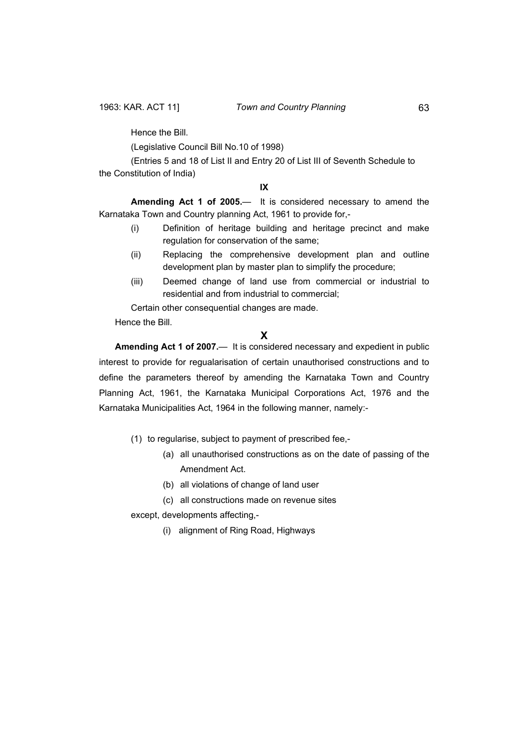Hence the Bill.

(Legislative Council Bill No.10 of 1998)

 (Entries 5 and 18 of List II and Entry 20 of List III of Seventh Schedule to the Constitution of India)

#### **IX**

**Amending Act 1 of 2005.**— It is considered necessary to amend the Karnataka Town and Country planning Act, 1961 to provide for,-

- (i) Definition of heritage building and heritage precinct and make regulation for conservation of the same;
- (ii) Replacing the comprehensive development plan and outline development plan by master plan to simplify the procedure;
- (iii) Deemed change of land use from commercial or industrial to residential and from industrial to commercial;

Certain other consequential changes are made.

Hence the Bill.

## **X**

**Amending Act 1 of 2007.**— It is considered necessary and expedient in public interest to provide for regualarisation of certain unauthorised constructions and to define the parameters thereof by amending the Karnataka Town and Country Planning Act, 1961, the Karnataka Municipal Corporations Act, 1976 and the Karnataka Municipalities Act, 1964 in the following manner, namely:-

- (1) to regularise, subject to payment of prescribed fee,-
	- (a) all unauthorised constructions as on the date of passing of the Amendment Act.
	- (b) all violations of change of land user
	- (c) all constructions made on revenue sites
- except, developments affecting,-
	- (i) alignment of Ring Road, Highways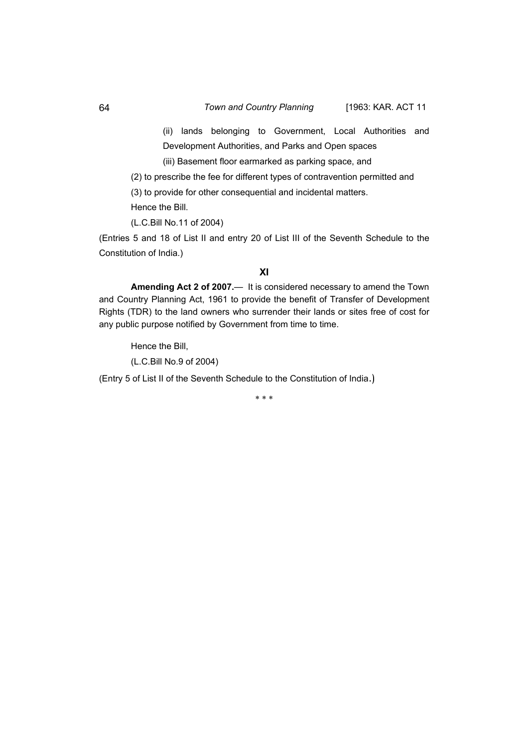#### 64 *Town and Country Planning* [1963: KAR. ACT 11

(ii) lands belonging to Government, Local Authorities and Development Authorities, and Parks and Open spaces

(iii) Basement floor earmarked as parking space, and

 (2) to prescribe the fee for different types of contravention permitted and (3) to provide for other consequential and incidental matters.

Hence the Bill.

(L.C.Bill No.11 of 2004)

(Entries 5 and 18 of List II and entry 20 of List III of the Seventh Schedule to the Constitution of India.)

## **XI**

**Amending Act 2 of 2007.**— It is considered necessary to amend the Town and Country Planning Act, 1961 to provide the benefit of Transfer of Development Rights (TDR) to the land owners who surrender their lands or sites free of cost for any public purpose notified by Government from time to time.

Hence the Bill,

(L.C.Bill No.9 of 2004)

(Entry 5 of List II of the Seventh Schedule to the Constitution of India.)

\* \* \*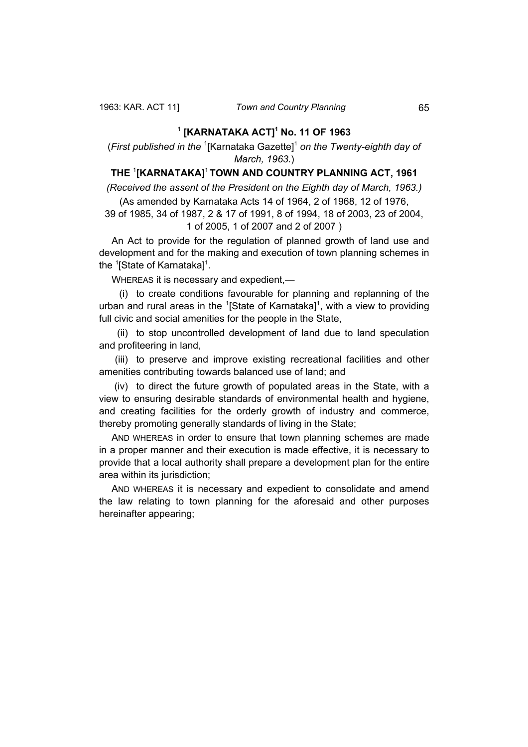## **1 [KARNATAKA ACT]<sup>1</sup> No. 11 OF 1963**

(First published in the <sup>1</sup>[Karnataka Gazette]<sup>1</sup> on the Twenty-eighth day of *March, 1963.*)

# **THE** <sup>1</sup> **[KARNATAKA]**<sup>1</sup>**TOWN AND COUNTRY PLANNING ACT, 1961**

*(Received the assent of the President on the Eighth day of March, 1963.)* (As amended by Karnataka Acts 14 of 1964, 2 of 1968, 12 of 1976,

39 of 1985, 34 of 1987, 2 & 17 of 1991, 8 of 1994, 18 of 2003, 23 of 2004, 1 of 2005, 1 of 2007 and 2 of 2007 )

An Act to provide for the regulation of planned growth of land use and development and for the making and execution of town planning schemes in the  $\mathrm{^1}$ [State of Karnataka] $\mathrm{^1}$ .

WHEREAS it is necessary and expedient,—

 (i) to create conditions favourable for planning and replanning of the urban and rural areas in the  $\textsuperscript{1}[\text{State of Karnataka}]$ <sup>1</sup>, with a view to providing full civic and social amenities for the people in the State,

 (ii) to stop uncontrolled development of land due to land speculation and profiteering in land,

 (iii) to preserve and improve existing recreational facilities and other amenities contributing towards balanced use of land; and

 (iv) to direct the future growth of populated areas in the State, with a view to ensuring desirable standards of environmental health and hygiene, and creating facilities for the orderly growth of industry and commerce, thereby promoting generally standards of living in the State;

AND WHEREAS in order to ensure that town planning schemes are made in a proper manner and their execution is made effective, it is necessary to provide that a local authority shall prepare a development plan for the entire area within its jurisdiction;

AND WHEREAS it is necessary and expedient to consolidate and amend the law relating to town planning for the aforesaid and other purposes hereinafter appearing;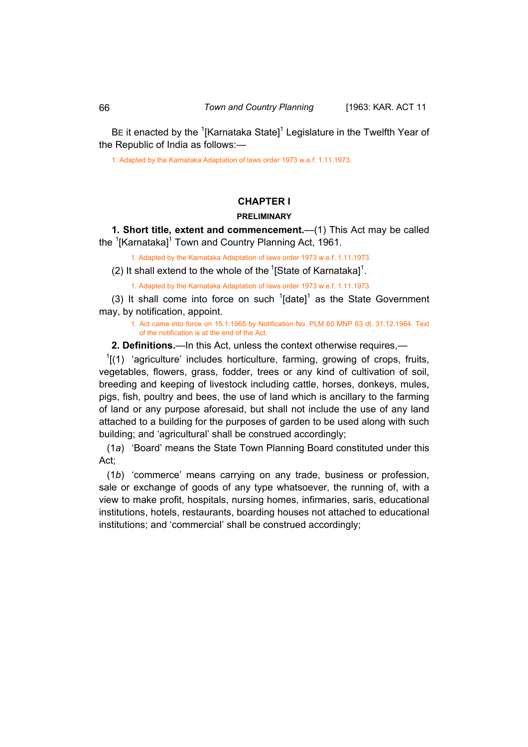BE it enacted by the  $\mathrm{1}^1$ [Karnataka State] $\mathrm{1}^1$  Legislature in the Twelfth Year of the Republic of India as follows:—

1. Adapted by the Karnataka Adaptation of laws order 1973 w.e.f. 1.11.1973.

# **CHAPTER I**

## **PRELIMINARY**

**1. Short title, extent and commencement.**—(1) This Act may be called the <sup>1</sup>[Karnataka]<sup>1</sup> Town and Country Planning Act, 1961.

1. Adapted by the Karnataka Adaptation of laws order 1973 w.e.f. 1.11.1973.

(2) It shall extend to the whole of the  $\mathrm{I}^1$ [State of Karnataka] $\mathrm{I}^1$ .

1. Adapted by the Karnataka Adaptation of laws order 1973 w.e.f. 1.11.1973.

(3) It shall come into force on such  $1$ [date]<sup>1</sup> as the State Government may, by notification, appoint.

 1. Act came into force on 15.1.1965 by Notification No. PLM 60 MNP 63 dt. 31.12.1964. Text of the notification is at the end of the Act.

**2. Definitions.**—In this Act, unless the context otherwise requires,—

 $1$ [(1) 'agriculture' includes horticulture, farming, growing of crops, fruits, vegetables, flowers, grass, fodder, trees or any kind of cultivation of soil, breeding and keeping of livestock including cattle, horses, donkeys, mules, pigs, fish, poultry and bees, the use of land which is ancillary to the farming of land or any purpose aforesaid, but shall not include the use of any land attached to a building for the purposes of garden to be used along with such building; and 'agricultural' shall be construed accordingly;

 (1*a*) 'Board' means the State Town Planning Board constituted under this Act;

 (1*b*) 'commerce' means carrying on any trade, business or profession, sale or exchange of goods of any type whatsoever, the running of, with a view to make profit, hospitals, nursing homes, infirmaries, saris, educational institutions, hotels, restaurants, boarding houses not attached to educational institutions; and 'commercial' shall be construed accordingly;

<span id="page-16-0"></span>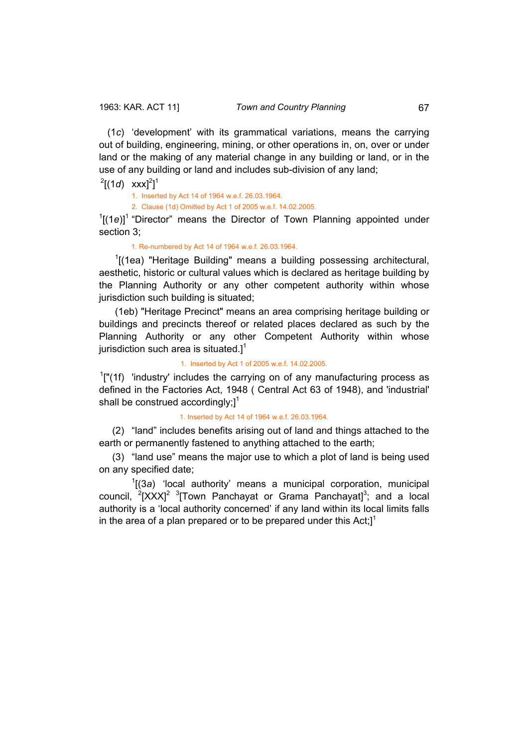(1*c*) 'development' with its grammatical variations, means the carrying out of building, engineering, mining, or other operations in, on, over or under land or the making of any material change in any building or land, or in the use of any building or land and includes sub-division of any land;

 $^{2}[(1d)$  xxx]<sup>2</sup>]<sup>1</sup>

1. Inserted by Act 14 of 1964 w.e.f. 26.03.1964.

2. Clause (1d) Omitted by Act 1 of 2005 w.e.f. 14.02.2005.

 $1[(1e)]$ <sup>1</sup> "Director" means the Director of Town Planning appointed under section 3;

1. Re-numbered by Act 14 of 1964 w.e.f. 26.03.1964.

<sup>1</sup>[(1ea) "Heritage Building" means a building possessing architectural, aesthetic, historic or cultural values which is declared as heritage building by the Planning Authority or any other competent authority within whose jurisdiction such building is situated;

 (1eb) "Heritage Precinct" means an area comprising heritage building or buildings and precincts thereof or related places declared as such by the Planning Authority or any other Competent Authority within whose jurisdiction such area is situated. $]$ <sup>1</sup>

1. Inserted by Act 1 of 2005 w.e.f. 14.02.2005.

 $1$ ["(1f) 'industry' includes the carrying on of any manufacturing process as defined in the Factories Act, 1948 ( Central Act 63 of 1948), and 'industrial' shall be construed accordingly; $]^{1}$ 

1. Inserted by Act 14 of 1964 w.e.f. 26.03.1964.

 (2) "land" includes benefits arising out of land and things attached to the earth or permanently fastened to anything attached to the earth;

 (3) "land use" means the major use to which a plot of land is being used on any specified date;

 $\overline{1}$ [(3*a*) 'local authority' means a municipal corporation, municipal council,  $2[XXX]^2$  3<sup>T</sup>own Panchayat or Grama Panchayat]<sup>3</sup>; and a local authority is a 'local authority concerned' if any land within its local limits falls in the area of a plan prepared or to be prepared under this  $Act;$ <sup>1</sup>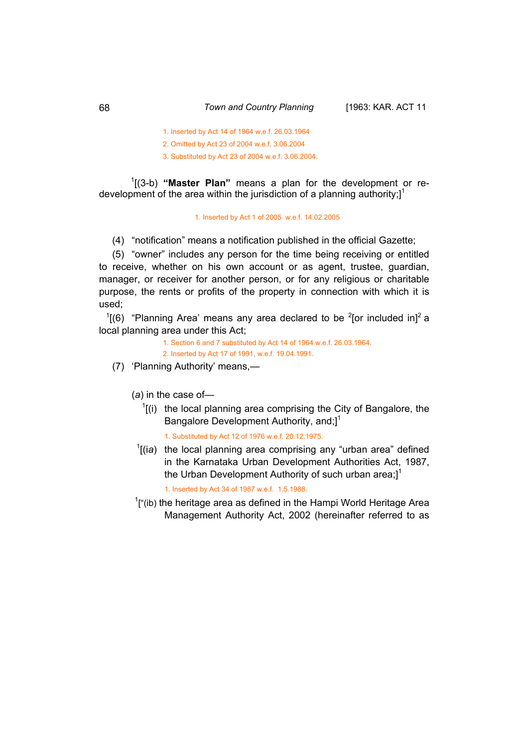1. Inserted by Act 14 of 1964 w.e.f. 26.03.1964

2. Omitted by Act 23 of 2004 w.e.f. 3.06.2004

3. Substituted by Act 23 of 2004 w.e.f. 3.06.2004.

1 [(3-b) **"Master Plan"** means a plan for the development or redevelopment of the area within the jurisdiction of a planning authority; $l^1$ 

### 1. Inserted by Act 1 of 2005 w.e.f. 14.02.2005

(4) "notification" means a notification published in the official Gazette;

 (5) "owner" includes any person for the time being receiving or entitled to receive, whether on his own account or as agent, trustee, guardian, manager, or receiver for another person, or for any religious or charitable purpose, the rents or profits of the property in connection with which it is used;

 $1(6)$  "Planning Area' means any area declared to be <sup>2</sup>[or included in]<sup>2</sup> a local planning area under this Act;

> 1. Section 6 and 7 substituted by Act 14 of 1964 w.e.f. 26.03.1964. 2. Inserted by Act 17 of 1991, w.e.f. 19.04.1991.

(7) 'Planning Authority' means,—

(*a*) in the case of—

 $<sup>1</sup>$ [(i) the local planning area comprising the City of Bangalore, the</sup> Bangalore Development Authority, and;]<sup>1</sup>

1. Substituted by Act 12 of 1976 w.e.f. 20.12.1975.

<sup>1</sup>[(ia) the local planning area comprising any "urban area" defined in the Karnataka Urban Development Authorities Act, 1987, the Urban Development Authority of such urban area; $l^1$ 

1. Inserted by Act 34 of 1987 w.e.f. 1.5.1988.

 $\overline{1}$  $I^{\text{f}}$ (ib) the heritage area as defined in the Hampi World Heritage Area Management Authority Act, 2002 (hereinafter referred to as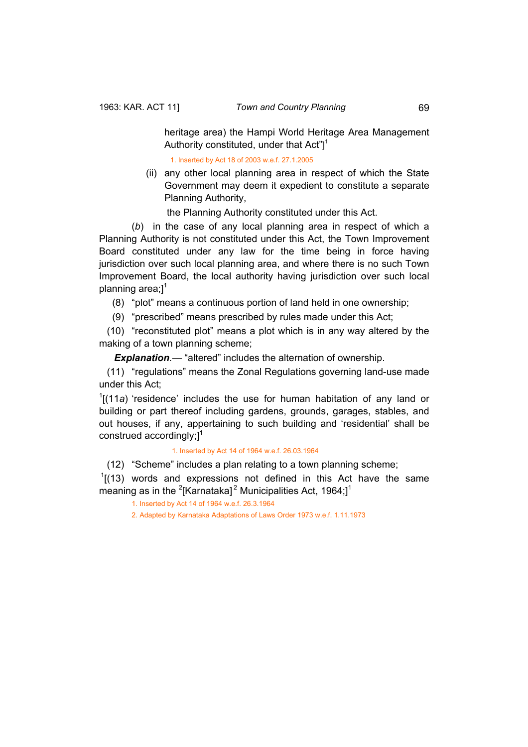heritage area) the Hampi World Heritage Area Management Authority constituted, under that Act"] $1$ 

1. Inserted by Act 18 of 2003 w.e.f. 27.1.2005

 (ii) any other local planning area in respect of which the State Government may deem it expedient to constitute a separate Planning Authority,

the Planning Authority constituted under this Act.

 (*b*) in the case of any local planning area in respect of which a Planning Authority is not constituted under this Act, the Town Improvement Board constituted under any law for the time being in force having jurisdiction over such local planning area, and where there is no such Town Improvement Board, the local authority having jurisdiction over such local planning area; $]$ <sup>1</sup>

(8) "plot" means a continuous portion of land held in one ownership;

(9) "prescribed" means prescribed by rules made under this Act;

 (10) "reconstituted plot" means a plot which is in any way altered by the making of a town planning scheme;

*Explanation.*— "altered" includes the alternation of ownership.

 (11) "regulations" means the Zonal Regulations governing land-use made under this Act;

<sup>1</sup>[(11*a*) 'residence' includes the use for human habitation of any land or building or part thereof including gardens, grounds, garages, stables, and out houses, if any, appertaining to such building and 'residential' shall be construed accordingly: $1^1$ 

1. Inserted by Act 14 of 1964 w.e.f. 26.03.1964

(12) "Scheme" includes a plan relating to a town planning scheme;

 $1$ [(13) words and expressions not defined in this Act have the same meaning as in the <sup>2</sup>[Karnataka]<sup>2</sup> Municipalities Act, 1964;]<sup>1</sup>

1. Inserted by Act 14 of 1964 w.e.f. 26.3.1964

2. Adapted by Karnataka Adaptations of Laws Order 1973 w.e.f. 1.11.1973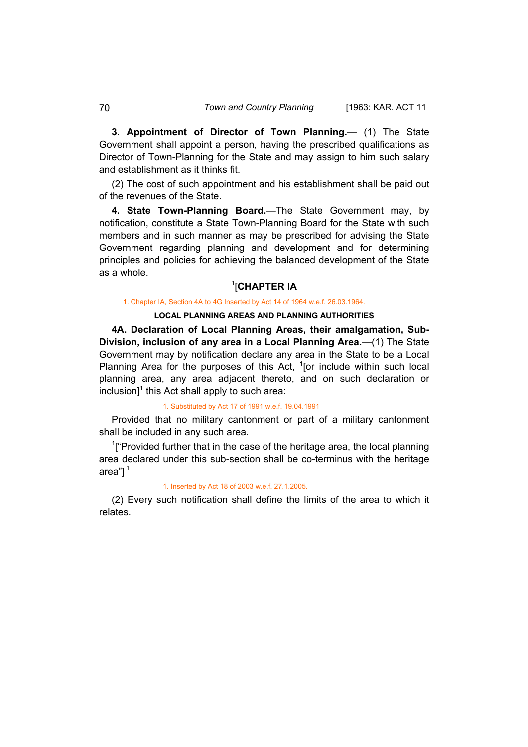**3. Appointment of Director of Town Planning.**— (1) The State Government shall appoint a person, having the prescribed qualifications as Director of Town-Planning for the State and may assign to him such salary and establishment as it thinks fit.

(2) The cost of such appointment and his establishment shall be paid out of the revenues of the State.

**4. State Town-Planning Board.**—The State Government may, by notification, constitute a State Town-Planning Board for the State with such members and in such manner as may be prescribed for advising the State Government regarding planning and development and for determining principles and policies for achieving the balanced development of the State as a whole.

## 1 [**CHAPTER IA**

#### 1. Chapter IA, Section 4A to 4G Inserted by Act 14 of 1964 w.e.f. 26.03.1964.

## **LOCAL PLANNING AREAS AND PLANNING AUTHORITIES**

**4A. Declaration of Local Planning Areas, their amalgamation, Sub-Division, inclusion of any area in a Local Planning Area.**—(1) The State Government may by notification declare any area in the State to be a Local Planning Area for the purposes of this Act,  $1$ [or include within such local planning area, any area adjacent thereto, and on such declaration or  $inclusion$ <sup>1</sup> this Act shall apply to such area:

#### 1. Substituted by Act 17 of 1991 w.e.f. 19.04.1991

Provided that no military cantonment or part of a military cantonment shall be included in any such area.

<sup>1</sup>["Provided further that in the case of the heritage area, the local planning area declared under this sub-section shall be co-terminus with the heritage area" $1<sup>1</sup>$ 

### 1. Inserted by Act 18 of 2003 w.e.f. 27.1.2005.

(2) Every such notification shall define the limits of the area to which it relates.

<span id="page-20-0"></span>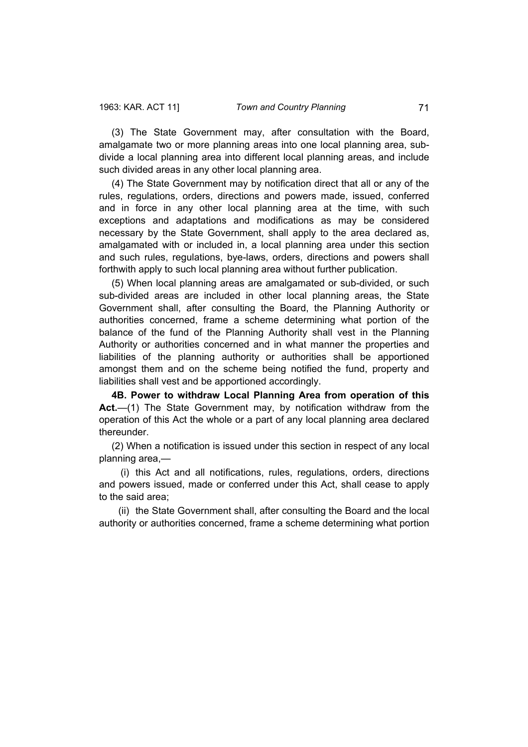<span id="page-21-0"></span>(3) The State Government may, after consultation with the Board, amalgamate two or more planning areas into one local planning area, subdivide a local planning area into different local planning areas, and include such divided areas in any other local planning area.

(4) The State Government may by notification direct that all or any of the rules, regulations, orders, directions and powers made, issued, conferred and in force in any other local planning area at the time, with such exceptions and adaptations and modifications as may be considered necessary by the State Government, shall apply to the area declared as, amalgamated with or included in, a local planning area under this section and such rules, regulations, bye-laws, orders, directions and powers shall forthwith apply to such local planning area without further publication.

(5) When local planning areas are amalgamated or sub-divided, or such sub-divided areas are included in other local planning areas, the State Government shall, after consulting the Board, the Planning Authority or authorities concerned, frame a scheme determining what portion of the balance of the fund of the Planning Authority shall vest in the Planning Authority or authorities concerned and in what manner the properties and liabilities of the planning authority or authorities shall be apportioned amongst them and on the scheme being notified the fund, property and liabilities shall vest and be apportioned accordingly.

**4B. Power to withdraw Local Planning Area from operation of this Act.**—(1) The State Government may, by notification withdraw from the operation of this Act the whole or a part of any local planning area declared thereunder.

(2) When a notification is issued under this section in respect of any local planning area,—

 (i) this Act and all notifications, rules, regulations, orders, directions and powers issued, made or conferred under this Act, shall cease to apply to the said area;

 (ii) the State Government shall, after consulting the Board and the local authority or authorities concerned, frame a scheme determining what portion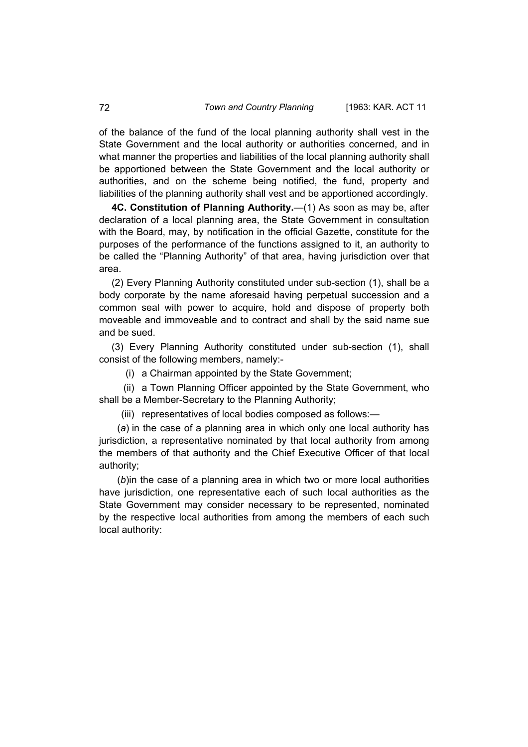of the balance of the fund of the local planning authority shall vest in the State Government and the local authority or authorities concerned, and in what manner the properties and liabilities of the local planning authority shall be apportioned between the State Government and the local authority or authorities, and on the scheme being notified, the fund, property and liabilities of the planning authority shall vest and be apportioned accordingly.

**4C. Constitution of Planning Authority.**—(1) As soon as may be, after declaration of a local planning area, the State Government in consultation with the Board, may, by notification in the official Gazette, constitute for the purposes of the performance of the functions assigned to it, an authority to be called the "Planning Authority" of that area, having jurisdiction over that area.

(2) Every Planning Authority constituted under sub-section (1), shall be a body corporate by the name aforesaid having perpetual succession and a common seal with power to acquire, hold and dispose of property both moveable and immoveable and to contract and shall by the said name sue and be sued.

(3) Every Planning Authority constituted under sub-section (1), shall consist of the following members, namely:-

(i) a Chairman appointed by the State Government;

 (ii) a Town Planning Officer appointed by the State Government, who shall be a Member-Secretary to the Planning Authority;

(iii) representatives of local bodies composed as follows:—

 (*a*) in the case of a planning area in which only one local authority has jurisdiction, a representative nominated by that local authority from among the members of that authority and the Chief Executive Officer of that local authority;

 (*b*)in the case of a planning area in which two or more local authorities have jurisdiction, one representative each of such local authorities as the State Government may consider necessary to be represented, nominated by the respective local authorities from among the members of each such local authority:

<span id="page-22-0"></span>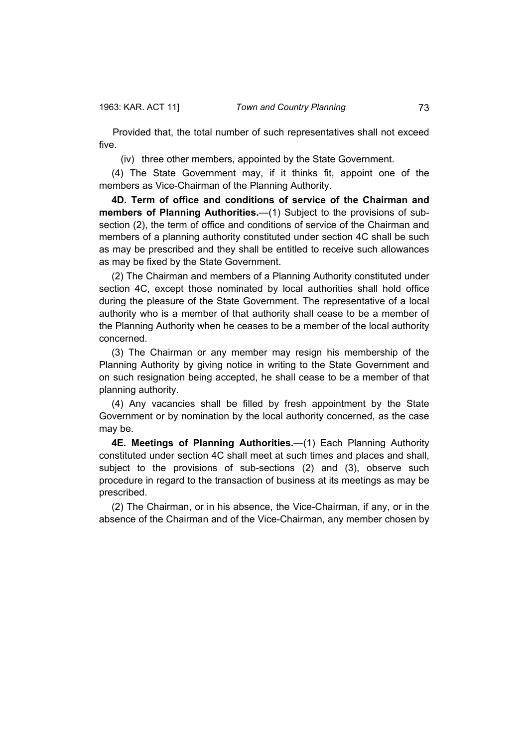<span id="page-23-0"></span> Provided that, the total number of such representatives shall not exceed five.

(iv) three other members, appointed by the State Government.

(4) The State Government may, if it thinks fit, appoint one of the members as Vice-Chairman of the Planning Authority.

**4D. Term of office and conditions of service of the Chairman and members of Planning Authorities.**—(1) Subject to the provisions of subsection (2), the term of office and conditions of service of the Chairman and members of a planning authority constituted under section 4C shall be such as may be prescribed and they shall be entitled to receive such allowances as may be fixed by the State Government.

(2) The Chairman and members of a Planning Authority constituted under section 4C, except those nominated by local authorities shall hold office during the pleasure of the State Government. The representative of a local authority who is a member of that authority shall cease to be a member of the Planning Authority when he ceases to be a member of the local authority concerned.

(3) The Chairman or any member may resign his membership of the Planning Authority by giving notice in writing to the State Government and on such resignation being accepted, he shall cease to be a member of that planning authority.

(4) Any vacancies shall be filled by fresh appointment by the State Government or by nomination by the local authority concerned, as the case may be.

**4E. Meetings of Planning Authorities.**—(1) Each Planning Authority constituted under section 4C shall meet at such times and places and shall, subject to the provisions of sub-sections (2) and (3), observe such procedure in regard to the transaction of business at its meetings as may be prescribed.

(2) The Chairman, or in his absence, the Vice-Chairman, if any, or in the absence of the Chairman and of the Vice-Chairman, any member chosen by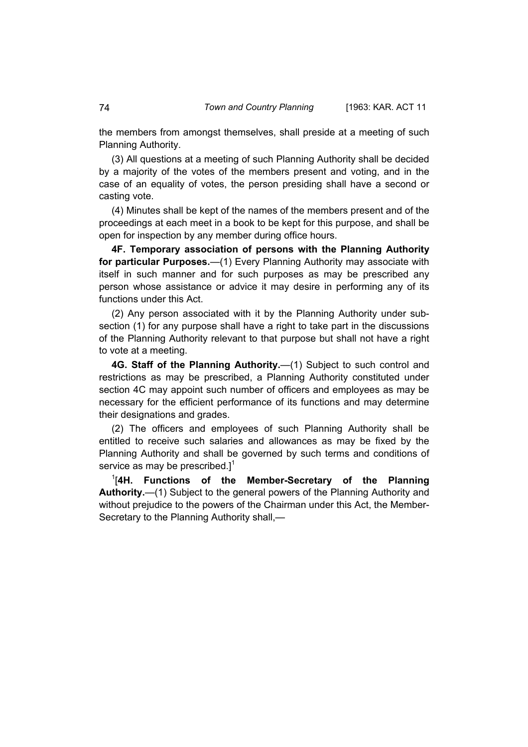<span id="page-24-0"></span>the members from amongst themselves, shall preside at a meeting of such Planning Authority.

(3) All questions at a meeting of such Planning Authority shall be decided by a majority of the votes of the members present and voting, and in the case of an equality of votes, the person presiding shall have a second or casting vote.

(4) Minutes shall be kept of the names of the members present and of the proceedings at each meet in a book to be kept for this purpose, and shall be open for inspection by any member during office hours.

**4F. Temporary association of persons with the Planning Authority for particular Purposes.**—(1) Every Planning Authority may associate with itself in such manner and for such purposes as may be prescribed any person whose assistance or advice it may desire in performing any of its functions under this Act.

(2) Any person associated with it by the Planning Authority under subsection (1) for any purpose shall have a right to take part in the discussions of the Planning Authority relevant to that purpose but shall not have a right to vote at a meeting.

**4G. Staff of the Planning Authority.**—(1) Subject to such control and restrictions as may be prescribed, a Planning Authority constituted under section 4C may appoint such number of officers and employees as may be necessary for the efficient performance of its functions and may determine their designations and grades.

(2) The officers and employees of such Planning Authority shall be entitled to receive such salaries and allowances as may be fixed by the Planning Authority and shall be governed by such terms and conditions of service as may be prescribed. $]^{1}$ 

1 [**4H. Functions of the Member-Secretary of the Planning Authority.**—(1) Subject to the general powers of the Planning Authority and without prejudice to the powers of the Chairman under this Act, the Member-Secretary to the Planning Authority shall,—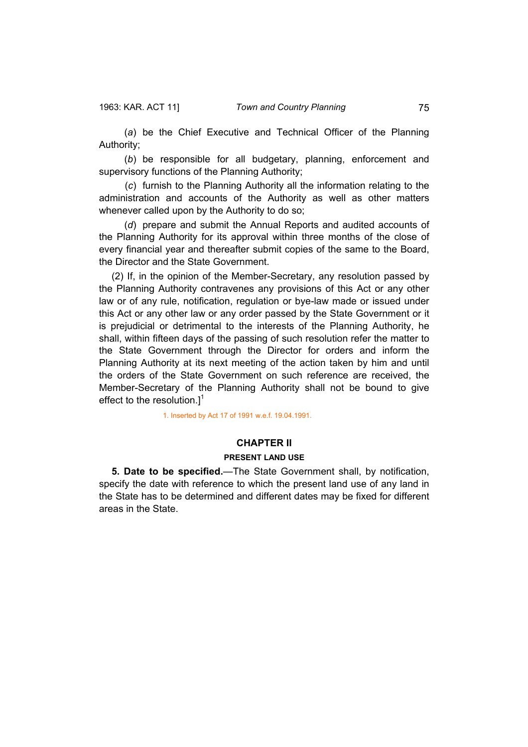<span id="page-25-0"></span> (*a*) be the Chief Executive and Technical Officer of the Planning Authority;

 (*b*) be responsible for all budgetary, planning, enforcement and supervisory functions of the Planning Authority;

 (*c*) furnish to the Planning Authority all the information relating to the administration and accounts of the Authority as well as other matters whenever called upon by the Authority to do so;

 (*d*) prepare and submit the Annual Reports and audited accounts of the Planning Authority for its approval within three months of the close of every financial year and thereafter submit copies of the same to the Board, the Director and the State Government.

(2) If, in the opinion of the Member-Secretary, any resolution passed by the Planning Authority contravenes any provisions of this Act or any other law or of any rule, notification, regulation or bye-law made or issued under this Act or any other law or any order passed by the State Government or it is prejudicial or detrimental to the interests of the Planning Authority, he shall, within fifteen days of the passing of such resolution refer the matter to the State Government through the Director for orders and inform the Planning Authority at its next meeting of the action taken by him and until the orders of the State Government on such reference are received, the Member-Secretary of the Planning Authority shall not be bound to give effect to the resolution. $l^1$ 

1. Inserted by Act 17 of 1991 w.e.f. 19.04.1991.

## **CHAPTER II**

### **PRESENT LAND USE**

**5. Date to be specified.**—The State Government shall, by notification, specify the date with reference to which the present land use of any land in the State has to be determined and different dates may be fixed for different areas in the State.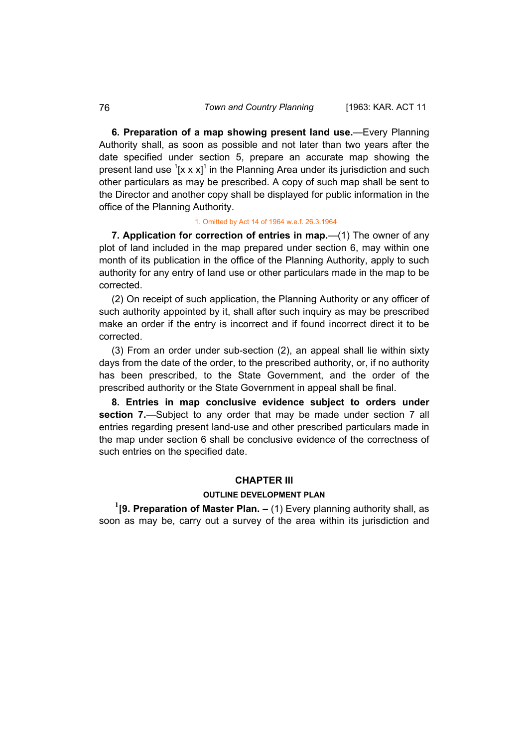**6. Preparation of a map showing present land use.**—Every Planning Authority shall, as soon as possible and not later than two years after the date specified under section 5, prepare an accurate map showing the present land use  $\left[2 \times x\right]^1$  in the Planning Area under its jurisdiction and such other particulars as may be prescribed. A copy of such map shall be sent to the Director and another copy shall be displayed for public information in the office of the Planning Authority.

#### 1. Omitted by Act 14 of 1964 w.e.f. 26.3.1964

**7. Application for correction of entries in map.**—(1) The owner of any plot of land included in the map prepared under section 6, may within one month of its publication in the office of the Planning Authority, apply to such authority for any entry of land use or other particulars made in the map to be corrected.

(2) On receipt of such application, the Planning Authority or any officer of such authority appointed by it, shall after such inquiry as may be prescribed make an order if the entry is incorrect and if found incorrect direct it to be corrected.

(3) From an order under sub-section (2), an appeal shall lie within sixty days from the date of the order, to the prescribed authority, or, if no authority has been prescribed, to the State Government, and the order of the prescribed authority or the State Government in appeal shall be final.

**8. Entries in map conclusive evidence subject to orders under section 7.**—Subject to any order that may be made under section 7 all entries regarding present land-use and other prescribed particulars made in the map under section 6 shall be conclusive evidence of the correctness of such entries on the specified date.

## **CHAPTER III**

## **OUTLINE DEVELOPMENT PLAN**

**1 [9. Preparation of Master Plan. –** (1) Every planning authority shall, as soon as may be, carry out a survey of the area within its jurisdiction and

<span id="page-26-0"></span>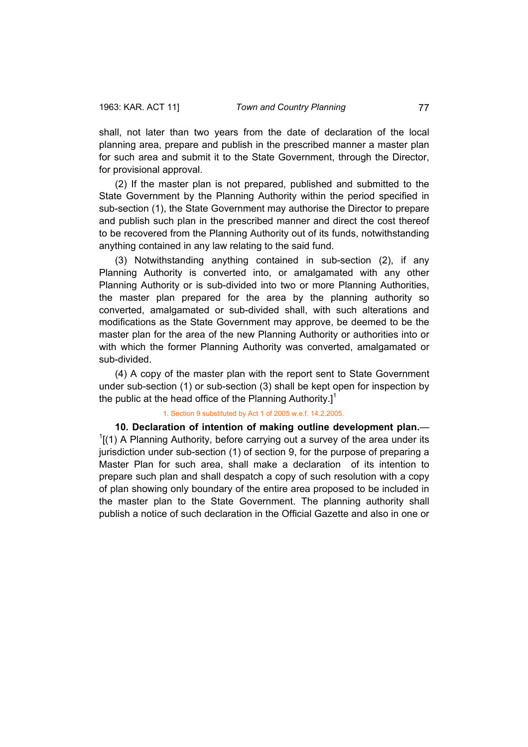<span id="page-27-0"></span>shall, not later than two years from the date of declaration of the local planning area, prepare and publish in the prescribed manner a master plan for such area and submit it to the State Government, through the Director, for provisional approval.

(2) If the master plan is not prepared, published and submitted to the State Government by the Planning Authority within the period specified in sub-section (1), the State Government may authorise the Director to prepare and publish such plan in the prescribed manner and direct the cost thereof to be recovered from the Planning Authority out of its funds, notwithstanding anything contained in any law relating to the said fund.

(3) Notwithstanding anything contained in sub-section (2), if any Planning Authority is converted into, or amalgamated with any other Planning Authority or is sub-divided into two or more Planning Authorities, the master plan prepared for the area by the planning authority so converted, amalgamated or sub-divided shall, with such alterations and modifications as the State Government may approve, be deemed to be the master plan for the area of the new Planning Authority or authorities into or with which the former Planning Authority was converted, amalgamated or sub-divided.

(4) A copy of the master plan with the report sent to State Government under sub-section (1) or sub-section (3) shall be kept open for inspection by the public at the head office of the Planning Authority.]<sup>1</sup>

## 1. Section 9 substituted by Act 1 of 2005 w.e.f. 14.2.2005.

**10. Declaration of intention of making outline development plan.**—  $1$ [(1) A Planning Authority, before carrying out a survey of the area under its jurisdiction under sub-section (1) of section 9, for the purpose of preparing a Master Plan for such area, shall make a declaration of its intention to prepare such plan and shall despatch a copy of such resolution with a copy of plan showing only boundary of the entire area proposed to be included in the master plan to the State Government. The planning authority shall publish a notice of such declaration in the Official Gazette and also in one or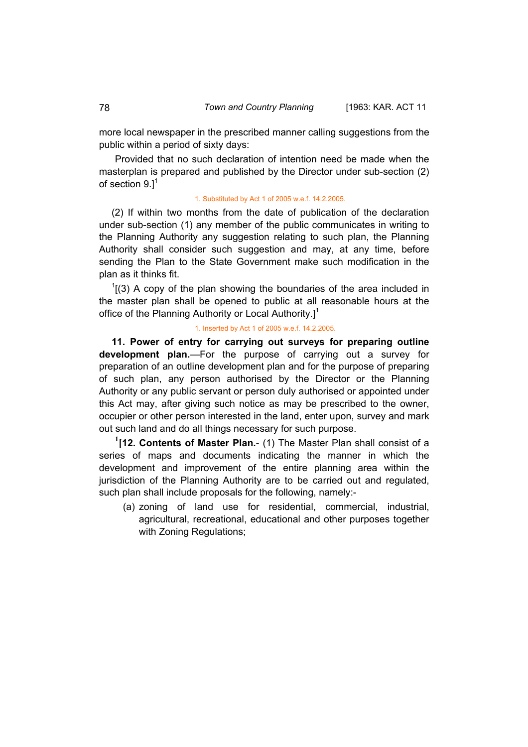more local newspaper in the prescribed manner calling suggestions from the public within a period of sixty days:

Provided that no such declaration of intention need be made when the masterplan is prepared and published by the Director under sub-section (2) of section  $9.1<sup>1</sup>$ 

### 1. Substituted by Act 1 of 2005 w.e.f. 14.2.2005.

(2) If within two months from the date of publication of the declaration under sub-section (1) any member of the public communicates in writing to the Planning Authority any suggestion relating to such plan, the Planning Authority shall consider such suggestion and may, at any time, before sending the Plan to the State Government make such modification in the plan as it thinks fit.

 $1(3)$  A copy of the plan showing the boundaries of the area included in the master plan shall be opened to public at all reasonable hours at the office of the Planning Authority or Local Authority.<sup>1</sup>

#### 1. Inserted by Act 1 of 2005 w.e.f. 14.2.2005.

**11. Power of entry for carrying out surveys for preparing outline development plan.**—For the purpose of carrying out a survey for preparation of an outline development plan and for the purpose of preparing of such plan, any person authorised by the Director or the Planning Authority or any public servant or person duly authorised or appointed under this Act may, after giving such notice as may be prescribed to the owner, occupier or other person interested in the land, enter upon, survey and mark out such land and do all things necessary for such purpose.

 **1[12. Contents of Master Plan.**- (1) The Master Plan shall consist of a series of maps and documents indicating the manner in which the development and improvement of the entire planning area within the jurisdiction of the Planning Authority are to be carried out and regulated, such plan shall include proposals for the following, namely:-

(a) zoning of land use for residential, commercial, industrial, agricultural, recreational, educational and other purposes together with Zoning Regulations;

<span id="page-28-0"></span>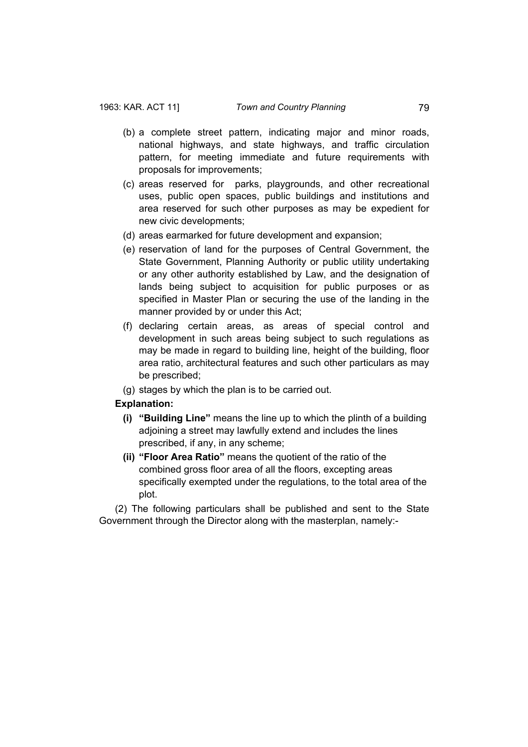- (b) a complete street pattern, indicating major and minor roads, national highways, and state highways, and traffic circulation pattern, for meeting immediate and future requirements with proposals for improvements;
- (c) areas reserved for parks, playgrounds, and other recreational uses, public open spaces, public buildings and institutions and area reserved for such other purposes as may be expedient for new civic developments;
- (d) areas earmarked for future development and expansion;
- (e) reservation of land for the purposes of Central Government, the State Government, Planning Authority or public utility undertaking or any other authority established by Law, and the designation of lands being subject to acquisition for public purposes or as specified in Master Plan or securing the use of the landing in the manner provided by or under this Act;
- (f) declaring certain areas, as areas of special control and development in such areas being subject to such regulations as may be made in regard to building line, height of the building, floor area ratio, architectural features and such other particulars as may be prescribed;
- (g) stages by which the plan is to be carried out.

## **Explanation:**

- **(i) "Building Line"** means the line up to which the plinth of a building adjoining a street may lawfully extend and includes the lines prescribed, if any, in any scheme;
- **(ii) "Floor Area Ratio"** means the quotient of the ratio of the combined gross floor area of all the floors, excepting areas specifically exempted under the regulations, to the total area of the plot.

 (2) The following particulars shall be published and sent to the State Government through the Director along with the masterplan, namely:-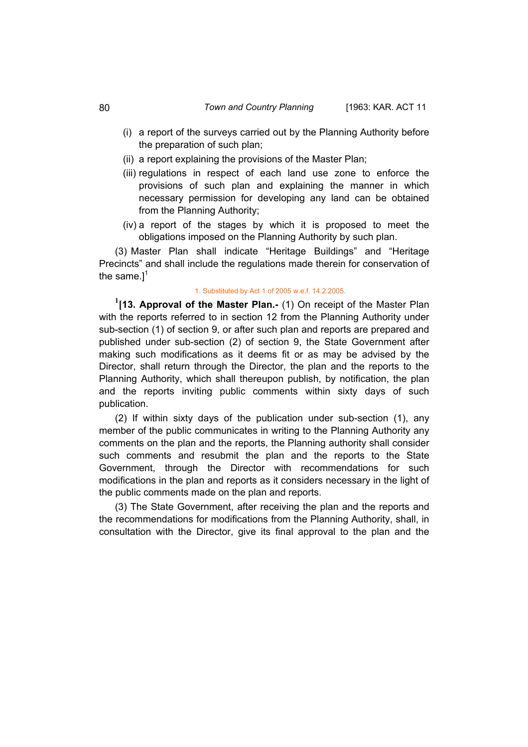- <span id="page-30-0"></span>(ii) a report explaining the provisions of the Master Plan;
- (iii) regulations in respect of each land use zone to enforce the provisions of such plan and explaining the manner in which necessary permission for developing any land can be obtained from the Planning Authority;
- (iv) a report of the stages by which it is proposed to meet the obligations imposed on the Planning Authority by such plan.

 (3) Master Plan shall indicate "Heritage Buildings" and "Heritage Precincts" and shall include the regulations made therein for conservation of the same. $l^1$ 

#### 1. Substituted by Act 1 of 2005 w.e.f. 14.2.2005.

 **1[13. Approval of the Master Plan.-** (1) On receipt of the Master Plan with the reports referred to in section 12 from the Planning Authority under sub-section (1) of section 9, or after such plan and reports are prepared and published under sub-section (2) of section 9, the State Government after making such modifications as it deems fit or as may be advised by the Director, shall return through the Director, the plan and the reports to the Planning Authority, which shall thereupon publish, by notification, the plan and the reports inviting public comments within sixty days of such publication.

 (2) If within sixty days of the publication under sub-section (1), any member of the public communicates in writing to the Planning Authority any comments on the plan and the reports, the Planning authority shall consider such comments and resubmit the plan and the reports to the State Government, through the Director with recommendations for such modifications in the plan and reports as it considers necessary in the light of the public comments made on the plan and reports.

 (3) The State Government, after receiving the plan and the reports and the recommendations for modifications from the Planning Authority, shall, in consultation with the Director, give its final approval to the plan and the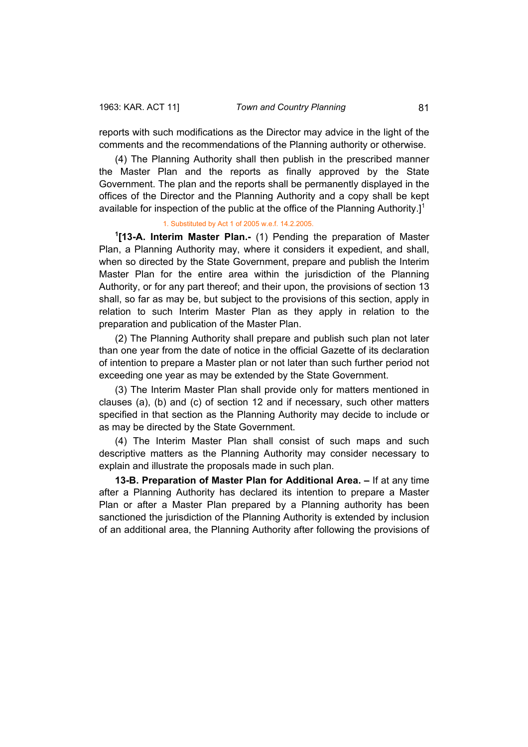reports with such modifications as the Director may advice in the light of the comments and the recommendations of the Planning authority or otherwise.

 (4) The Planning Authority shall then publish in the prescribed manner the Master Plan and the reports as finally approved by the State Government. The plan and the reports shall be permanently displayed in the offices of the Director and the Planning Authority and a copy shall be kept available for inspection of the public at the office of the Planning Authority. $l^1$ 

### 1. Substituted by Act 1 of 2005 w.e.f. 14.2.2005.

**1 [13-A. Interim Master Plan.-** (1) Pending the preparation of Master Plan, a Planning Authority may, where it considers it expedient, and shall, when so directed by the State Government, prepare and publish the Interim Master Plan for the entire area within the jurisdiction of the Planning Authority, or for any part thereof; and their upon, the provisions of section 13 shall, so far as may be, but subject to the provisions of this section, apply in relation to such Interim Master Plan as they apply in relation to the preparation and publication of the Master Plan.

 (2) The Planning Authority shall prepare and publish such plan not later than one year from the date of notice in the official Gazette of its declaration of intention to prepare a Master plan or not later than such further period not exceeding one year as may be extended by the State Government.

 (3) The Interim Master Plan shall provide only for matters mentioned in clauses (a), (b) and (c) of section 12 and if necessary, such other matters specified in that section as the Planning Authority may decide to include or as may be directed by the State Government.

 (4) The Interim Master Plan shall consist of such maps and such descriptive matters as the Planning Authority may consider necessary to explain and illustrate the proposals made in such plan.

 **13-B. Preparation of Master Plan for Additional Area. –** If at any time after a Planning Authority has declared its intention to prepare a Master Plan or after a Master Plan prepared by a Planning authority has been sanctioned the jurisdiction of the Planning Authority is extended by inclusion of an additional area, the Planning Authority after following the provisions of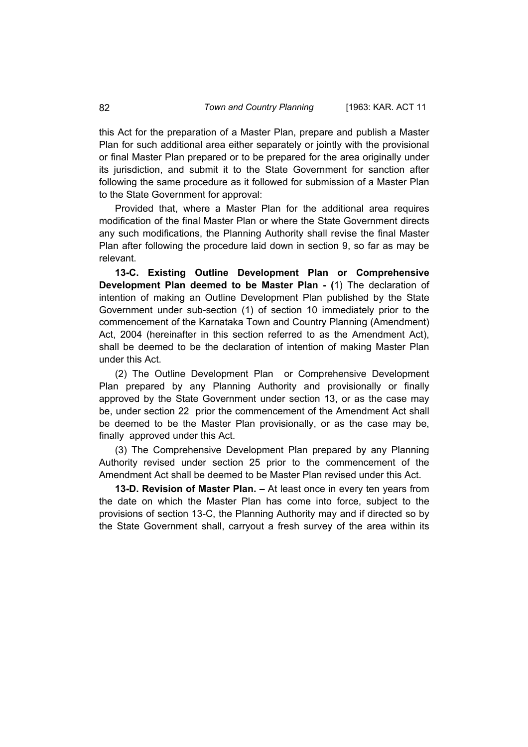this Act for the preparation of a Master Plan, prepare and publish a Master Plan for such additional area either separately or jointly with the provisional or final Master Plan prepared or to be prepared for the area originally under its jurisdiction, and submit it to the State Government for sanction after following the same procedure as it followed for submission of a Master Plan to the State Government for approval:

 Provided that, where a Master Plan for the additional area requires modification of the final Master Plan or where the State Government directs any such modifications, the Planning Authority shall revise the final Master Plan after following the procedure laid down in section 9, so far as may be relevant.

 **13-C. Existing Outline Development Plan or Comprehensive Development Plan deemed to be Master Plan - (**1) The declaration of intention of making an Outline Development Plan published by the State Government under sub-section (1) of section 10 immediately prior to the commencement of the Karnataka Town and Country Planning (Amendment) Act, 2004 (hereinafter in this section referred to as the Amendment Act), shall be deemed to be the declaration of intention of making Master Plan under this Act.

 (2) The Outline Development Plan or Comprehensive Development Plan prepared by any Planning Authority and provisionally or finally approved by the State Government under section 13, or as the case may be, under section 22 prior the commencement of the Amendment Act shall be deemed to be the Master Plan provisionally, or as the case may be, finally approved under this Act.

 (3) The Comprehensive Development Plan prepared by any Planning Authority revised under section 25 prior to the commencement of the Amendment Act shall be deemed to be Master Plan revised under this Act.

 **13-D. Revision of Master Plan. –** At least once in every ten years from the date on which the Master Plan has come into force, subject to the provisions of section 13-C, the Planning Authority may and if directed so by the State Government shall, carryout a fresh survey of the area within its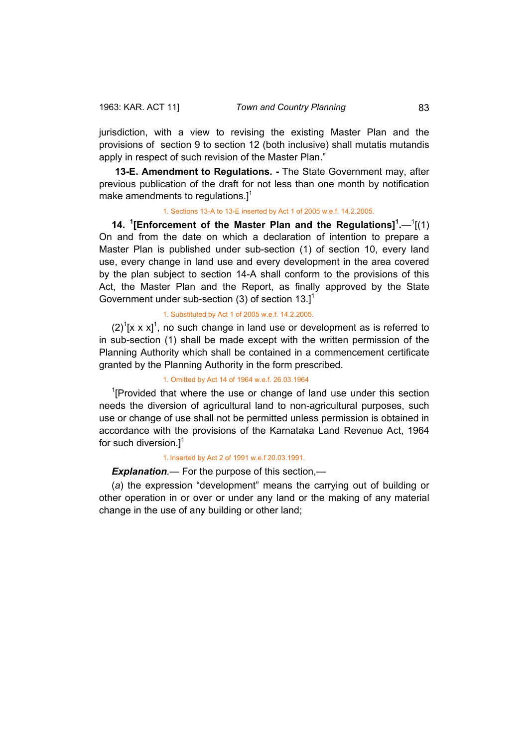<span id="page-33-0"></span>jurisdiction, with a view to revising the existing Master Plan and the provisions of section 9 to section 12 (both inclusive) shall mutatis mutandis apply in respect of such revision of the Master Plan."

**13-E. Amendment to Regulations. -** The State Government may, after previous publication of the draft for not less than one month by notification make amendments to regulations. $l^1$ 

#### 1. Sections 13-A to 13-E inserted by Act 1 of 2005 w.e.f. 14.2.2005.

**14.** <sup>1</sup>[Enforcement of the Master Plan and the Regulations]<sup>1</sup>.—<sup>1</sup>[(1) On and from the date on which a declaration of intention to prepare a Master Plan is published under sub-section (1) of section 10, every land use, every change in land use and every development in the area covered by the plan subject to section 14-A shall conform to the provisions of this Act, the Master Plan and the Report, as finally approved by the State Government under sub-section  $(3)$  of section  $13.1^1$ 

## 1. Substituted by Act 1 of 2005 w.e.f. 14.2.2005.

 $(2)^{1}[x \times x]^{1}$ , no such change in land use or development as is referred to in sub-section (1) shall be made except with the written permission of the Planning Authority which shall be contained in a commencement certificate granted by the Planning Authority in the form prescribed.

#### 1. Omitted by Act 14 of 1964 w.e.f. 26.03.1964

<sup>1</sup>[Provided that where the use or change of land use under this section needs the diversion of agricultural land to non-agricultural purposes, such use or change of use shall not be permitted unless permission is obtained in accordance with the provisions of the Karnataka Land Revenue Act, 1964 for such diversion.] $<sup>1</sup>$ </sup>

#### 1. Inserted by Act 2 of 1991 w.e.f 20.03.1991.

## *Explanation.*— For the purpose of this section,—

(*a*) the expression "development" means the carrying out of building or other operation in or over or under any land or the making of any material change in the use of any building or other land;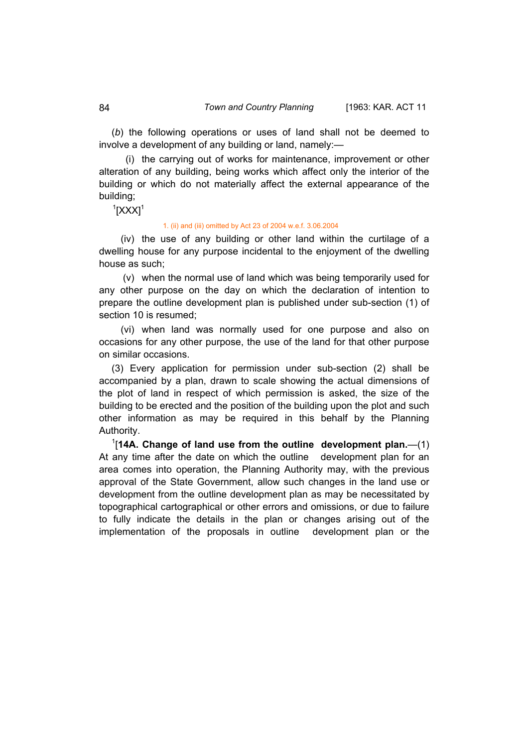(*b*) the following operations or uses of land shall not be deemed to involve a development of any building or land, namely:—

 (i) the carrying out of works for maintenance, improvement or other alteration of any building, being works which affect only the interior of the building or which do not materially affect the external appearance of the building;

 $1$ [XXX] $1$ 

#### 1. (ii) and (iii) omitted by Act 23 of 2004 w.e.f. 3.06.2004

 (iv) the use of any building or other land within the curtilage of a dwelling house for any purpose incidental to the enjoyment of the dwelling house as such;

 (v) when the normal use of land which was being temporarily used for any other purpose on the day on which the declaration of intention to prepare the outline development plan is published under sub-section (1) of section 10 is resumed;

 (vi) when land was normally used for one purpose and also on occasions for any other purpose, the use of the land for that other purpose on similar occasions.

(3) Every application for permission under sub-section (2) shall be accompanied by a plan, drawn to scale showing the actual dimensions of the plot of land in respect of which permission is asked, the size of the building to be erected and the position of the building upon the plot and such other information as may be required in this behalf by the Planning Authority.

1 [**14A. Change of land use from the outline development plan.**—(1) At any time after the date on which the outline development plan for an area comes into operation, the Planning Authority may, with the previous approval of the State Government, allow such changes in the land use or development from the outline development plan as may be necessitated by topographical cartographical or other errors and omissions, or due to failure to fully indicate the details in the plan or changes arising out of the implementation of the proposals in outline development plan or the

<span id="page-34-0"></span>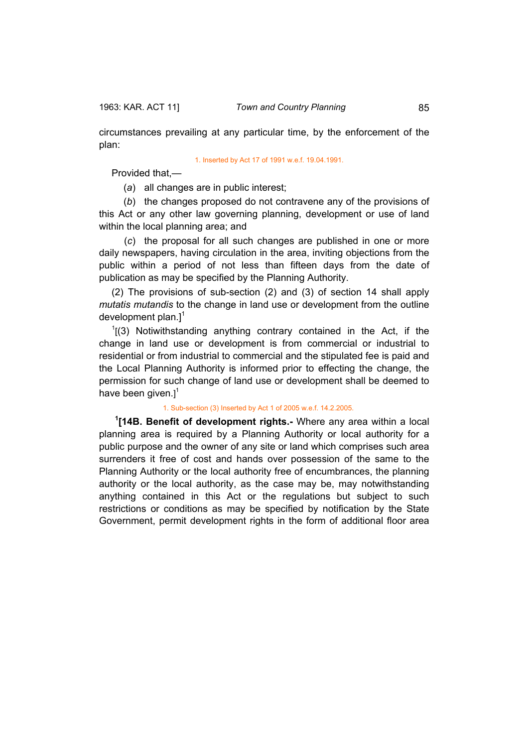<span id="page-35-0"></span>

circumstances prevailing at any particular time, by the enforcement of the plan:

#### 1. Inserted by Act 17 of 1991 w.e.f. 19.04.1991.

Provided that,—

(*a*) all changes are in public interest;

 (*b*) the changes proposed do not contravene any of the provisions of this Act or any other law governing planning, development or use of land within the local planning area; and

 (*c*) the proposal for all such changes are published in one or more daily newspapers, having circulation in the area, inviting objections from the public within a period of not less than fifteen days from the date of publication as may be specified by the Planning Authority.

(2) The provisions of sub-section (2) and (3) of section 14 shall apply *mutatis mutandis* to the change in land use or development from the outline development plan. $]^{1}$ 

 $1(3)$  Notiwithstanding anything contrary contained in the Act, if the change in land use or development is from commercial or industrial to residential or from industrial to commercial and the stipulated fee is paid and the Local Planning Authority is informed prior to effecting the change, the permission for such change of land use or development shall be deemed to have been given.] $<sup>1</sup>$ </sup>

## 1. Sub-section (3) Inserted by Act 1 of 2005 w.e.f. 14.2.2005.

**1 [14B. Benefit of development rights.-** Where any area within a local planning area is required by a Planning Authority or local authority for a public purpose and the owner of any site or land which comprises such area surrenders it free of cost and hands over possession of the same to the Planning Authority or the local authority free of encumbrances, the planning authority or the local authority, as the case may be, may notwithstanding anything contained in this Act or the regulations but subject to such restrictions or conditions as may be specified by notification by the State Government, permit development rights in the form of additional floor area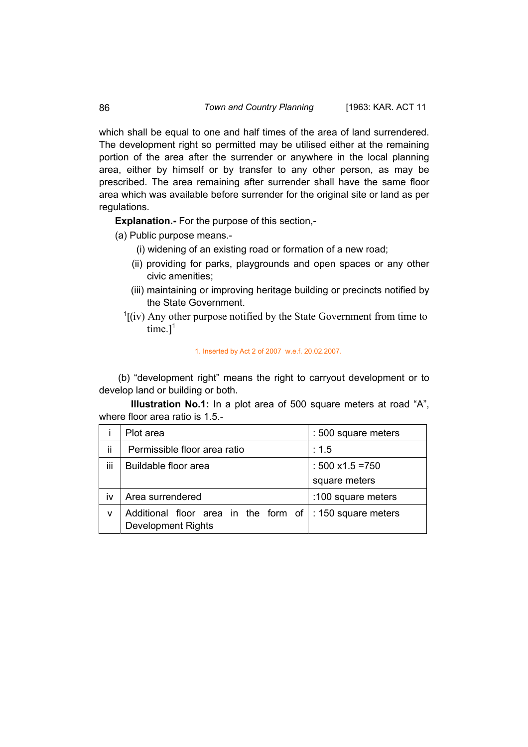which shall be equal to one and half times of the area of land surrendered. The development right so permitted may be utilised either at the remaining portion of the area after the surrender or anywhere in the local planning area, either by himself or by transfer to any other person, as may be prescribed. The area remaining after surrender shall have the same floor area which was available before surrender for the original site or land as per regulations.

**Explanation.-** For the purpose of this section,-

- (a) Public purpose means.-
	- (i) widening of an existing road or formation of a new road;
	- (ii) providing for parks, playgrounds and open spaces or any other civic amenities;
	- (iii) maintaining or improving heritage building or precincts notified by the State Government.
	- $\frac{1}{1}$ [(iv) Any other purpose notified by the State Government from time to time. $]^{1}$

1. Inserted by Act 2 of 2007 w.e.f. 20.02.2007.

 (b) "development right" means the right to carryout development or to develop land or building or both.

**Illustration No.1:** In a plot area of 500 square meters at road "A", where floor area ratio is 1.5.-

|     | Plot area                                                         | : 500 square meters      |
|-----|-------------------------------------------------------------------|--------------------------|
| ii. | Permissible floor area ratio                                      | : 1.5                    |
| iii | Buildable floor area                                              | : $500 \times 1.5 = 750$ |
|     |                                                                   | square meters            |
| iv  | Area surrendered                                                  | :100 square meters       |
| v   | Additional floor area in the form of<br><b>Development Rights</b> | : 150 square meters      |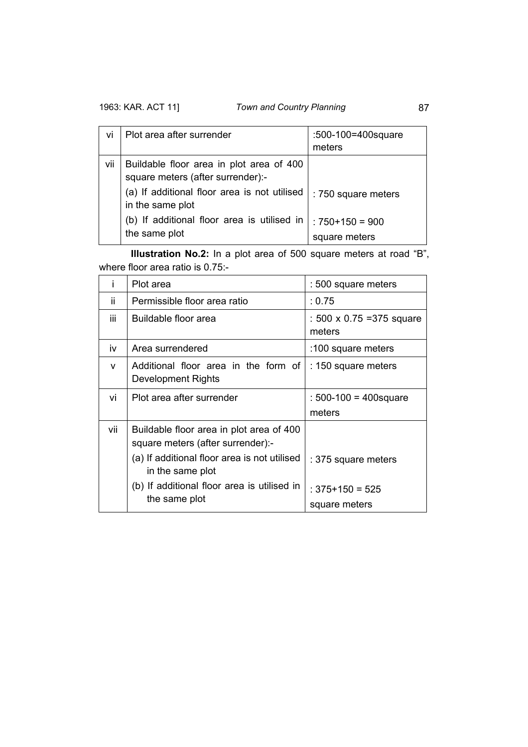| vi  | Plot area after surrender                                                     | :500-100=400 square<br>meters   |
|-----|-------------------------------------------------------------------------------|---------------------------------|
| vii | Buildable floor area in plot area of 400<br>square meters (after surrender):- |                                 |
|     | (a) If additional floor area is not utilised<br>in the same plot              | : 750 square meters             |
|     | (b) If additional floor area is utilised in<br>the same plot                  | $:750+150=900$<br>square meters |

**Illustration No.2:** In a plot area of 500 square meters at road "B", where floor area ratio is 0.75:-

| i   | Plot area                                                                     | : 500 square meters                  |
|-----|-------------------------------------------------------------------------------|--------------------------------------|
| ïi  | Permissible floor area ratio                                                  | : 0.75                               |
| iii | Buildable floor area                                                          | : 500 x 0.75 = 375 square<br>meters  |
| iv  | Area surrendered                                                              | :100 square meters                   |
| v   | Additional floor area in the form of<br>Development Rights                    | : 150 square meters                  |
| vi  | Plot area after surrender                                                     | : $500-100 = 400$ square             |
|     |                                                                               | meters                               |
| vii | Buildable floor area in plot area of 400<br>square meters (after surrender):- |                                      |
|     | (a) If additional floor area is not utilised<br>in the same plot              | : 375 square meters                  |
|     | (b) If additional floor area is utilised in<br>the same plot                  | $: 375 + 150 = 525$<br>square meters |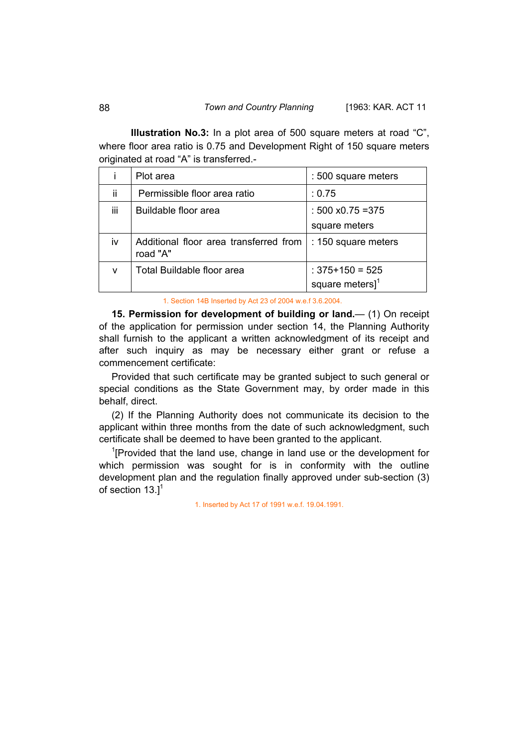**Illustration No.3:** In a plot area of 500 square meters at road "C", where floor area ratio is 0.75 and Development Right of 150 square meters originated at road "A" is transferred.-

|     | Plot area                                          | : 500 square meters                                   |
|-----|----------------------------------------------------|-------------------------------------------------------|
| ii  | Permissible floor area ratio                       | : 0.75                                                |
| iii | Buildable floor area                               | $: 500 \times 0.75 = 375$                             |
|     |                                                    | square meters                                         |
| iv  | Additional floor area transferred from<br>road "A" | : 150 square meters                                   |
| v   | Total Buildable floor area                         | $: 375 + 150 = 525$<br>square meters $]$ <sup>1</sup> |

1. Section 14B Inserted by Act 23 of 2004 w.e.f 3.6.2004.

**15. Permission for development of building or land.— (1) On receipt** of the application for permission under section 14, the Planning Authority shall furnish to the applicant a written acknowledgment of its receipt and after such inquiry as may be necessary either grant or refuse a commencement certificate:

Provided that such certificate may be granted subject to such general or special conditions as the State Government may, by order made in this behalf, direct.

(2) If the Planning Authority does not communicate its decision to the applicant within three months from the date of such acknowledgment, such certificate shall be deemed to have been granted to the applicant.

<sup>1</sup>[Provided that the land use, change in land use or the development for which permission was sought for is in conformity with the outline development plan and the regulation finally approved under sub-section (3) of section  $13.$ <sup>1</sup>

1. Inserted by Act 17 of 1991 w.e.f. 19.04.1991.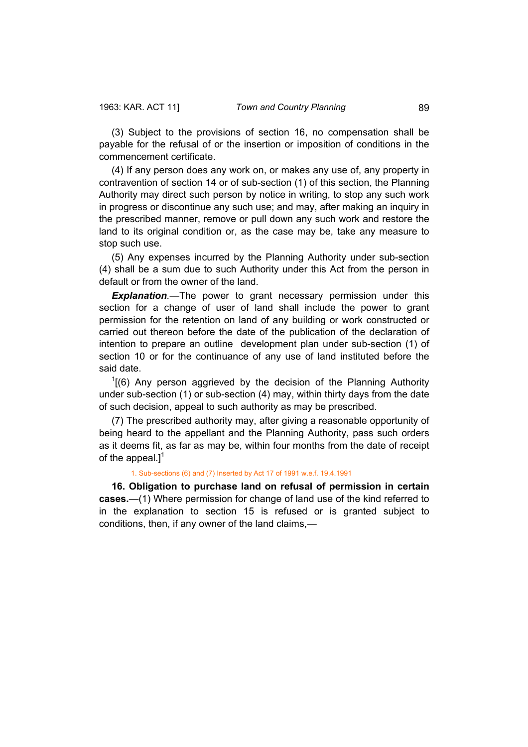(3) Subject to the provisions of section 16, no compensation shall be payable for the refusal of or the insertion or imposition of conditions in the commencement certificate.

(4) If any person does any work on, or makes any use of, any property in contravention of section 14 or of sub-section (1) of this section, the Planning Authority may direct such person by notice in writing, to stop any such work in progress or discontinue any such use; and may, after making an inquiry in the prescribed manner, remove or pull down any such work and restore the land to its original condition or, as the case may be, take any measure to stop such use.

(5) Any expenses incurred by the Planning Authority under sub-section (4) shall be a sum due to such Authority under this Act from the person in default or from the owner of the land.

**Explanation**.—The power to grant necessary permission under this section for a change of user of land shall include the power to grant permission for the retention on land of any building or work constructed or carried out thereon before the date of the publication of the declaration of intention to prepare an outline development plan under sub-section (1) of section 10 or for the continuance of any use of land instituted before the said date.

 $1(6)$  Any person aggrieved by the decision of the Planning Authority under sub-section (1) or sub-section (4) may, within thirty days from the date of such decision, appeal to such authority as may be prescribed.

(7) The prescribed authority may, after giving a reasonable opportunity of being heard to the appellant and the Planning Authority, pass such orders as it deems fit, as far as may be, within four months from the date of receipt of the appeal.] $<sup>1</sup>$ </sup>

#### 1. Sub-sections (6) and (7) Inserted by Act 17 of 1991 w.e.f. 19.4.1991

**16. Obligation to purchase land on refusal of permission in certain cases.**—(1) Where permission for change of land use of the kind referred to in the explanation to section 15 is refused or is granted subject to conditions, then, if any owner of the land claims,—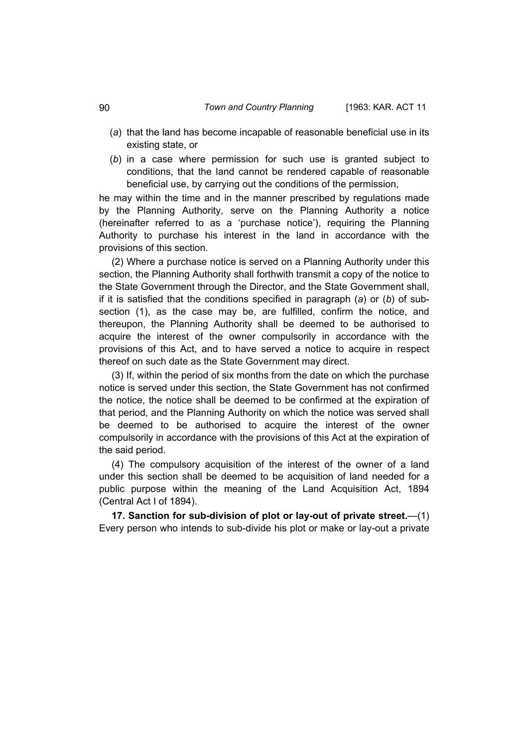- (*a*) that the land has become incapable of reasonable beneficial use in its existing state, or
- (*b*) in a case where permission for such use is granted subject to conditions, that the land cannot be rendered capable of reasonable beneficial use, by carrying out the conditions of the permission,

he may within the time and in the manner prescribed by regulations made by the Planning Authority, serve on the Planning Authority a notice (hereinafter referred to as a 'purchase notice'), requiring the Planning Authority to purchase his interest in the land in accordance with the provisions of this section.

(2) Where a purchase notice is served on a Planning Authority under this section, the Planning Authority shall forthwith transmit a copy of the notice to the State Government through the Director, and the State Government shall, if it is satisfied that the conditions specified in paragraph (*a*) or (*b*) of subsection (1), as the case may be, are fulfilled, confirm the notice, and thereupon, the Planning Authority shall be deemed to be authorised to acquire the interest of the owner compulsorily in accordance with the provisions of this Act, and to have served a notice to acquire in respect thereof on such date as the State Government may direct.

(3) If, within the period of six months from the date on which the purchase notice is served under this section, the State Government has not confirmed the notice, the notice shall be deemed to be confirmed at the expiration of that period, and the Planning Authority on which the notice was served shall be deemed to be authorised to acquire the interest of the owner compulsorily in accordance with the provisions of this Act at the expiration of the said period.

(4) The compulsory acquisition of the interest of the owner of a land under this section shall be deemed to be acquisition of land needed for a public purpose within the meaning of the Land Acquisition Act, 1894 (Central Act I of 1894).

**17. Sanction for sub-division of plot or lay-out of private street.**—(1) Every person who intends to sub-divide his plot or make or lay-out a private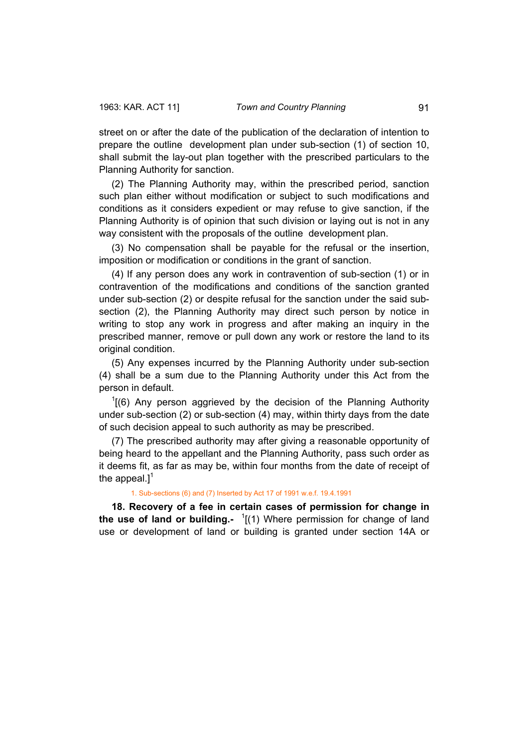street on or after the date of the publication of the declaration of intention to prepare the outline development plan under sub-section (1) of section 10, shall submit the lay-out plan together with the prescribed particulars to the Planning Authority for sanction.

(2) The Planning Authority may, within the prescribed period, sanction such plan either without modification or subject to such modifications and conditions as it considers expedient or may refuse to give sanction, if the Planning Authority is of opinion that such division or laying out is not in any way consistent with the proposals of the outline development plan.

(3) No compensation shall be payable for the refusal or the insertion, imposition or modification or conditions in the grant of sanction.

(4) If any person does any work in contravention of sub-section (1) or in contravention of the modifications and conditions of the sanction granted under sub-section (2) or despite refusal for the sanction under the said subsection (2), the Planning Authority may direct such person by notice in writing to stop any work in progress and after making an inquiry in the prescribed manner, remove or pull down any work or restore the land to its original condition.

(5) Any expenses incurred by the Planning Authority under sub-section (4) shall be a sum due to the Planning Authority under this Act from the person in default.

 $1(6)$  Any person aggrieved by the decision of the Planning Authority under sub-section (2) or sub-section (4) may, within thirty days from the date of such decision appeal to such authority as may be prescribed.

(7) The prescribed authority may after giving a reasonable opportunity of being heard to the appellant and the Planning Authority, pass such order as it deems fit, as far as may be, within four months from the date of receipt of the appeal.] $<sup>1</sup>$ </sup>

1. Sub-sections (6) and (7) Inserted by Act 17 of 1991 w.e.f. 19.4.1991

**18. Recovery of a fee in certain cases of permission for change in the use of land or building.-** <sup>1</sup> [(1) Where permission for change of land use or development of land or building is granted under section 14A or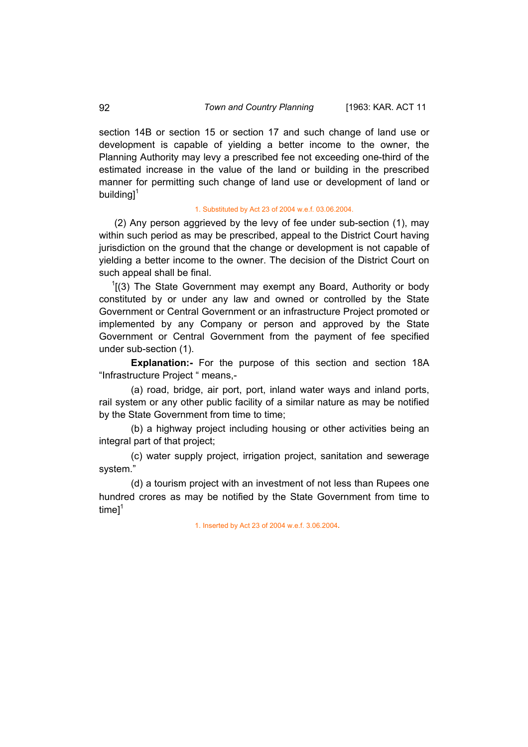section 14B or section 15 or section 17 and such change of land use or development is capable of yielding a better income to the owner, the Planning Authority may levy a prescribed fee not exceeding one-third of the estimated increase in the value of the land or building in the prescribed manner for permitting such change of land use or development of land or building $1^1$ 

### 1. Substituted by Act 23 of 2004 w.e.f. 03.06.2004.

 (2) Any person aggrieved by the levy of fee under sub-section (1), may within such period as may be prescribed, appeal to the District Court having jurisdiction on the ground that the change or development is not capable of yielding a better income to the owner. The decision of the District Court on such appeal shall be final.

 $1(3)$  The State Government may exempt any Board, Authority or body constituted by or under any law and owned or controlled by the State Government or Central Government or an infrastructure Project promoted or implemented by any Company or person and approved by the State Government or Central Government from the payment of fee specified under sub-section (1).

**Explanation:-** For the purpose of this section and section 18A "Infrastructure Project " means,-

(a) road, bridge, air port, port, inland water ways and inland ports, rail system or any other public facility of a similar nature as may be notified by the State Government from time to time;

(b) a highway project including housing or other activities being an integral part of that project;

(c) water supply project, irrigation project, sanitation and sewerage system."

(d) a tourism project with an investment of not less than Rupees one hundred crores as may be notified by the State Government from time to time $l^1$ 

1. Inserted by Act 23 of 2004 w.e.f. 3.06.2004**.**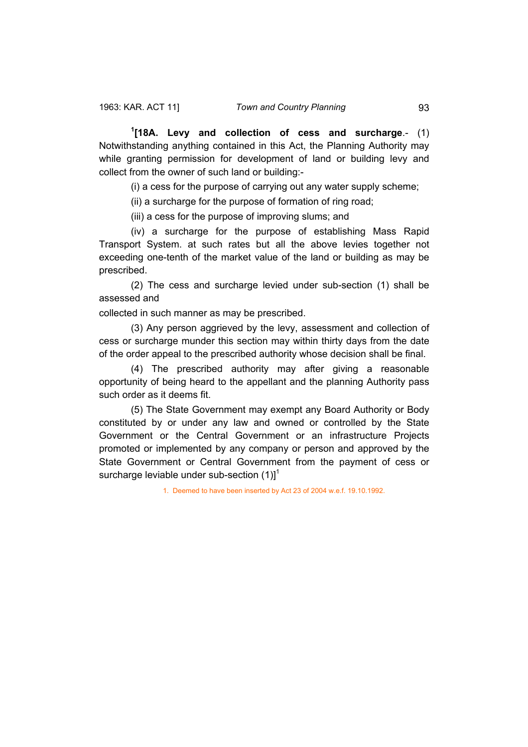**1 [18A. Levy and collection of cess and surcharge**.- (1) Notwithstanding anything contained in this Act, the Planning Authority may while granting permission for development of land or building levy and collect from the owner of such land or building:-

(i) a cess for the purpose of carrying out any water supply scheme;

(ii) a surcharge for the purpose of formation of ring road;

(iii) a cess for the purpose of improving slums; and

(iv) a surcharge for the purpose of establishing Mass Rapid Transport System. at such rates but all the above levies together not exceeding one-tenth of the market value of the land or building as may be prescribed.

(2) The cess and surcharge levied under sub-section (1) shall be assessed and

collected in such manner as may be prescribed.

(3) Any person aggrieved by the levy, assessment and collection of cess or surcharge munder this section may within thirty days from the date of the order appeal to the prescribed authority whose decision shall be final.

(4) The prescribed authority may after giving a reasonable opportunity of being heard to the appellant and the planning Authority pass such order as it deems fit.

(5) The State Government may exempt any Board Authority or Body constituted by or under any law and owned or controlled by the State Government or the Central Government or an infrastructure Projects promoted or implemented by any company or person and approved by the State Government or Central Government from the payment of cess or surcharge leviable under sub-section  $(1)$ ]<sup>1</sup>

1. Deemed to have been inserted by Act 23 of 2004 w.e.f. 19.10.1992.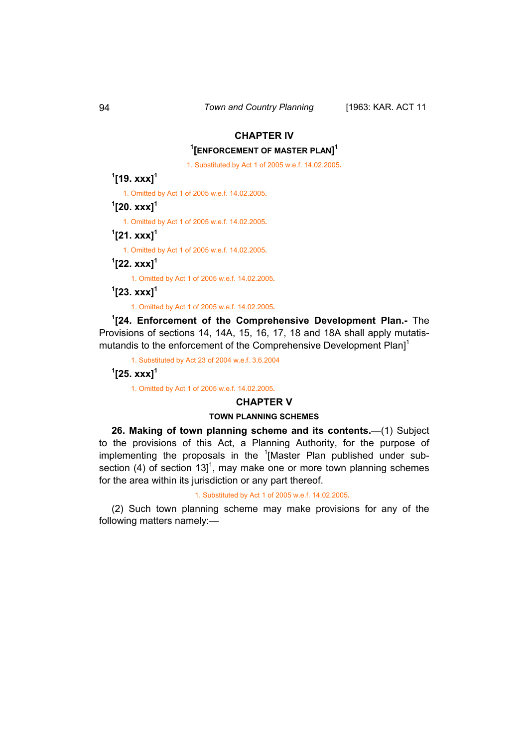# **CHAPTER IV**

# **1 [ENFORCEMENT OF MASTER PLAN] 1**

1. Substituted by Act 1 of 2005 w.e.f. 14.02.2005**.**

# **1 [19. xxx]<sup>1</sup>**

1. Omitted by Act 1 of 2005 w.e.f. 14.02.2005**.**

## **1 [20. xxx]<sup>1</sup>**

1. Omitted by Act 1 of 2005 w.e.f. 14.02.2005**.**

## **1 [21. xxx]<sup>1</sup>**

1. Omitted by Act 1 of 2005 w.e.f. 14.02.2005**.**

**1 [22. xxx]<sup>1</sup>**

1. Omitted by Act 1 of 2005 w.e.f. 14.02.2005**.**

**1 [23. xxx]<sup>1</sup>**

1. Omitted by Act 1 of 2005 w.e.f. 14.02.2005**.**

**1 [24. Enforcement of the Comprehensive Development Plan.-** The Provisions of sections 14, 14A, 15, 16, 17, 18 and 18A shall apply mutatismutandis to the enforcement of the Comprehensive Development Plan<sup>1</sup>

1. Substituted by Act 23 of 2004 w.e.f. 3.6.2004

# **1 [25. xxx]<sup>1</sup>**

1. Omitted by Act 1 of 2005 w.e.f. 14.02.2005**.**

## **CHAPTER V**

### **TOWN PLANNING SCHEMES**

**26. Making of town planning scheme and its contents.**—(1) Subject to the provisions of this Act, a Planning Authority, for the purpose of implementing the proposals in the <sup>1</sup>[Master Plan published under subsection (4) of section 13]<sup>1</sup>, may make one or more town planning schemes for the area within its jurisdiction or any part thereof.

#### 1. Substituted by Act 1 of 2005 w.e.f. 14.02.2005**.**

(2) Such town planning scheme may make provisions for any of the following matters namely:—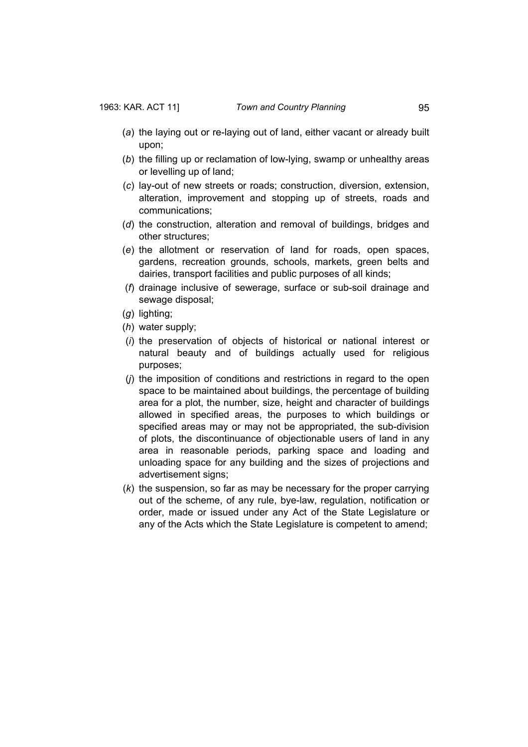- (*a*) the laying out or re-laying out of land, either vacant or already built upon;
- (*b*) the filling up or reclamation of low-lying, swamp or unhealthy areas or levelling up of land;
- (*c*) lay-out of new streets or roads; construction, diversion, extension, alteration, improvement and stopping up of streets, roads and communications;
- (*d*) the construction, alteration and removal of buildings, bridges and other structures;
- (*e*) the allotment or reservation of land for roads, open spaces, gardens, recreation grounds, schools, markets, green belts and dairies, transport facilities and public purposes of all kinds;
- (*f*) drainage inclusive of sewerage, surface or sub-soil drainage and sewage disposal;
- (*g*) lighting;
- (*h*) water supply;
- (*i*) the preservation of objects of historical or national interest or natural beauty and of buildings actually used for religious purposes;
- (*j*) the imposition of conditions and restrictions in regard to the open space to be maintained about buildings, the percentage of building area for a plot, the number, size, height and character of buildings allowed in specified areas, the purposes to which buildings or specified areas may or may not be appropriated, the sub-division of plots, the discontinuance of objectionable users of land in any area in reasonable periods, parking space and loading and unloading space for any building and the sizes of projections and advertisement signs;
- (*k*) the suspension, so far as may be necessary for the proper carrying out of the scheme, of any rule, bye-law, regulation, notification or order, made or issued under any Act of the State Legislature or any of the Acts which the State Legislature is competent to amend;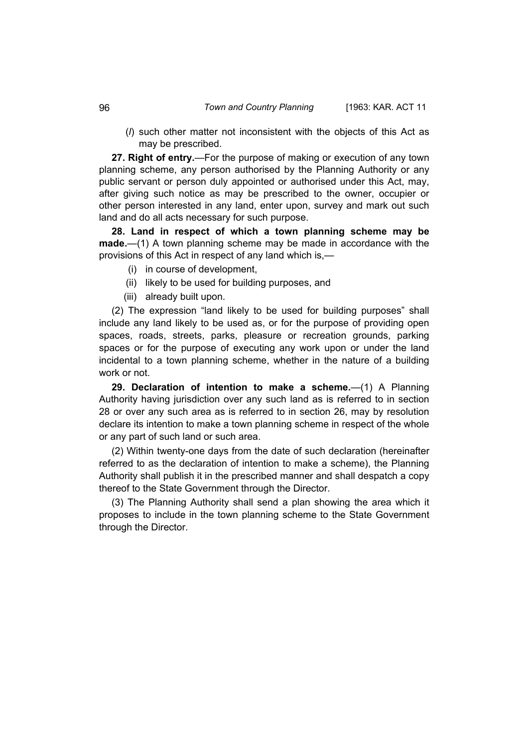(*l*) such other matter not inconsistent with the objects of this Act as may be prescribed.

**27. Right of entry.**—For the purpose of making or execution of any town planning scheme, any person authorised by the Planning Authority or any public servant or person duly appointed or authorised under this Act, may, after giving such notice as may be prescribed to the owner, occupier or other person interested in any land, enter upon, survey and mark out such land and do all acts necessary for such purpose.

**28. Land in respect of which a town planning scheme may be made.**—(1) A town planning scheme may be made in accordance with the provisions of this Act in respect of any land which is,—

- (i) in course of development,
- (ii) likely to be used for building purposes, and
- (iii) already built upon.

(2) The expression "land likely to be used for building purposes" shall include any land likely to be used as, or for the purpose of providing open spaces, roads, streets, parks, pleasure or recreation grounds, parking spaces or for the purpose of executing any work upon or under the land incidental to a town planning scheme, whether in the nature of a building work or not.

**29. Declaration of intention to make a scheme.**—(1) A Planning Authority having jurisdiction over any such land as is referred to in section 28 or over any such area as is referred to in section 26, may by resolution declare its intention to make a town planning scheme in respect of the whole or any part of such land or such area.

(2) Within twenty-one days from the date of such declaration (hereinafter referred to as the declaration of intention to make a scheme), the Planning Authority shall publish it in the prescribed manner and shall despatch a copy thereof to the State Government through the Director.

(3) The Planning Authority shall send a plan showing the area which it proposes to include in the town planning scheme to the State Government through the Director.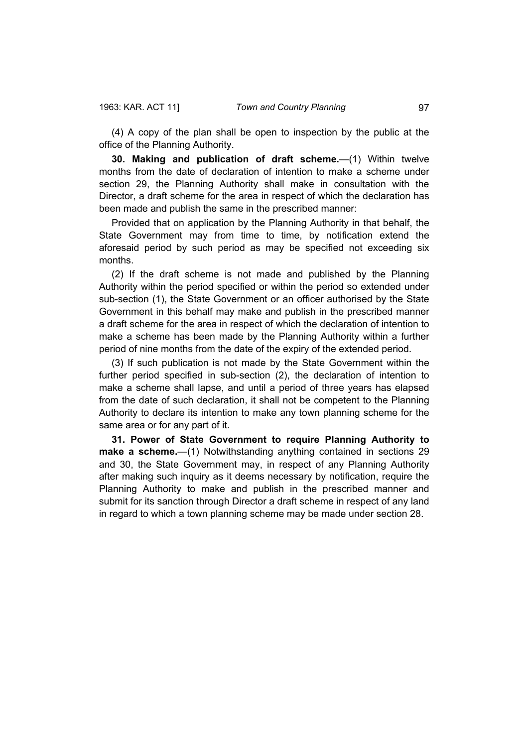(4) A copy of the plan shall be open to inspection by the public at the office of the Planning Authority.

**30. Making and publication of draft scheme.**—(1) Within twelve months from the date of declaration of intention to make a scheme under section 29, the Planning Authority shall make in consultation with the Director, a draft scheme for the area in respect of which the declaration has been made and publish the same in the prescribed manner:

Provided that on application by the Planning Authority in that behalf, the State Government may from time to time, by notification extend the aforesaid period by such period as may be specified not exceeding six months.

(2) If the draft scheme is not made and published by the Planning Authority within the period specified or within the period so extended under sub-section (1), the State Government or an officer authorised by the State Government in this behalf may make and publish in the prescribed manner a draft scheme for the area in respect of which the declaration of intention to make a scheme has been made by the Planning Authority within a further period of nine months from the date of the expiry of the extended period.

(3) If such publication is not made by the State Government within the further period specified in sub-section (2), the declaration of intention to make a scheme shall lapse, and until a period of three years has elapsed from the date of such declaration, it shall not be competent to the Planning Authority to declare its intention to make any town planning scheme for the same area or for any part of it.

**31. Power of State Government to require Planning Authority to make a scheme.**—(1) Notwithstanding anything contained in sections 29 and 30, the State Government may, in respect of any Planning Authority after making such inquiry as it deems necessary by notification, require the Planning Authority to make and publish in the prescribed manner and submit for its sanction through Director a draft scheme in respect of any land in regard to which a town planning scheme may be made under section 28.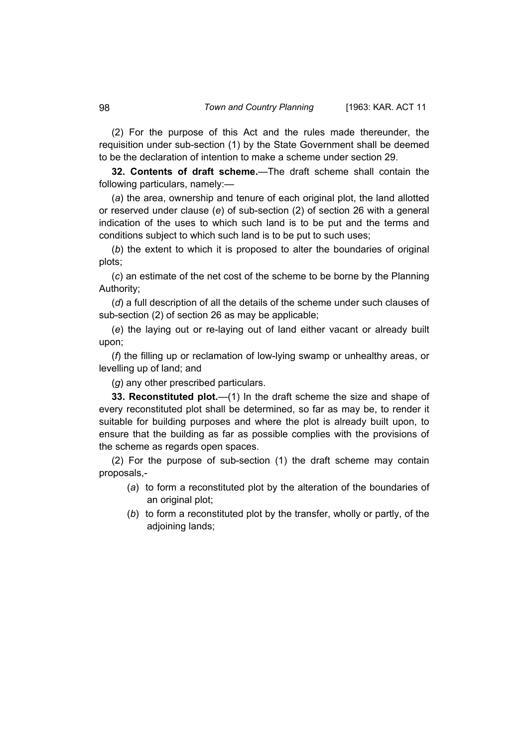(2) For the purpose of this Act and the rules made thereunder, the requisition under sub-section (1) by the State Government shall be deemed to be the declaration of intention to make a scheme under section 29.

**32. Contents of draft scheme.**—The draft scheme shall contain the following particulars, namely:—

(*a*) the area, ownership and tenure of each original plot, the land allotted or reserved under clause (*e*) of sub-section (2) of section 26 with a general indication of the uses to which such land is to be put and the terms and conditions subject to which such land is to be put to such uses;

(*b*) the extent to which it is proposed to alter the boundaries of original plots;

(*c*) an estimate of the net cost of the scheme to be borne by the Planning Authority;

(*d*) a full description of all the details of the scheme under such clauses of sub-section (2) of section 26 as may be applicable;

(*e*) the laying out or re-laying out of land either vacant or already built upon;

(*f*) the filling up or reclamation of low-lying swamp or unhealthy areas, or levelling up of land; and

(*g*) any other prescribed particulars.

**33. Reconstituted plot.**—(1) In the draft scheme the size and shape of every reconstituted plot shall be determined, so far as may be, to render it suitable for building purposes and where the plot is already built upon, to ensure that the building as far as possible complies with the provisions of the scheme as regards open spaces.

(2) For the purpose of sub-section (1) the draft scheme may contain proposals,-

- (*a*) to form a reconstituted plot by the alteration of the boundaries of an original plot;
- (*b*) to form a reconstituted plot by the transfer, wholly or partly, of the adjoining lands;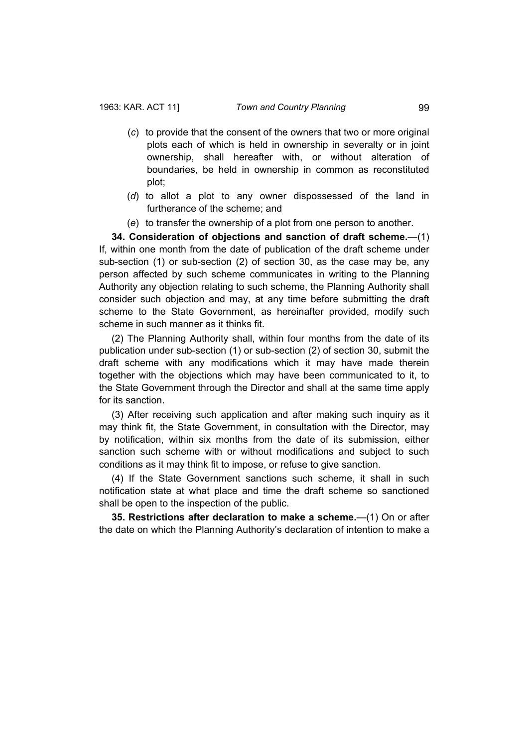- (*c*) to provide that the consent of the owners that two or more original plots each of which is held in ownership in severalty or in joint ownership, shall hereafter with, or without alteration of boundaries, be held in ownership in common as reconstituted plot;
- (*d*) to allot a plot to any owner dispossessed of the land in furtherance of the scheme; and
- (*e*) to transfer the ownership of a plot from one person to another.

**34. Consideration of objections and sanction of draft scheme.**—(1) If, within one month from the date of publication of the draft scheme under sub-section (1) or sub-section (2) of section 30, as the case may be, any person affected by such scheme communicates in writing to the Planning Authority any objection relating to such scheme, the Planning Authority shall consider such objection and may, at any time before submitting the draft scheme to the State Government, as hereinafter provided, modify such scheme in such manner as it thinks fit.

(2) The Planning Authority shall, within four months from the date of its publication under sub-section (1) or sub-section (2) of section 30, submit the draft scheme with any modifications which it may have made therein together with the objections which may have been communicated to it, to the State Government through the Director and shall at the same time apply for its sanction.

(3) After receiving such application and after making such inquiry as it may think fit, the State Government, in consultation with the Director, may by notification, within six months from the date of its submission, either sanction such scheme with or without modifications and subject to such conditions as it may think fit to impose, or refuse to give sanction.

(4) If the State Government sanctions such scheme, it shall in such notification state at what place and time the draft scheme so sanctioned shall be open to the inspection of the public.

**35. Restrictions after declaration to make a scheme.**—(1) On or after the date on which the Planning Authority's declaration of intention to make a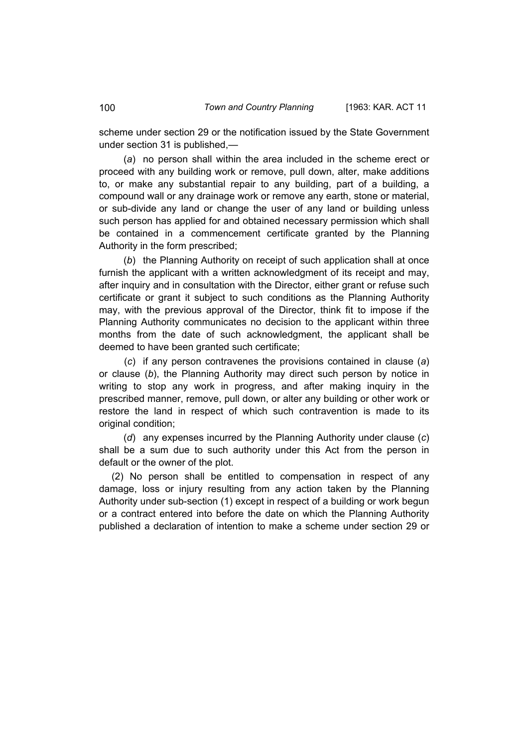scheme under section 29 or the notification issued by the State Government under section 31 is published,—

 (*a*) no person shall within the area included in the scheme erect or proceed with any building work or remove, pull down, alter, make additions to, or make any substantial repair to any building, part of a building, a compound wall or any drainage work or remove any earth, stone or material, or sub-divide any land or change the user of any land or building unless such person has applied for and obtained necessary permission which shall be contained in a commencement certificate granted by the Planning Authority in the form prescribed;

 (*b*) the Planning Authority on receipt of such application shall at once furnish the applicant with a written acknowledgment of its receipt and may, after inquiry and in consultation with the Director, either grant or refuse such certificate or grant it subject to such conditions as the Planning Authority may, with the previous approval of the Director, think fit to impose if the Planning Authority communicates no decision to the applicant within three months from the date of such acknowledgment, the applicant shall be deemed to have been granted such certificate;

 (*c*) if any person contravenes the provisions contained in clause (*a*) or clause (*b*), the Planning Authority may direct such person by notice in writing to stop any work in progress, and after making inquiry in the prescribed manner, remove, pull down, or alter any building or other work or restore the land in respect of which such contravention is made to its original condition:

 (*d*) any expenses incurred by the Planning Authority under clause (*c*) shall be a sum due to such authority under this Act from the person in default or the owner of the plot.

(2) No person shall be entitled to compensation in respect of any damage, loss or injury resulting from any action taken by the Planning Authority under sub-section (1) except in respect of a building or work begun or a contract entered into before the date on which the Planning Authority published a declaration of intention to make a scheme under section 29 or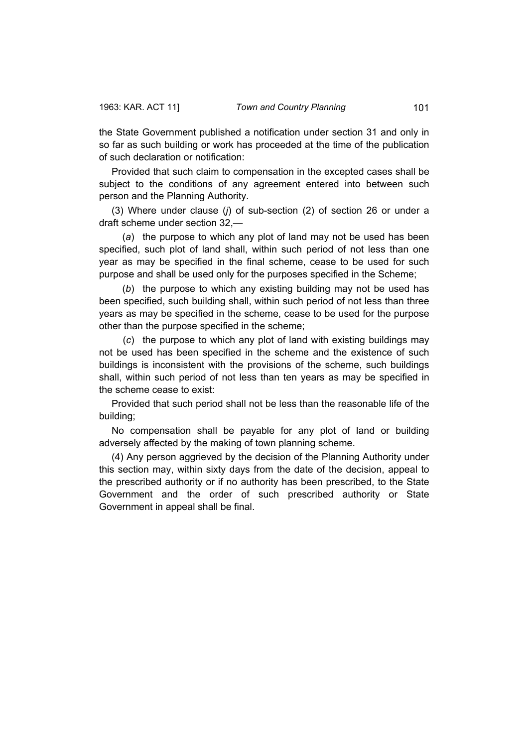the State Government published a notification under section 31 and only in so far as such building or work has proceeded at the time of the publication of such declaration or notification:

Provided that such claim to compensation in the excepted cases shall be subject to the conditions of any agreement entered into between such person and the Planning Authority.

(3) Where under clause (*j*) of sub-section (2) of section 26 or under a draft scheme under section 32,—

 (*a*) the purpose to which any plot of land may not be used has been specified, such plot of land shall, within such period of not less than one year as may be specified in the final scheme, cease to be used for such purpose and shall be used only for the purposes specified in the Scheme;

 (*b*) the purpose to which any existing building may not be used has been specified, such building shall, within such period of not less than three years as may be specified in the scheme, cease to be used for the purpose other than the purpose specified in the scheme;

 (*c*) the purpose to which any plot of land with existing buildings may not be used has been specified in the scheme and the existence of such buildings is inconsistent with the provisions of the scheme, such buildings shall, within such period of not less than ten years as may be specified in the scheme cease to exist:

Provided that such period shall not be less than the reasonable life of the building;

No compensation shall be payable for any plot of land or building adversely affected by the making of town planning scheme.

(4) Any person aggrieved by the decision of the Planning Authority under this section may, within sixty days from the date of the decision, appeal to the prescribed authority or if no authority has been prescribed, to the State Government and the order of such prescribed authority or State Government in appeal shall be final.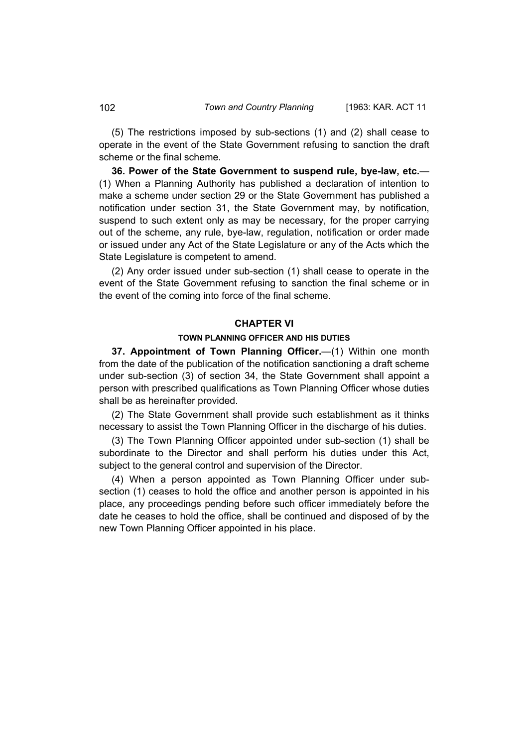(5) The restrictions imposed by sub-sections (1) and (2) shall cease to operate in the event of the State Government refusing to sanction the draft scheme or the final scheme.

**36. Power of the State Government to suspend rule, bye-law, etc.**— (1) When a Planning Authority has published a declaration of intention to make a scheme under section 29 or the State Government has published a notification under section 31, the State Government may, by notification, suspend to such extent only as may be necessary, for the proper carrying out of the scheme, any rule, bye-law, regulation, notification or order made or issued under any Act of the State Legislature or any of the Acts which the State Legislature is competent to amend.

(2) Any order issued under sub-section (1) shall cease to operate in the event of the State Government refusing to sanction the final scheme or in the event of the coming into force of the final scheme.

### **CHAPTER VI**

### **TOWN PLANNING OFFICER AND HIS DUTIES**

**37. Appointment of Town Planning Officer.**—(1) Within one month from the date of the publication of the notification sanctioning a draft scheme under sub-section (3) of section 34, the State Government shall appoint a person with prescribed qualifications as Town Planning Officer whose duties shall be as hereinafter provided.

(2) The State Government shall provide such establishment as it thinks necessary to assist the Town Planning Officer in the discharge of his duties.

(3) The Town Planning Officer appointed under sub-section (1) shall be subordinate to the Director and shall perform his duties under this Act, subject to the general control and supervision of the Director.

(4) When a person appointed as Town Planning Officer under subsection (1) ceases to hold the office and another person is appointed in his place, any proceedings pending before such officer immediately before the date he ceases to hold the office, shall be continued and disposed of by the new Town Planning Officer appointed in his place.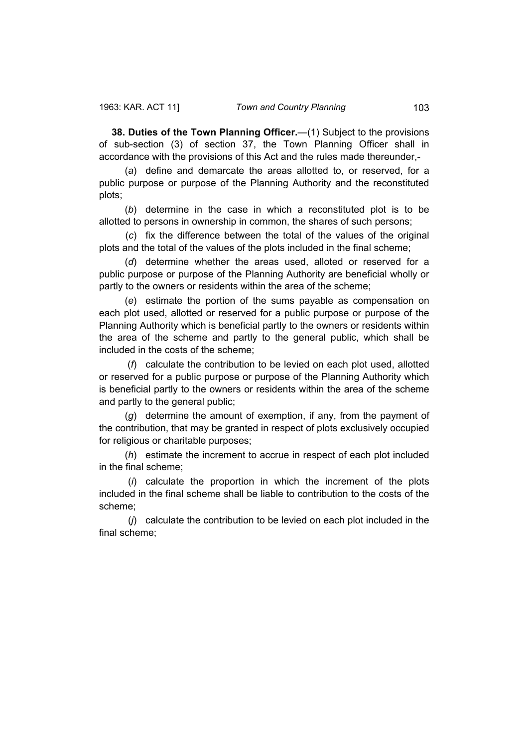**38. Duties of the Town Planning Officer.**—(1) Subject to the provisions of sub-section (3) of section 37, the Town Planning Officer shall in accordance with the provisions of this Act and the rules made thereunder,-

 (*a*) define and demarcate the areas allotted to, or reserved, for a public purpose or purpose of the Planning Authority and the reconstituted plots;

 (*b*) determine in the case in which a reconstituted plot is to be allotted to persons in ownership in common, the shares of such persons;

 (*c*) fix the difference between the total of the values of the original plots and the total of the values of the plots included in the final scheme;

 (*d*) determine whether the areas used, alloted or reserved for a public purpose or purpose of the Planning Authority are beneficial wholly or partly to the owners or residents within the area of the scheme;

 (*e*) estimate the portion of the sums payable as compensation on each plot used, allotted or reserved for a public purpose or purpose of the Planning Authority which is beneficial partly to the owners or residents within the area of the scheme and partly to the general public, which shall be included in the costs of the scheme;

 (*f*) calculate the contribution to be levied on each plot used, allotted or reserved for a public purpose or purpose of the Planning Authority which is beneficial partly to the owners or residents within the area of the scheme and partly to the general public;

 (*g*) determine the amount of exemption, if any, from the payment of the contribution, that may be granted in respect of plots exclusively occupied for religious or charitable purposes;

 (*h*) estimate the increment to accrue in respect of each plot included in the final scheme;

 (*i*) calculate the proportion in which the increment of the plots included in the final scheme shall be liable to contribution to the costs of the scheme;

 (*j*) calculate the contribution to be levied on each plot included in the final scheme;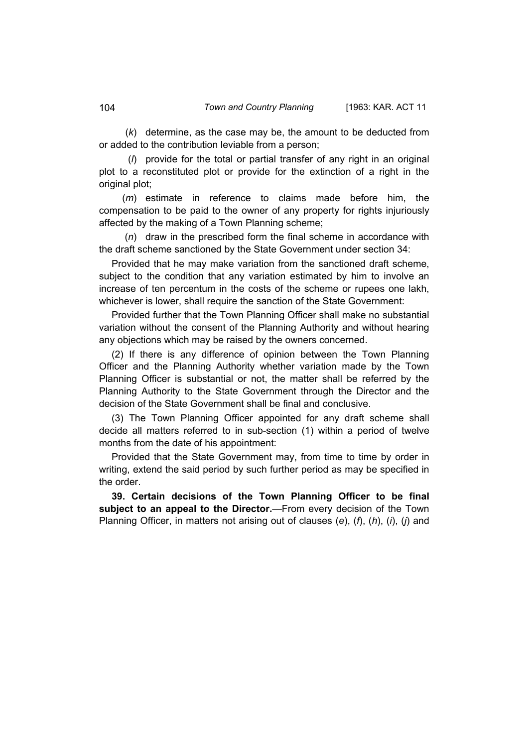(*k*) determine, as the case may be, the amount to be deducted from or added to the contribution leviable from a person;

 (*l*) provide for the total or partial transfer of any right in an original plot to a reconstituted plot or provide for the extinction of a right in the original plot;

 (*m*) estimate in reference to claims made before him, the compensation to be paid to the owner of any property for rights injuriously affected by the making of a Town Planning scheme;

 (*n*) draw in the prescribed form the final scheme in accordance with the draft scheme sanctioned by the State Government under section 34:

Provided that he may make variation from the sanctioned draft scheme, subject to the condition that any variation estimated by him to involve an increase of ten percentum in the costs of the scheme or rupees one lakh, whichever is lower, shall require the sanction of the State Government:

Provided further that the Town Planning Officer shall make no substantial variation without the consent of the Planning Authority and without hearing any objections which may be raised by the owners concerned.

(2) If there is any difference of opinion between the Town Planning Officer and the Planning Authority whether variation made by the Town Planning Officer is substantial or not, the matter shall be referred by the Planning Authority to the State Government through the Director and the decision of the State Government shall be final and conclusive.

(3) The Town Planning Officer appointed for any draft scheme shall decide all matters referred to in sub-section (1) within a period of twelve months from the date of his appointment:

Provided that the State Government may, from time to time by order in writing, extend the said period by such further period as may be specified in the order.

**39. Certain decisions of the Town Planning Officer to be final subject to an appeal to the Director.**—From every decision of the Town Planning Officer, in matters not arising out of clauses (*e*), (*f*), (*h*), (*i*), (*j*) and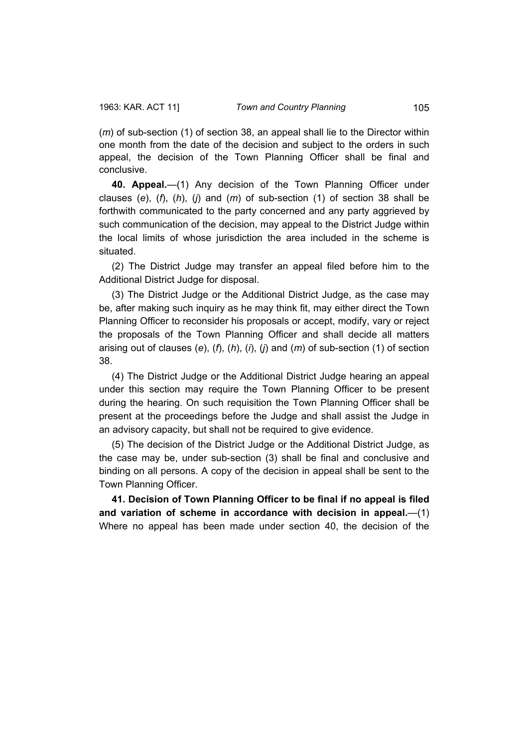(*m*) of sub-section (1) of section 38, an appeal shall lie to the Director within one month from the date of the decision and subject to the orders in such appeal, the decision of the Town Planning Officer shall be final and conclusive.

**40. Appeal.**—(1) Any decision of the Town Planning Officer under clauses (*e*), (*f*), (*h*), (*j*) and (*m*) of sub-section (1) of section 38 shall be forthwith communicated to the party concerned and any party aggrieved by such communication of the decision, may appeal to the District Judge within the local limits of whose jurisdiction the area included in the scheme is situated.

(2) The District Judge may transfer an appeal filed before him to the Additional District Judge for disposal.

(3) The District Judge or the Additional District Judge, as the case may be, after making such inquiry as he may think fit, may either direct the Town Planning Officer to reconsider his proposals or accept, modify, vary or reject the proposals of the Town Planning Officer and shall decide all matters arising out of clauses (*e*), (*f*), (*h*), (*i*), (*j*) and (*m*) of sub-section (1) of section 38.

(4) The District Judge or the Additional District Judge hearing an appeal under this section may require the Town Planning Officer to be present during the hearing. On such requisition the Town Planning Officer shall be present at the proceedings before the Judge and shall assist the Judge in an advisory capacity, but shall not be required to give evidence.

(5) The decision of the District Judge or the Additional District Judge, as the case may be, under sub-section (3) shall be final and conclusive and binding on all persons. A copy of the decision in appeal shall be sent to the Town Planning Officer.

**41. Decision of Town Planning Officer to be final if no appeal is filed and variation of scheme in accordance with decision in appeal.**—(1) Where no appeal has been made under section 40, the decision of the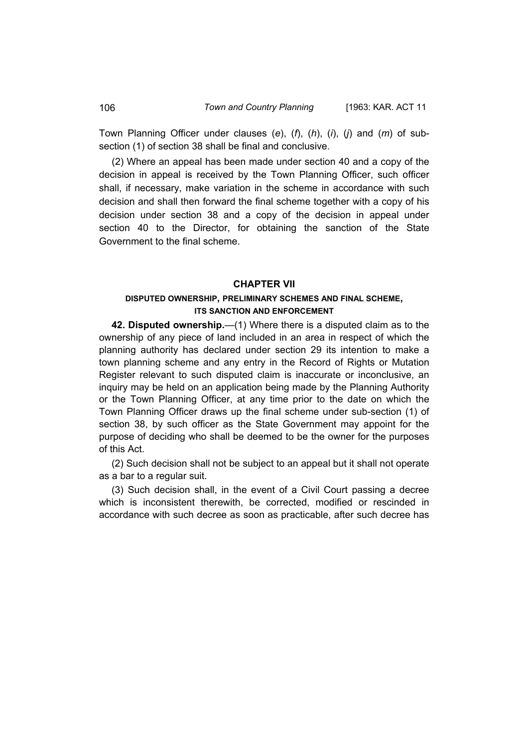Town Planning Officer under clauses (*e*), (*f*), (*h*), (*i*), (*j*) and (*m*) of subsection (1) of section 38 shall be final and conclusive.

(2) Where an appeal has been made under section 40 and a copy of the decision in appeal is received by the Town Planning Officer, such officer shall, if necessary, make variation in the scheme in accordance with such decision and shall then forward the final scheme together with a copy of his decision under section 38 and a copy of the decision in appeal under section 40 to the Director, for obtaining the sanction of the State Government to the final scheme.

#### **CHAPTER VII**

## **DISPUTED OWNERSHIP, PRELIMINARY SCHEMES AND FINAL SCHEME, ITS SANCTION AND ENFORCEMENT**

**42. Disputed ownership.**—(1) Where there is a disputed claim as to the ownership of any piece of land included in an area in respect of which the planning authority has declared under section 29 its intention to make a town planning scheme and any entry in the Record of Rights or Mutation Register relevant to such disputed claim is inaccurate or inconclusive, an inquiry may be held on an application being made by the Planning Authority or the Town Planning Officer, at any time prior to the date on which the Town Planning Officer draws up the final scheme under sub-section (1) of section 38, by such officer as the State Government may appoint for the purpose of deciding who shall be deemed to be the owner for the purposes of this Act.

(2) Such decision shall not be subject to an appeal but it shall not operate as a bar to a regular suit.

(3) Such decision shall, in the event of a Civil Court passing a decree which is inconsistent therewith, be corrected, modified or rescinded in accordance with such decree as soon as practicable, after such decree has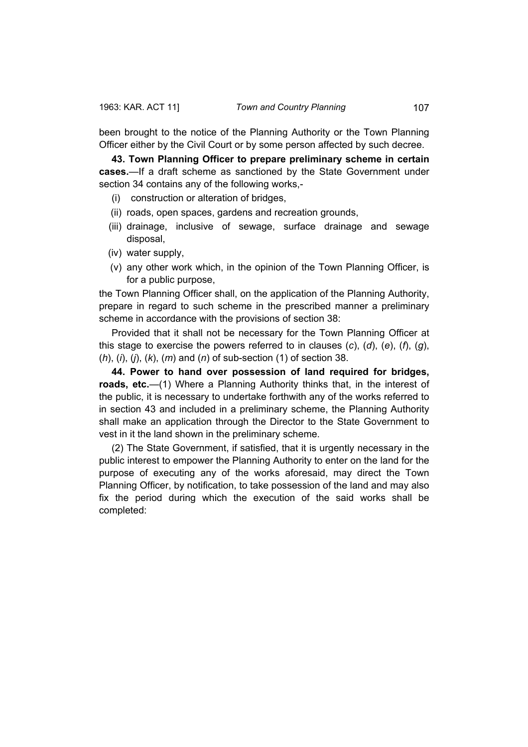been brought to the notice of the Planning Authority or the Town Planning Officer either by the Civil Court or by some person affected by such decree.

**43. Town Planning Officer to prepare preliminary scheme in certain cases.**—If a draft scheme as sanctioned by the State Government under section 34 contains any of the following works,-

- (i) construction or alteration of bridges,
- (ii) roads, open spaces, gardens and recreation grounds,
- (iii) drainage, inclusive of sewage, surface drainage and sewage disposal,
- (iv) water supply,
- (v) any other work which, in the opinion of the Town Planning Officer, is for a public purpose,

the Town Planning Officer shall, on the application of the Planning Authority, prepare in regard to such scheme in the prescribed manner a preliminary scheme in accordance with the provisions of section 38:

Provided that it shall not be necessary for the Town Planning Officer at this stage to exercise the powers referred to in clauses (*c*), (*d*), (*e*), (*f*), (*g*), (*h*), (*i*), (*j*), (*k*), (*m*) and (*n*) of sub-section (1) of section 38.

**44. Power to hand over possession of land required for bridges, roads, etc.**—(1) Where a Planning Authority thinks that, in the interest of the public, it is necessary to undertake forthwith any of the works referred to in section 43 and included in a preliminary scheme, the Planning Authority shall make an application through the Director to the State Government to vest in it the land shown in the preliminary scheme.

(2) The State Government, if satisfied, that it is urgently necessary in the public interest to empower the Planning Authority to enter on the land for the purpose of executing any of the works aforesaid, may direct the Town Planning Officer, by notification, to take possession of the land and may also fix the period during which the execution of the said works shall be completed: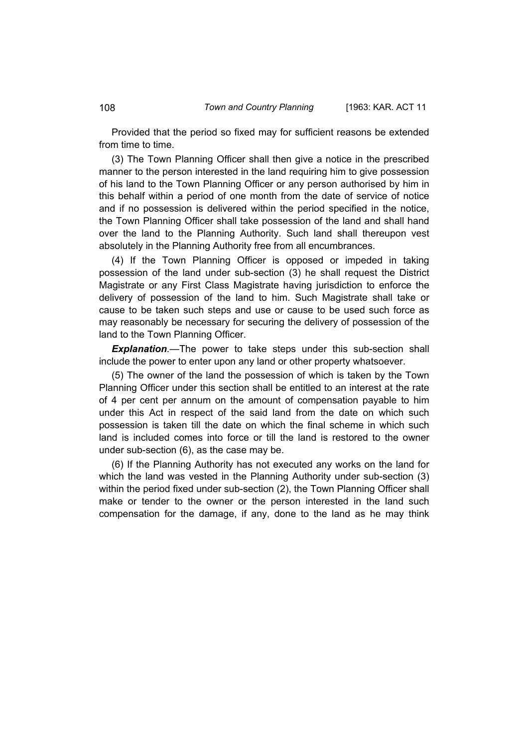Provided that the period so fixed may for sufficient reasons be extended from time to time.

(3) The Town Planning Officer shall then give a notice in the prescribed manner to the person interested in the land requiring him to give possession of his land to the Town Planning Officer or any person authorised by him in this behalf within a period of one month from the date of service of notice and if no possession is delivered within the period specified in the notice, the Town Planning Officer shall take possession of the land and shall hand over the land to the Planning Authority. Such land shall thereupon vest absolutely in the Planning Authority free from all encumbrances.

(4) If the Town Planning Officer is opposed or impeded in taking possession of the land under sub-section (3) he shall request the District Magistrate or any First Class Magistrate having jurisdiction to enforce the delivery of possession of the land to him. Such Magistrate shall take or cause to be taken such steps and use or cause to be used such force as may reasonably be necessary for securing the delivery of possession of the land to the Town Planning Officer.

*Explanation.*—The power to take steps under this sub-section shall include the power to enter upon any land or other property whatsoever.

(5) The owner of the land the possession of which is taken by the Town Planning Officer under this section shall be entitled to an interest at the rate of 4 per cent per annum on the amount of compensation payable to him under this Act in respect of the said land from the date on which such possession is taken till the date on which the final scheme in which such land is included comes into force or till the land is restored to the owner under sub-section (6), as the case may be.

(6) If the Planning Authority has not executed any works on the land for which the land was vested in the Planning Authority under sub-section (3) within the period fixed under sub-section (2), the Town Planning Officer shall make or tender to the owner or the person interested in the land such compensation for the damage, if any, done to the land as he may think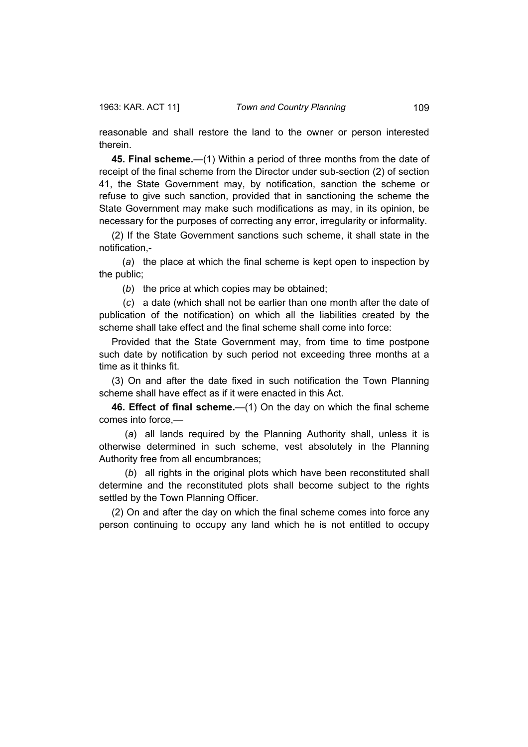reasonable and shall restore the land to the owner or person interested therein.

**45. Final scheme.**—(1) Within a period of three months from the date of receipt of the final scheme from the Director under sub-section (2) of section 41, the State Government may, by notification, sanction the scheme or refuse to give such sanction, provided that in sanctioning the scheme the State Government may make such modifications as may, in its opinion, be necessary for the purposes of correcting any error, irregularity or informality.

(2) If the State Government sanctions such scheme, it shall state in the notification,-

 (*a*) the place at which the final scheme is kept open to inspection by the public;

(*b*) the price at which copies may be obtained;

 (*c*) a date (which shall not be earlier than one month after the date of publication of the notification) on which all the liabilities created by the scheme shall take effect and the final scheme shall come into force:

Provided that the State Government may, from time to time postpone such date by notification by such period not exceeding three months at a time as it thinks fit.

(3) On and after the date fixed in such notification the Town Planning scheme shall have effect as if it were enacted in this Act.

**46. Effect of final scheme.**—(1) On the day on which the final scheme comes into force,—

 (*a*) all lands required by the Planning Authority shall, unless it is otherwise determined in such scheme, vest absolutely in the Planning Authority free from all encumbrances;

 (*b*) all rights in the original plots which have been reconstituted shall determine and the reconstituted plots shall become subject to the rights settled by the Town Planning Officer.

(2) On and after the day on which the final scheme comes into force any person continuing to occupy any land which he is not entitled to occupy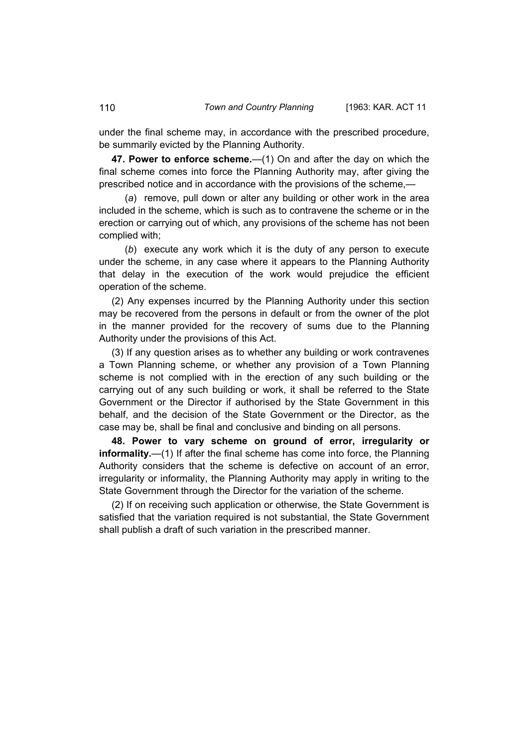under the final scheme may, in accordance with the prescribed procedure, be summarily evicted by the Planning Authority.

**47. Power to enforce scheme.**—(1) On and after the day on which the final scheme comes into force the Planning Authority may, after giving the prescribed notice and in accordance with the provisions of the scheme,—

 (*a*) remove, pull down or alter any building or other work in the area included in the scheme, which is such as to contravene the scheme or in the erection or carrying out of which, any provisions of the scheme has not been complied with;

 (*b*) execute any work which it is the duty of any person to execute under the scheme, in any case where it appears to the Planning Authority that delay in the execution of the work would prejudice the efficient operation of the scheme.

(2) Any expenses incurred by the Planning Authority under this section may be recovered from the persons in default or from the owner of the plot in the manner provided for the recovery of sums due to the Planning Authority under the provisions of this Act.

(3) If any question arises as to whether any building or work contravenes a Town Planning scheme, or whether any provision of a Town Planning scheme is not complied with in the erection of any such building or the carrying out of any such building or work, it shall be referred to the State Government or the Director if authorised by the State Government in this behalf, and the decision of the State Government or the Director, as the case may be, shall be final and conclusive and binding on all persons.

**48. Power to vary scheme on ground of error, irregularity or informality.**—(1) If after the final scheme has come into force, the Planning Authority considers that the scheme is defective on account of an error, irregularity or informality, the Planning Authority may apply in writing to the State Government through the Director for the variation of the scheme.

(2) If on receiving such application or otherwise, the State Government is satisfied that the variation required is not substantial, the State Government shall publish a draft of such variation in the prescribed manner.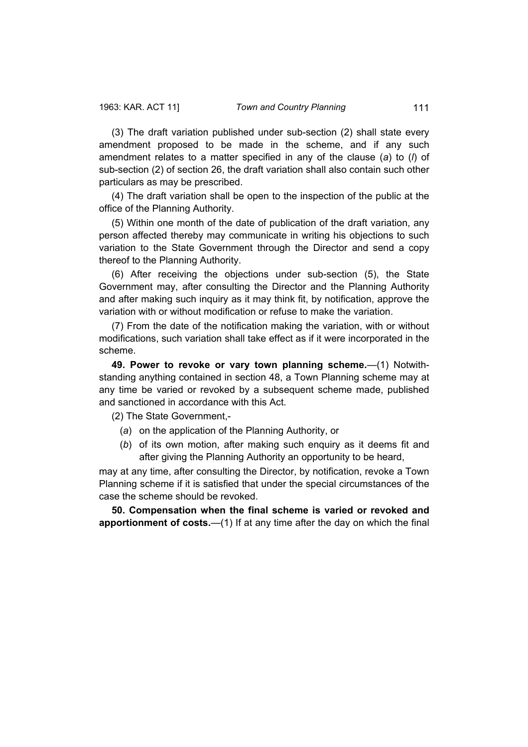(3) The draft variation published under sub-section (2) shall state every amendment proposed to be made in the scheme, and if any such amendment relates to a matter specified in any of the clause (*a*) to (*l*) of sub-section (2) of section 26, the draft variation shall also contain such other particulars as may be prescribed.

(4) The draft variation shall be open to the inspection of the public at the office of the Planning Authority.

(5) Within one month of the date of publication of the draft variation, any person affected thereby may communicate in writing his objections to such variation to the State Government through the Director and send a copy thereof to the Planning Authority.

(6) After receiving the objections under sub-section (5), the State Government may, after consulting the Director and the Planning Authority and after making such inquiry as it may think fit, by notification, approve the variation with or without modification or refuse to make the variation.

(7) From the date of the notification making the variation, with or without modifications, such variation shall take effect as if it were incorporated in the scheme.

**49. Power to revoke or vary town planning scheme.**—(1) Notwithstanding anything contained in section 48, a Town Planning scheme may at any time be varied or revoked by a subsequent scheme made, published and sanctioned in accordance with this Act.

(2) The State Government,-

- (*a*) on the application of the Planning Authority, or
- (*b*) of its own motion, after making such enquiry as it deems fit and after giving the Planning Authority an opportunity to be heard,

may at any time, after consulting the Director, by notification, revoke a Town Planning scheme if it is satisfied that under the special circumstances of the case the scheme should be revoked.

**50. Compensation when the final scheme is varied or revoked and apportionment of costs.**—(1) If at any time after the day on which the final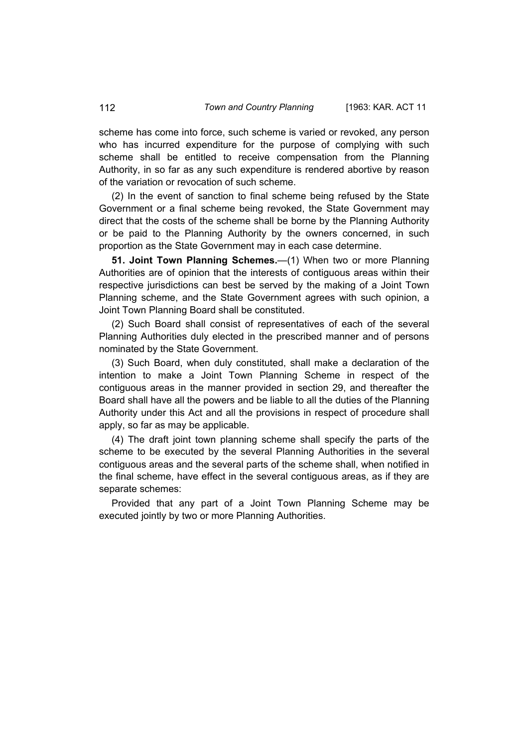scheme has come into force, such scheme is varied or revoked, any person who has incurred expenditure for the purpose of complying with such scheme shall be entitled to receive compensation from the Planning Authority, in so far as any such expenditure is rendered abortive by reason of the variation or revocation of such scheme.

(2) In the event of sanction to final scheme being refused by the State Government or a final scheme being revoked, the State Government may direct that the costs of the scheme shall be borne by the Planning Authority or be paid to the Planning Authority by the owners concerned, in such proportion as the State Government may in each case determine.

**51. Joint Town Planning Schemes.**—(1) When two or more Planning Authorities are of opinion that the interests of contiguous areas within their respective jurisdictions can best be served by the making of a Joint Town Planning scheme, and the State Government agrees with such opinion, a Joint Town Planning Board shall be constituted.

(2) Such Board shall consist of representatives of each of the several Planning Authorities duly elected in the prescribed manner and of persons nominated by the State Government.

(3) Such Board, when duly constituted, shall make a declaration of the intention to make a Joint Town Planning Scheme in respect of the contiguous areas in the manner provided in section 29, and thereafter the Board shall have all the powers and be liable to all the duties of the Planning Authority under this Act and all the provisions in respect of procedure shall apply, so far as may be applicable.

(4) The draft joint town planning scheme shall specify the parts of the scheme to be executed by the several Planning Authorities in the several contiguous areas and the several parts of the scheme shall, when notified in the final scheme, have effect in the several contiguous areas, as if they are separate schemes:

Provided that any part of a Joint Town Planning Scheme may be executed jointly by two or more Planning Authorities.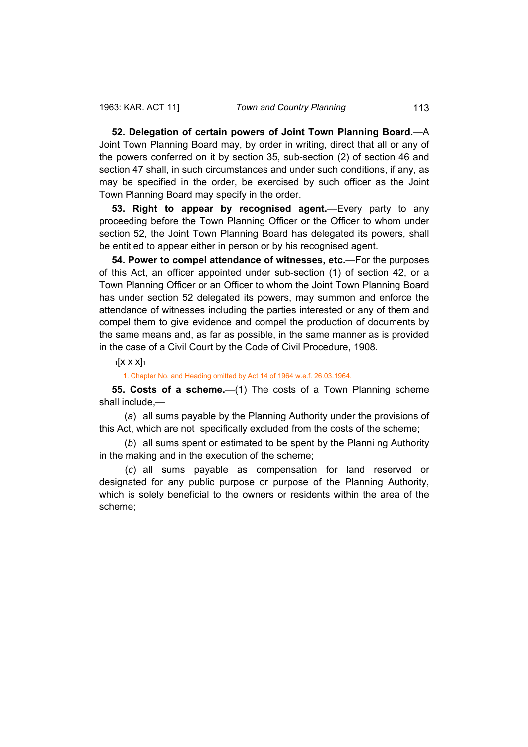**52. Delegation of certain powers of Joint Town Planning Board.**—A Joint Town Planning Board may, by order in writing, direct that all or any of the powers conferred on it by section 35, sub-section (2) of section 46 and section 47 shall, in such circumstances and under such conditions, if any, as may be specified in the order, be exercised by such officer as the Joint Town Planning Board may specify in the order.

**53. Right to appear by recognised agent.**—Every party to any proceeding before the Town Planning Officer or the Officer to whom under section 52, the Joint Town Planning Board has delegated its powers, shall be entitled to appear either in person or by his recognised agent.

**54. Power to compel attendance of witnesses, etc.**—For the purposes of this Act, an officer appointed under sub-section (1) of section 42, or a Town Planning Officer or an Officer to whom the Joint Town Planning Board has under section 52 delegated its powers, may summon and enforce the attendance of witnesses including the parties interested or any of them and compel them to give evidence and compel the production of documents by the same means and, as far as possible, in the same manner as is provided in the case of a Civil Court by the Code of Civil Procedure, 1908.

 $1$ [X X X] $1$ 

1. Chapter No. and Heading omitted by Act 14 of 1964 w.e.f. 26.03.1964.

**55. Costs of a scheme.**—(1) The costs of a Town Planning scheme shall include,—

 (*a*) all sums payable by the Planning Authority under the provisions of this Act, which are not specifically excluded from the costs of the scheme;

 (*b*) all sums spent or estimated to be spent by the Planni ng Authority in the making and in the execution of the scheme;

 (*c*) all sums payable as compensation for land reserved or designated for any public purpose or purpose of the Planning Authority, which is solely beneficial to the owners or residents within the area of the scheme;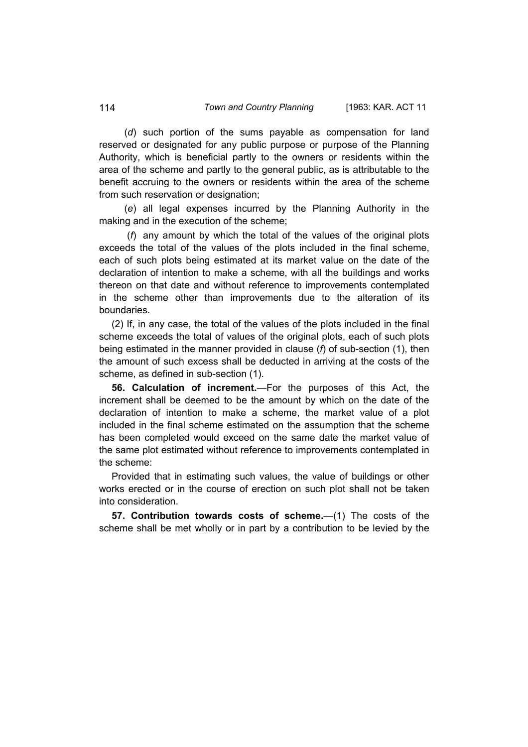(*d*) such portion of the sums payable as compensation for land reserved or designated for any public purpose or purpose of the Planning Authority, which is beneficial partly to the owners or residents within the area of the scheme and partly to the general public, as is attributable to the benefit accruing to the owners or residents within the area of the scheme from such reservation or designation;

 (*e*) all legal expenses incurred by the Planning Authority in the making and in the execution of the scheme;

 (*f*) any amount by which the total of the values of the original plots exceeds the total of the values of the plots included in the final scheme, each of such plots being estimated at its market value on the date of the declaration of intention to make a scheme, with all the buildings and works thereon on that date and without reference to improvements contemplated in the scheme other than improvements due to the alteration of its boundaries.

(2) If, in any case, the total of the values of the plots included in the final scheme exceeds the total of values of the original plots, each of such plots being estimated in the manner provided in clause (*f*) of sub-section (1), then the amount of such excess shall be deducted in arriving at the costs of the scheme, as defined in sub-section (1).

**56. Calculation of increment.**—For the purposes of this Act, the increment shall be deemed to be the amount by which on the date of the declaration of intention to make a scheme, the market value of a plot included in the final scheme estimated on the assumption that the scheme has been completed would exceed on the same date the market value of the same plot estimated without reference to improvements contemplated in the scheme:

Provided that in estimating such values, the value of buildings or other works erected or in the course of erection on such plot shall not be taken into consideration.

**57. Contribution towards costs of scheme.**—(1) The costs of the scheme shall be met wholly or in part by a contribution to be levied by the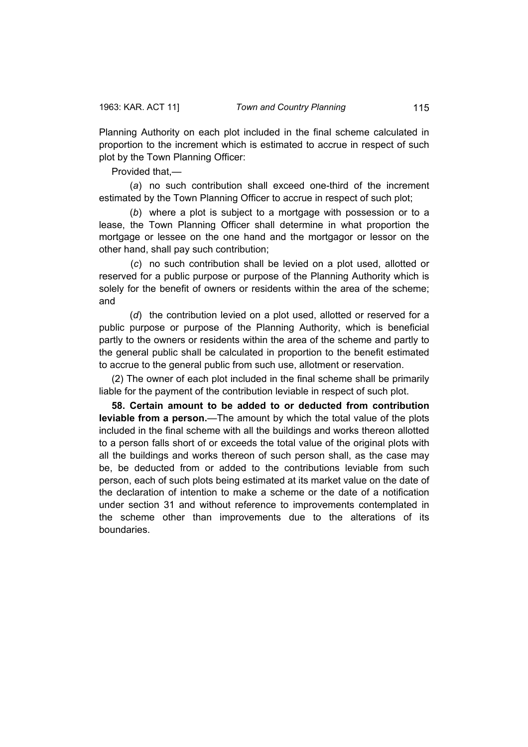Planning Authority on each plot included in the final scheme calculated in proportion to the increment which is estimated to accrue in respect of such plot by the Town Planning Officer:

Provided that,—

 (*a*) no such contribution shall exceed one-third of the increment estimated by the Town Planning Officer to accrue in respect of such plot;

 (*b*) where a plot is subject to a mortgage with possession or to a lease, the Town Planning Officer shall determine in what proportion the mortgage or lessee on the one hand and the mortgagor or lessor on the other hand, shall pay such contribution;

 (*c*) no such contribution shall be levied on a plot used, allotted or reserved for a public purpose or purpose of the Planning Authority which is solely for the benefit of owners or residents within the area of the scheme; and

 (*d*) the contribution levied on a plot used, allotted or reserved for a public purpose or purpose of the Planning Authority, which is beneficial partly to the owners or residents within the area of the scheme and partly to the general public shall be calculated in proportion to the benefit estimated to accrue to the general public from such use, allotment or reservation.

(2) The owner of each plot included in the final scheme shall be primarily liable for the payment of the contribution leviable in respect of such plot.

**58. Certain amount to be added to or deducted from contribution leviable from a person.**—The amount by which the total value of the plots included in the final scheme with all the buildings and works thereon allotted to a person falls short of or exceeds the total value of the original plots with all the buildings and works thereon of such person shall, as the case may be, be deducted from or added to the contributions leviable from such person, each of such plots being estimated at its market value on the date of the declaration of intention to make a scheme or the date of a notification under section 31 and without reference to improvements contemplated in the scheme other than improvements due to the alterations of its boundaries.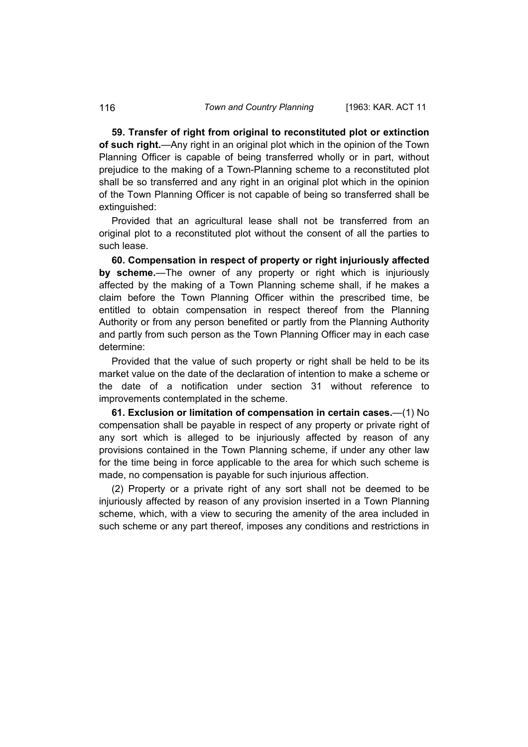**59. Transfer of right from original to reconstituted plot or extinction of such right.**—Any right in an original plot which in the opinion of the Town Planning Officer is capable of being transferred wholly or in part, without prejudice to the making of a Town-Planning scheme to a reconstituted plot shall be so transferred and any right in an original plot which in the opinion of the Town Planning Officer is not capable of being so transferred shall be extinguished:

Provided that an agricultural lease shall not be transferred from an original plot to a reconstituted plot without the consent of all the parties to such lease.

**60. Compensation in respect of property or right injuriously affected by scheme.**—The owner of any property or right which is injuriously affected by the making of a Town Planning scheme shall, if he makes a claim before the Town Planning Officer within the prescribed time, be entitled to obtain compensation in respect thereof from the Planning Authority or from any person benefited or partly from the Planning Authority and partly from such person as the Town Planning Officer may in each case determine:

Provided that the value of such property or right shall be held to be its market value on the date of the declaration of intention to make a scheme or the date of a notification under section 31 without reference to improvements contemplated in the scheme.

**61. Exclusion or limitation of compensation in certain cases.**—(1) No compensation shall be payable in respect of any property or private right of any sort which is alleged to be injuriously affected by reason of any provisions contained in the Town Planning scheme, if under any other law for the time being in force applicable to the area for which such scheme is made, no compensation is payable for such injurious affection.

(2) Property or a private right of any sort shall not be deemed to be injuriously affected by reason of any provision inserted in a Town Planning scheme, which, with a view to securing the amenity of the area included in such scheme or any part thereof, imposes any conditions and restrictions in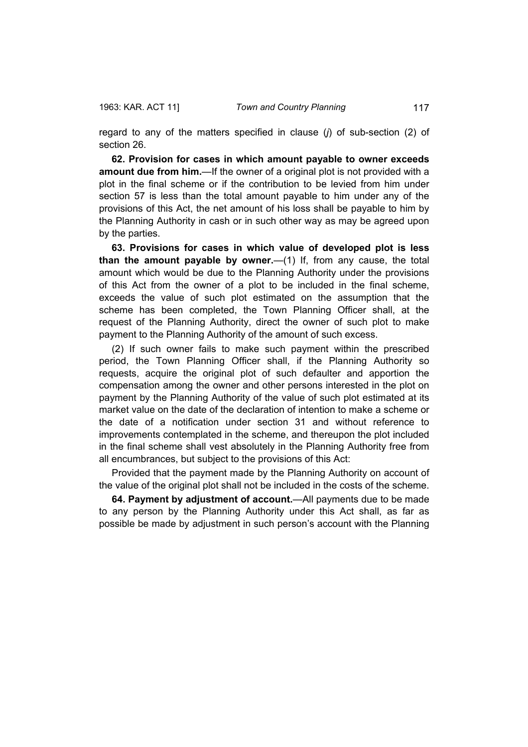regard to any of the matters specified in clause (*j*) of sub-section (2) of section 26.

**62. Provision for cases in which amount payable to owner exceeds amount due from him.**—If the owner of a original plot is not provided with a plot in the final scheme or if the contribution to be levied from him under section 57 is less than the total amount payable to him under any of the provisions of this Act, the net amount of his loss shall be payable to him by the Planning Authority in cash or in such other way as may be agreed upon by the parties.

**63. Provisions for cases in which value of developed plot is less than the amount payable by owner.**—(1) If, from any cause, the total amount which would be due to the Planning Authority under the provisions of this Act from the owner of a plot to be included in the final scheme, exceeds the value of such plot estimated on the assumption that the scheme has been completed, the Town Planning Officer shall, at the request of the Planning Authority, direct the owner of such plot to make payment to the Planning Authority of the amount of such excess.

(2) If such owner fails to make such payment within the prescribed period, the Town Planning Officer shall, if the Planning Authority so requests, acquire the original plot of such defaulter and apportion the compensation among the owner and other persons interested in the plot on payment by the Planning Authority of the value of such plot estimated at its market value on the date of the declaration of intention to make a scheme or the date of a notification under section 31 and without reference to improvements contemplated in the scheme, and thereupon the plot included in the final scheme shall vest absolutely in the Planning Authority free from all encumbrances, but subject to the provisions of this Act:

Provided that the payment made by the Planning Authority on account of the value of the original plot shall not be included in the costs of the scheme.

**64. Payment by adjustment of account.**—All payments due to be made to any person by the Planning Authority under this Act shall, as far as possible be made by adjustment in such person's account with the Planning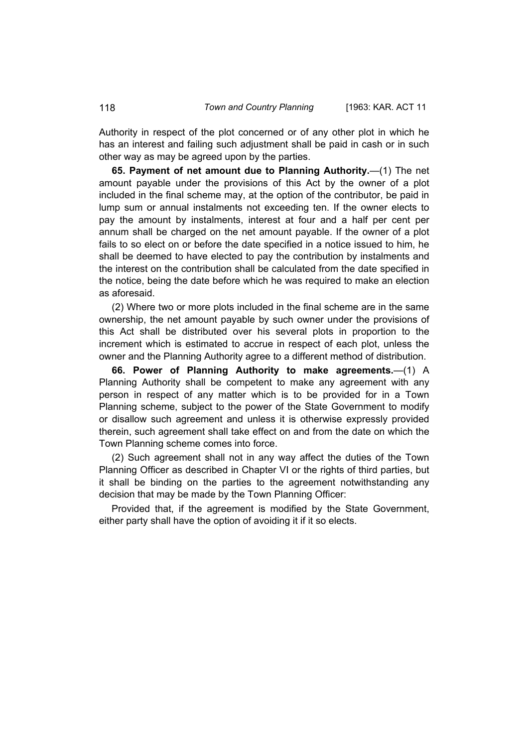Authority in respect of the plot concerned or of any other plot in which he has an interest and failing such adjustment shall be paid in cash or in such other way as may be agreed upon by the parties.

**65. Payment of net amount due to Planning Authority.**—(1) The net amount payable under the provisions of this Act by the owner of a plot included in the final scheme may, at the option of the contributor, be paid in lump sum or annual instalments not exceeding ten. If the owner elects to pay the amount by instalments, interest at four and a half per cent per annum shall be charged on the net amount payable. If the owner of a plot fails to so elect on or before the date specified in a notice issued to him, he shall be deemed to have elected to pay the contribution by instalments and the interest on the contribution shall be calculated from the date specified in the notice, being the date before which he was required to make an election as aforesaid.

(2) Where two or more plots included in the final scheme are in the same ownership, the net amount payable by such owner under the provisions of this Act shall be distributed over his several plots in proportion to the increment which is estimated to accrue in respect of each plot, unless the owner and the Planning Authority agree to a different method of distribution.

**66. Power of Planning Authority to make agreements.**—(1) A Planning Authority shall be competent to make any agreement with any person in respect of any matter which is to be provided for in a Town Planning scheme, subject to the power of the State Government to modify or disallow such agreement and unless it is otherwise expressly provided therein, such agreement shall take effect on and from the date on which the Town Planning scheme comes into force.

(2) Such agreement shall not in any way affect the duties of the Town Planning Officer as described in Chapter VI or the rights of third parties, but it shall be binding on the parties to the agreement notwithstanding any decision that may be made by the Town Planning Officer:

Provided that, if the agreement is modified by the State Government, either party shall have the option of avoiding it if it so elects.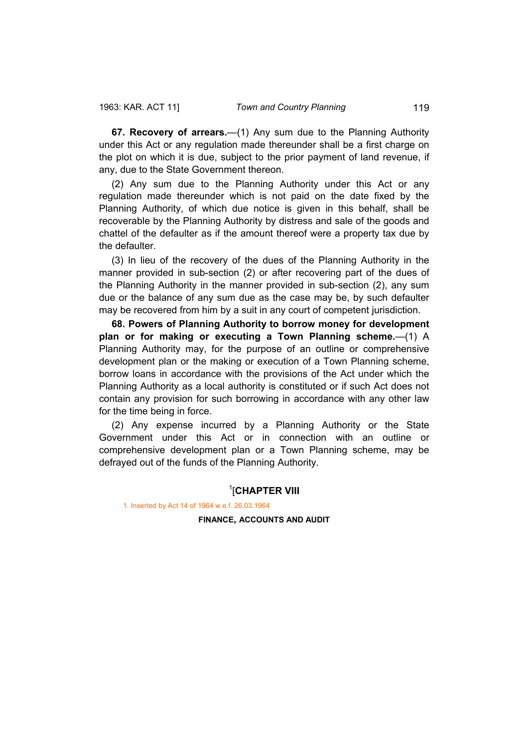**67. Recovery of arrears.**—(1) Any sum due to the Planning Authority under this Act or any regulation made thereunder shall be a first charge on the plot on which it is due, subject to the prior payment of land revenue, if any, due to the State Government thereon.

(2) Any sum due to the Planning Authority under this Act or any regulation made thereunder which is not paid on the date fixed by the Planning Authority, of which due notice is given in this behalf, shall be recoverable by the Planning Authority by distress and sale of the goods and chattel of the defaulter as if the amount thereof were a property tax due by the defaulter.

(3) In lieu of the recovery of the dues of the Planning Authority in the manner provided in sub-section (2) or after recovering part of the dues of the Planning Authority in the manner provided in sub-section (2), any sum due or the balance of any sum due as the case may be, by such defaulter may be recovered from him by a suit in any court of competent jurisdiction.

**68. Powers of Planning Authority to borrow money for development plan or for making or executing a Town Planning scheme.**—(1) A Planning Authority may, for the purpose of an outline or comprehensive development plan or the making or execution of a Town Planning scheme, borrow loans in accordance with the provisions of the Act under which the Planning Authority as a local authority is constituted or if such Act does not contain any provision for such borrowing in accordance with any other law for the time being in force.

(2) Any expense incurred by a Planning Authority or the State Government under this Act or in connection with an outline or comprehensive development plan or a Town Planning scheme, may be defrayed out of the funds of the Planning Authority.

## 1 [**CHAPTER VIII**

1. Inserted by Act 14 of 1964 w.e.f. 26.03.1964

**FINANCE, ACCOUNTS AND AUDIT**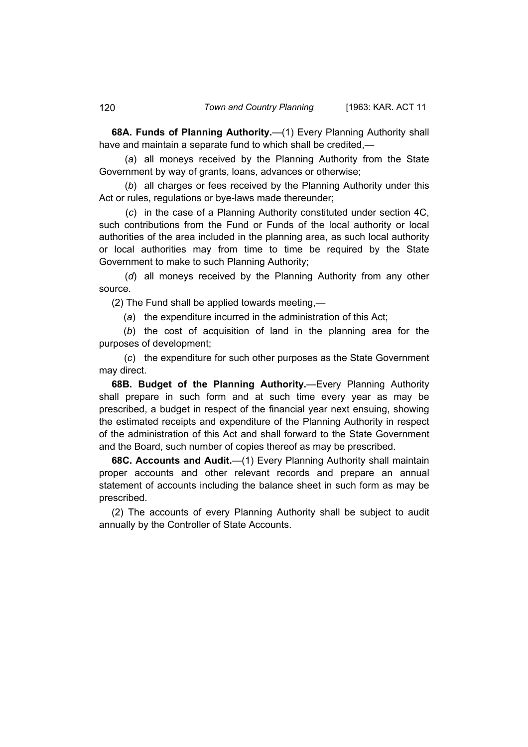**68A. Funds of Planning Authority.**—(1) Every Planning Authority shall have and maintain a separate fund to which shall be credited,—

 (*a*) all moneys received by the Planning Authority from the State Government by way of grants, loans, advances or otherwise;

 (*b*) all charges or fees received by the Planning Authority under this Act or rules, regulations or bye-laws made thereunder;

 (*c*) in the case of a Planning Authority constituted under section 4C, such contributions from the Fund or Funds of the local authority or local authorities of the area included in the planning area, as such local authority or local authorities may from time to time be required by the State Government to make to such Planning Authority;

 (*d*) all moneys received by the Planning Authority from any other source.

(2) The Fund shall be applied towards meeting,—

(*a*) the expenditure incurred in the administration of this Act;

 (*b*) the cost of acquisition of land in the planning area for the purposes of development;

 (*c*) the expenditure for such other purposes as the State Government may direct.

**68B. Budget of the Planning Authority.**—Every Planning Authority shall prepare in such form and at such time every year as may be prescribed, a budget in respect of the financial year next ensuing, showing the estimated receipts and expenditure of the Planning Authority in respect of the administration of this Act and shall forward to the State Government and the Board, such number of copies thereof as may be prescribed.

**68C. Accounts and Audit.**—(1) Every Planning Authority shall maintain proper accounts and other relevant records and prepare an annual statement of accounts including the balance sheet in such form as may be prescribed.

(2) The accounts of every Planning Authority shall be subject to audit annually by the Controller of State Accounts.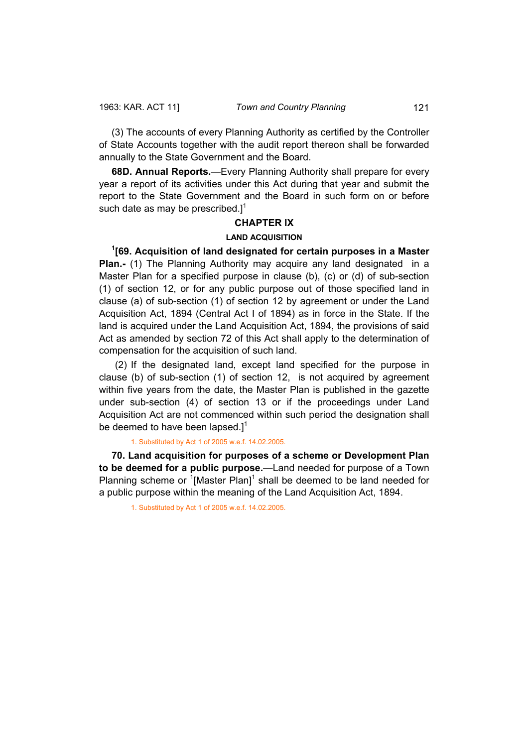(3) The accounts of every Planning Authority as certified by the Controller of State Accounts together with the audit report thereon shall be forwarded annually to the State Government and the Board.

**68D. Annual Reports.**—Every Planning Authority shall prepare for every year a report of its activities under this Act during that year and submit the report to the State Government and the Board in such form on or before such date as may be prescribed. $1^1$ 

## **CHAPTER IX**

### **LAND ACQUISITION**

**1 [69. Acquisition of land designated for certain purposes in a Master Plan.-** (1) The Planning Authority may acquire any land designated in a Master Plan for a specified purpose in clause (b), (c) or (d) of sub-section (1) of section 12, or for any public purpose out of those specified land in clause (a) of sub-section (1) of section 12 by agreement or under the Land Acquisition Act, 1894 (Central Act I of 1894) as in force in the State. If the land is acquired under the Land Acquisition Act, 1894, the provisions of said Act as amended by section 72 of this Act shall apply to the determination of compensation for the acquisition of such land.

 (2) If the designated land, except land specified for the purpose in clause (b) of sub-section (1) of section 12, is not acquired by agreement within five years from the date, the Master Plan is published in the gazette under sub-section (4) of section 13 or if the proceedings under Land Acquisition Act are not commenced within such period the designation shall be deemed to have been lapsed.] $1$ 

## 1. Substituted by Act 1 of 2005 w.e.f. 14.02.2005.

**70. Land acquisition for purposes of a scheme or Development Plan to be deemed for a public purpose.**—Land needed for purpose of a Town Planning scheme or  $\textsuperscript{1}{1}$  Master Plan]<sup>1</sup> shall be deemed to be land needed for a public purpose within the meaning of the Land Acquisition Act, 1894.

1. Substituted by Act 1 of 2005 w.e.f. 14.02.2005.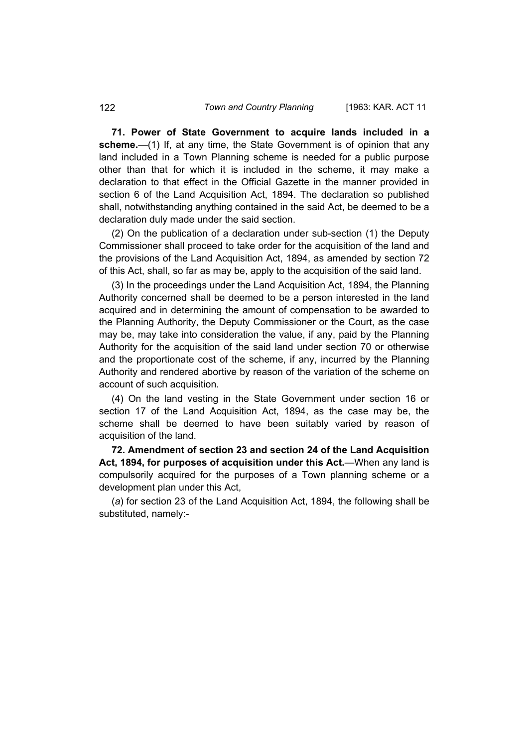**71. Power of State Government to acquire lands included in a scheme.**—(1) If, at any time, the State Government is of opinion that any land included in a Town Planning scheme is needed for a public purpose other than that for which it is included in the scheme, it may make a declaration to that effect in the Official Gazette in the manner provided in section 6 of the Land Acquisition Act, 1894. The declaration so published shall, notwithstanding anything contained in the said Act, be deemed to be a declaration duly made under the said section.

(2) On the publication of a declaration under sub-section (1) the Deputy Commissioner shall proceed to take order for the acquisition of the land and the provisions of the Land Acquisition Act, 1894, as amended by section 72 of this Act, shall, so far as may be, apply to the acquisition of the said land.

(3) In the proceedings under the Land Acquisition Act, 1894, the Planning Authority concerned shall be deemed to be a person interested in the land acquired and in determining the amount of compensation to be awarded to the Planning Authority, the Deputy Commissioner or the Court, as the case may be, may take into consideration the value, if any, paid by the Planning Authority for the acquisition of the said land under section 70 or otherwise and the proportionate cost of the scheme, if any, incurred by the Planning Authority and rendered abortive by reason of the variation of the scheme on account of such acquisition.

(4) On the land vesting in the State Government under section 16 or section 17 of the Land Acquisition Act, 1894, as the case may be, the scheme shall be deemed to have been suitably varied by reason of acquisition of the land.

**72. Amendment of section 23 and section 24 of the Land Acquisition Act, 1894, for purposes of acquisition under this Act.**—When any land is compulsorily acquired for the purposes of a Town planning scheme or a development plan under this Act,

(*a*) for section 23 of the Land Acquisition Act, 1894, the following shall be substituted, namely:-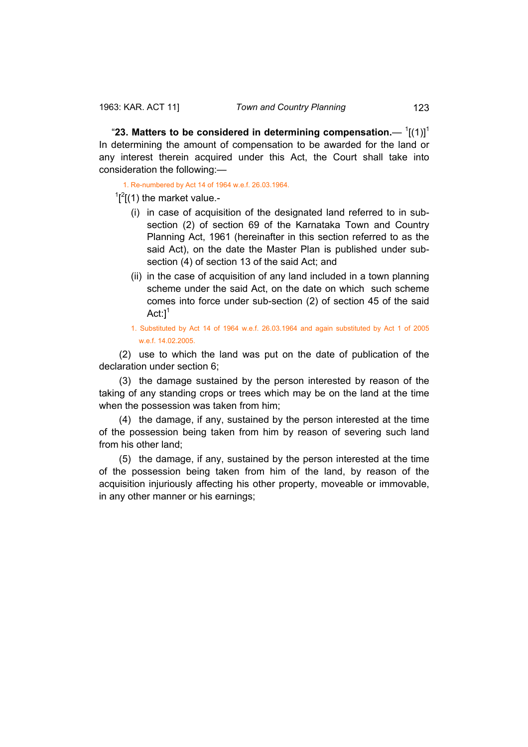"23. Matters to be considered in determining compensation.— $1[(1)]^1$ In determining the amount of compensation to be awarded for the land or any interest therein acquired under this Act, the Court shall take into consideration the following:—

1. Re-numbered by Act 14 of 1964 w.e.f. 26.03.1964.

 $\int_1^2$ [(1) the market value.-

- (i) in case of acquisition of the designated land referred to in subsection (2) of section 69 of the Karnataka Town and Country Planning Act, 1961 (hereinafter in this section referred to as the said Act), on the date the Master Plan is published under subsection (4) of section 13 of the said Act; and
- (ii) in the case of acquisition of any land included in a town planning scheme under the said Act, on the date on which such scheme comes into force under sub-section (2) of section 45 of the said Act: $l^1$
- 1. Substituted by Act 14 of 1964 w.e.f. 26.03.1964 and again substituted by Act 1 of 2005 w.e.f. 14.02.2005.

 (2) use to which the land was put on the date of publication of the declaration under section 6;

 (3) the damage sustained by the person interested by reason of the taking of any standing crops or trees which may be on the land at the time when the possession was taken from him;

 (4) the damage, if any, sustained by the person interested at the time of the possession being taken from him by reason of severing such land from his other land;

 (5) the damage, if any, sustained by the person interested at the time of the possession being taken from him of the land, by reason of the acquisition injuriously affecting his other property, moveable or immovable, in any other manner or his earnings;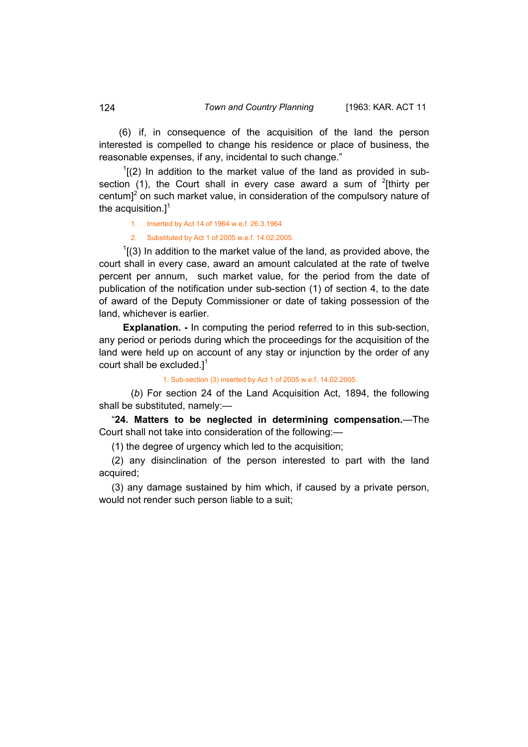(6) if, in consequence of the acquisition of the land the person interested is compelled to change his residence or place of business, the reasonable expenses, if any, incidental to such change."

 $1$ [(2) In addition to the market value of the land as provided in subsection (1), the Court shall in every case award a sum of  $2$ [thirty per centum]<sup>2</sup> on such market value, in consideration of the compulsory nature of the acquisition. $]^{1}$ 

1. Inserted by Act 14 of 1964 w.e.f. 26.3.1964

2. Substituted by Act 1 of 2005 w.e.f. 14.02.2005.

 $1(3)$  In addition to the market value of the land, as provided above, the court shall in every case, award an amount calculated at the rate of twelve percent per annum, such market value, for the period from the date of publication of the notification under sub-section (1) of section 4, to the date of award of the Deputy Commissioner or date of taking possession of the land, whichever is earlier.

**Explanation. -** In computing the period referred to in this sub-section, any period or periods during which the proceedings for the acquisition of the land were held up on account of any stay or injunction by the order of any court shall be excluded. $1^1$ 

1. Sub-section (3) inserted by Act 1 of 2005 w.e.f. 14.02.2005.

(*b*) For section 24 of the Land Acquisition Act, 1894, the following shall be substituted, namely:—

"**24. Matters to be neglected in determining compensation.**—The Court shall not take into consideration of the following:—

(1) the degree of urgency which led to the acquisition;

(2) any disinclination of the person interested to part with the land acquired;

(3) any damage sustained by him which, if caused by a private person, would not render such person liable to a suit;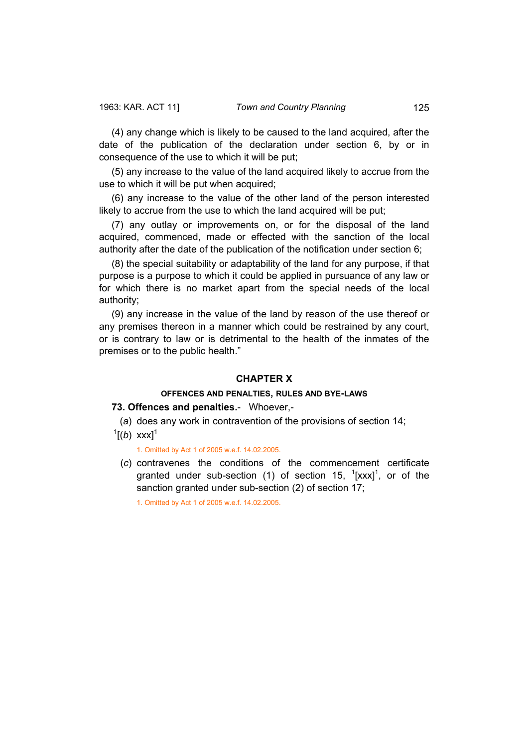(4) any change which is likely to be caused to the land acquired, after the date of the publication of the declaration under section 6, by or in consequence of the use to which it will be put;

(5) any increase to the value of the land acquired likely to accrue from the use to which it will be put when acquired;

(6) any increase to the value of the other land of the person interested likely to accrue from the use to which the land acquired will be put;

(7) any outlay or improvements on, or for the disposal of the land acquired, commenced, made or effected with the sanction of the local authority after the date of the publication of the notification under section 6;

(8) the special suitability or adaptability of the land for any purpose, if that purpose is a purpose to which it could be applied in pursuance of any law or for which there is no market apart from the special needs of the local authority;

(9) any increase in the value of the land by reason of the use thereof or any premises thereon in a manner which could be restrained by any court, or is contrary to law or is detrimental to the health of the inmates of the premises or to the public health."

#### **CHAPTER X**

## **OFFENCES AND PENALTIES, RULES AND BYE-LAWS**

#### **73. Offences and penalties.**- Whoever,-

(*a*) does any work in contravention of the provisions of section 14;

 $^{1}[(b)$  xxx]<sup>1</sup>

1. Omitted by Act 1 of 2005 w.e.f. 14.02.2005.

 (*c*) contravenes the conditions of the commencement certificate granted under sub-section (1) of section 15,  $\left[\frac{1}{x}x^2\right]$ , or of the sanction granted under sub-section (2) of section 17;

1. Omitted by Act 1 of 2005 w.e.f. 14.02.2005.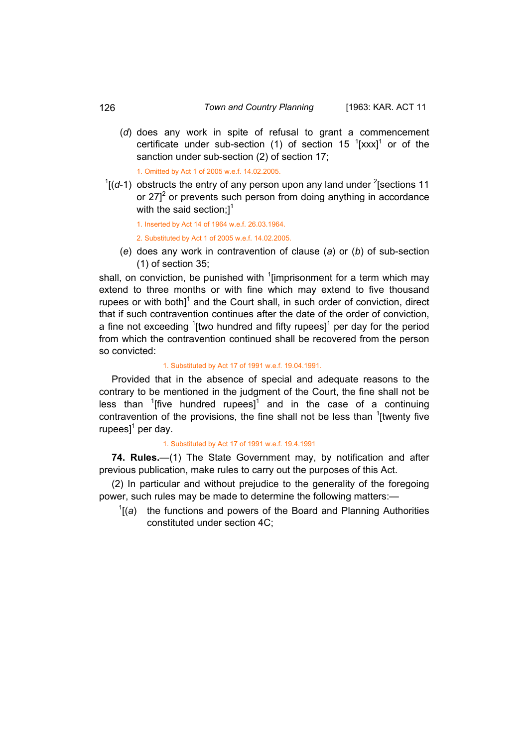(*d*) does any work in spite of refusal to grant a commencement certificate under sub-section (1) of section 15  $1$ [xxx]<sup>1</sup> or of the sanction under sub-section (2) of section 17;

1. Omitted by Act 1 of 2005 w.e.f. 14.02.2005.

 $\frac{1}{1}$  (d-1) obstructs the entry of any person upon any land under <sup>2</sup> [sections 11] or 27 $1^2$  or prevents such person from doing anything in accordance with the said section: $l^1$ 

1. Inserted by Act 14 of 1964 w.e.f. 26.03.1964.

2. Substituted by Act 1 of 2005 w.e.f. 14.02.2005.

 (*e*) does any work in contravention of clause (*a*) or (*b*) of sub-section (1) of section 35;

shall, on conviction, be punished with  $1$ [imprisonment for a term which may extend to three months or with fine which may extend to five thousand rupees or with both] $1$  and the Court shall, in such order of conviction, direct that if such contravention continues after the date of the order of conviction, a fine not exceeding  $\frac{1}{2}$  [two hundred and fifty rupees] $\frac{1}{2}$  per day for the period from which the contravention continued shall be recovered from the person so convicted:

#### 1. Substituted by Act 17 of 1991 w.e.f. 19.04.1991.

Provided that in the absence of special and adequate reasons to the contrary to be mentioned in the judgment of the Court, the fine shall not be less than  $1$ [five hundred rupees]<sup>1</sup> and in the case of a continuing contravention of the provisions, the fine shall not be less than  $1$ [twenty five rupees] $^1$  per day.

## 1. Substituted by Act 17 of 1991 w.e.f. 19.4.1991

**74. Rules.**—(1) The State Government may, by notification and after previous publication, make rules to carry out the purposes of this Act.

(2) In particular and without prejudice to the generality of the foregoing power, such rules may be made to determine the following matters:—

 $\int$ <sup>1</sup>[(a) the functions and powers of the Board and Planning Authorities constituted under section 4C;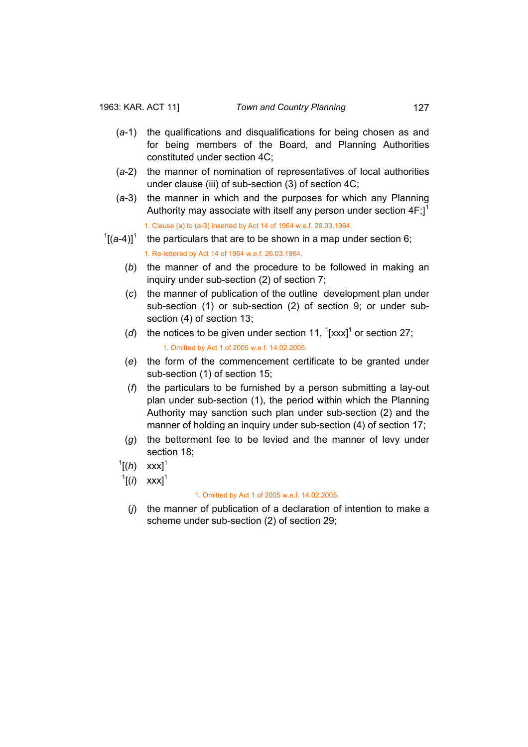- (*a*-1) the qualifications and disqualifications for being chosen as and for being members of the Board, and Planning Authorities constituted under section 4C;
- (*a*-2) the manner of nomination of representatives of local authorities under clause (iii) of sub-section (3) of section 4C;
- (*a*-3) the manner in which and the purposes for which any Planning Authority may associate with itself any person under section  $4F$ ;<sup>1</sup> 1. Clause (a) to (a-3) inserted by Act 14 of 1964 w.e.f. 26.03.1964.
- $\left[1\right]$  the particulars that are to be shown in a map under section 6; 1. Re-lettered by Act 14 of 1964 w.e.f. 26.03.1964.
	- (*b*) the manner of and the procedure to be followed in making an inquiry under sub-section (2) of section 7;
	- (*c*) the manner of publication of the outline development plan under sub-section (1) or sub-section (2) of section 9; or under subsection (4) of section 13;
- (d) the notices to be given under section 11,  $\frac{1}{2}$ [xxx]<sup>1</sup> or section 27; 1. Omitted by Act 1 of 2005 w.e.f. 14.02.2005.
	- (*e*) the form of the commencement certificate to be granted under sub-section (1) of section 15;
	- (*f*) the particulars to be furnished by a person submitting a lay-out plan under sub-section (1), the period within which the Planning Authority may sanction such plan under sub-section (2) and the manner of holding an inquiry under sub-section (4) of section 17;
	- (*g*) the betterment fee to be levied and the manner of levy under section 18;
	- $^{1}$ [(*h*) xxx]<sup>1</sup>
	- $^{1}$ [(*i*) xxx]<sup>1</sup>

#### 1. Omitted by Act 1 of 2005 w.e.f. 14.02.2005.

 (*j*) the manner of publication of a declaration of intention to make a scheme under sub-section (2) of section 29;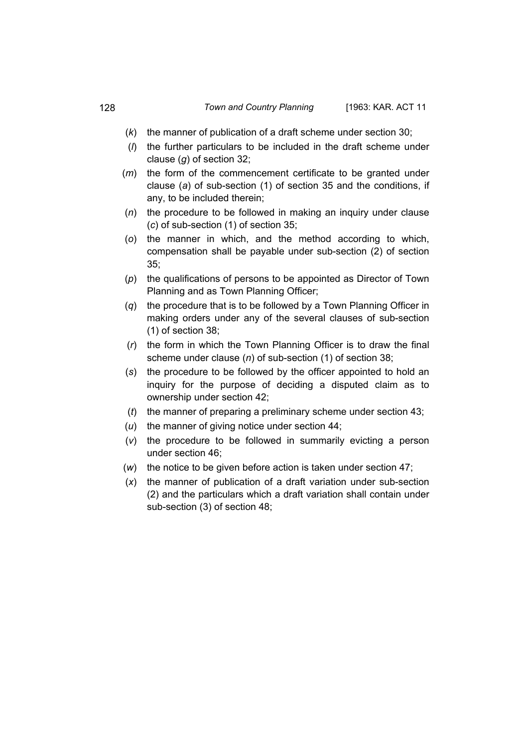- (*k*) the manner of publication of a draft scheme under section 30;
- (*l*) the further particulars to be included in the draft scheme under clause (*g*) of section 32;
- (*m*) the form of the commencement certificate to be granted under clause (*a*) of sub-section (1) of section 35 and the conditions, if any, to be included therein;
- (*n*) the procedure to be followed in making an inquiry under clause (*c*) of sub-section (1) of section 35;
- (*o*) the manner in which, and the method according to which, compensation shall be payable under sub-section (2) of section 35;
- (*p*) the qualifications of persons to be appointed as Director of Town Planning and as Town Planning Officer;
- (*q*) the procedure that is to be followed by a Town Planning Officer in making orders under any of the several clauses of sub-section (1) of section 38;
- (*r*) the form in which the Town Planning Officer is to draw the final scheme under clause (*n*) of sub-section (1) of section 38;
- (*s*) the procedure to be followed by the officer appointed to hold an inquiry for the purpose of deciding a disputed claim as to ownership under section 42;
- (*t*) the manner of preparing a preliminary scheme under section 43;
- (*u*) the manner of giving notice under section 44;
- (*v*) the procedure to be followed in summarily evicting a person under section 46;
- (*w*) the notice to be given before action is taken under section 47;
- (*x*) the manner of publication of a draft variation under sub-section (2) and the particulars which a draft variation shall contain under sub-section (3) of section 48;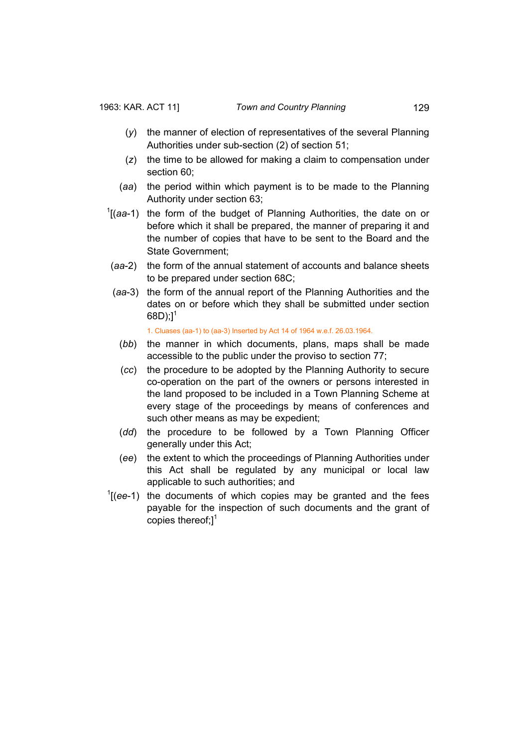- (*y*) the manner of election of representatives of the several Planning Authorities under sub-section (2) of section 51;
- (*z*) the time to be allowed for making a claim to compensation under section 60;
- (*aa*) the period within which payment is to be made to the Planning Authority under section 63;
- 1[(*aa*-1) the form of the budget of Planning Authorities, the date on or before which it shall be prepared, the manner of preparing it and the number of copies that have to be sent to the Board and the State Government;
- (*aa*-2) the form of the annual statement of accounts and balance sheets to be prepared under section 68C;
- (*aa*-3) the form of the annual report of the Planning Authorities and the dates on or before which they shall be submitted under section 68D); $]^{1}$

1. Cluases (aa-1) to (aa-3) Inserted by Act 14 of 1964 w.e.f. 26.03.1964.

- (*bb*) the manner in which documents, plans, maps shall be made accessible to the public under the proviso to section 77;
- (*cc*) the procedure to be adopted by the Planning Authority to secure co-operation on the part of the owners or persons interested in the land proposed to be included in a Town Planning Scheme at every stage of the proceedings by means of conferences and such other means as may be expedient;
- (*dd*) the procedure to be followed by a Town Planning Officer generally under this Act;
- (*ee*) the extent to which the proceedings of Planning Authorities under this Act shall be regulated by any municipal or local law applicable to such authorities; and
- $1$ <sup>( $e$ e<sup>-1</sup>) the documents of which copies may be granted and the fees</sup> payable for the inspection of such documents and the grant of copies thereof; $]^{1}$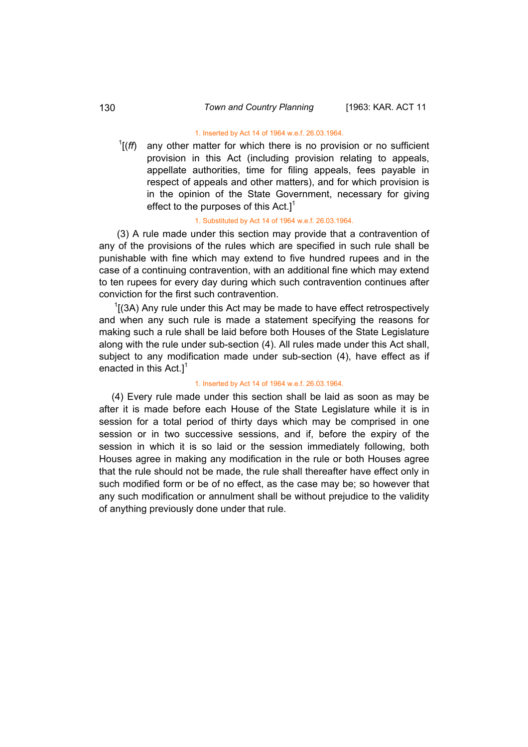#### 1. Inserted by Act 14 of 1964 w.e.f. 26.03.1964.

 $\frac{1}{f}$  (*ff*) any other matter for which there is no provision or no sufficient provision in this Act (including provision relating to appeals, appellate authorities, time for filing appeals, fees payable in respect of appeals and other matters), and for which provision is in the opinion of the State Government, necessary for giving effect to the purposes of this  $Act.1<sup>1</sup>$ 

#### 1. Substituted by Act 14 of 1964 w.e.f. 26.03.1964.

 (3) A rule made under this section may provide that a contravention of any of the provisions of the rules which are specified in such rule shall be punishable with fine which may extend to five hundred rupees and in the case of a continuing contravention, with an additional fine which may extend to ten rupees for every day during which such contravention continues after conviction for the first such contravention.

 $1$ [(3A) Any rule under this Act may be made to have effect retrospectively and when any such rule is made a statement specifying the reasons for making such a rule shall be laid before both Houses of the State Legislature along with the rule under sub-section (4). All rules made under this Act shall, subject to any modification made under sub-section (4), have effect as if enacted in this  $Act.1<sup>1</sup>$ 

#### 1. Inserted by Act 14 of 1964 w.e.f. 26.03.1964.

(4) Every rule made under this section shall be laid as soon as may be after it is made before each House of the State Legislature while it is in session for a total period of thirty days which may be comprised in one session or in two successive sessions, and if, before the expiry of the session in which it is so laid or the session immediately following, both Houses agree in making any modification in the rule or both Houses agree that the rule should not be made, the rule shall thereafter have effect only in such modified form or be of no effect, as the case may be; so however that any such modification or annulment shall be without prejudice to the validity of anything previously done under that rule.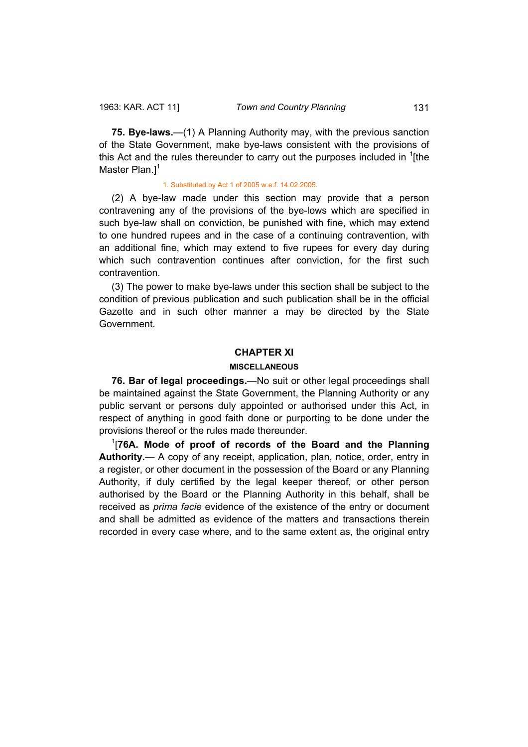**75. Bye-laws.**—(1) A Planning Authority may, with the previous sanction of the State Government, make bye-laws consistent with the provisions of this Act and the rules thereunder to carry out the purposes included in  $1$ [the Master Plan. $]$ <sup>1</sup>

#### 1. Substituted by Act 1 of 2005 w.e.f. 14.02.2005.

(2) A bye-law made under this section may provide that a person contravening any of the provisions of the bye-lows which are specified in such bye-law shall on conviction, be punished with fine, which may extend to one hundred rupees and in the case of a continuing contravention, with an additional fine, which may extend to five rupees for every day during which such contravention continues after conviction, for the first such contravention.

(3) The power to make bye-laws under this section shall be subject to the condition of previous publication and such publication shall be in the official Gazette and in such other manner a may be directed by the State Government.

### **CHAPTER XI**

#### **MISCELLANEOUS**

**76. Bar of legal proceedings.**—No suit or other legal proceedings shall be maintained against the State Government, the Planning Authority or any public servant or persons duly appointed or authorised under this Act, in respect of anything in good faith done or purporting to be done under the provisions thereof or the rules made thereunder.

1 [**76A. Mode of proof of records of the Board and the Planning Authority.**— A copy of any receipt, application, plan, notice, order, entry in a register, or other document in the possession of the Board or any Planning Authority, if duly certified by the legal keeper thereof, or other person authorised by the Board or the Planning Authority in this behalf, shall be received as *prima facie* evidence of the existence of the entry or document and shall be admitted as evidence of the matters and transactions therein recorded in every case where, and to the same extent as, the original entry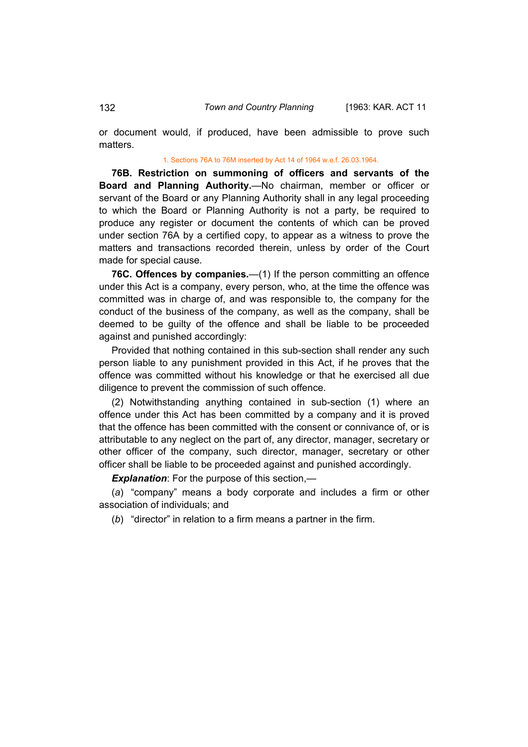or document would, if produced, have been admissible to prove such matters.

#### 1. Sections 76A to 76M inserted by Act 14 of 1964 w.e.f. 26.03.1964.

**76B. Restriction on summoning of officers and servants of the Board and Planning Authority.**—No chairman, member or officer or servant of the Board or any Planning Authority shall in any legal proceeding to which the Board or Planning Authority is not a party, be required to produce any register or document the contents of which can be proved under section 76A by a certified copy, to appear as a witness to prove the matters and transactions recorded therein, unless by order of the Court made for special cause.

**76C. Offences by companies.**—(1) If the person committing an offence under this Act is a company, every person, who, at the time the offence was committed was in charge of, and was responsible to, the company for the conduct of the business of the company, as well as the company, shall be deemed to be guilty of the offence and shall be liable to be proceeded against and punished accordingly:

Provided that nothing contained in this sub-section shall render any such person liable to any punishment provided in this Act, if he proves that the offence was committed without his knowledge or that he exercised all due diligence to prevent the commission of such offence.

(2) Notwithstanding anything contained in sub-section (1) where an offence under this Act has been committed by a company and it is proved that the offence has been committed with the consent or connivance of, or is attributable to any neglect on the part of, any director, manager, secretary or other officer of the company, such director, manager, secretary or other officer shall be liable to be proceeded against and punished accordingly.

*Explanation*: For the purpose of this section,—

(*a*) "company" means a body corporate and includes a firm or other association of individuals; and

(*b*) "director" in relation to a firm means a partner in the firm.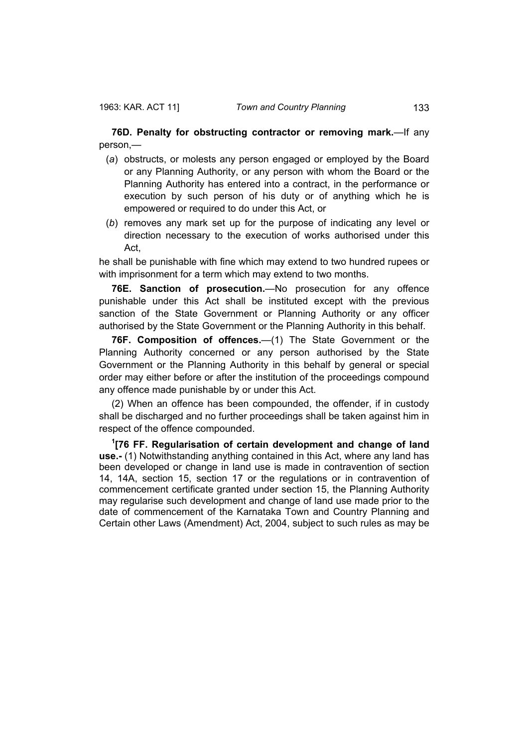**76D. Penalty for obstructing contractor or removing mark.**—If any person,—

- (*a*) obstructs, or molests any person engaged or employed by the Board or any Planning Authority, or any person with whom the Board or the Planning Authority has entered into a contract, in the performance or execution by such person of his duty or of anything which he is empowered or required to do under this Act, or
- (*b*) removes any mark set up for the purpose of indicating any level or direction necessary to the execution of works authorised under this Act,

he shall be punishable with fine which may extend to two hundred rupees or with imprisonment for a term which may extend to two months.

**76E. Sanction of prosecution.**—No prosecution for any offence punishable under this Act shall be instituted except with the previous sanction of the State Government or Planning Authority or any officer authorised by the State Government or the Planning Authority in this behalf.

**76F. Composition of offences.**—(1) The State Government or the Planning Authority concerned or any person authorised by the State Government or the Planning Authority in this behalf by general or special order may either before or after the institution of the proceedings compound any offence made punishable by or under this Act.

(2) When an offence has been compounded, the offender, if in custody shall be discharged and no further proceedings shall be taken against him in respect of the offence compounded.

**1 [76 FF. Regularisation of certain development and change of land use.-** (1) Notwithstanding anything contained in this Act, where any land has been developed or change in land use is made in contravention of section 14, 14A, section 15, section 17 or the regulations or in contravention of commencement certificate granted under section 15, the Planning Authority may regularise such development and change of land use made prior to the date of commencement of the Karnataka Town and Country Planning and Certain other Laws (Amendment) Act, 2004, subject to such rules as may be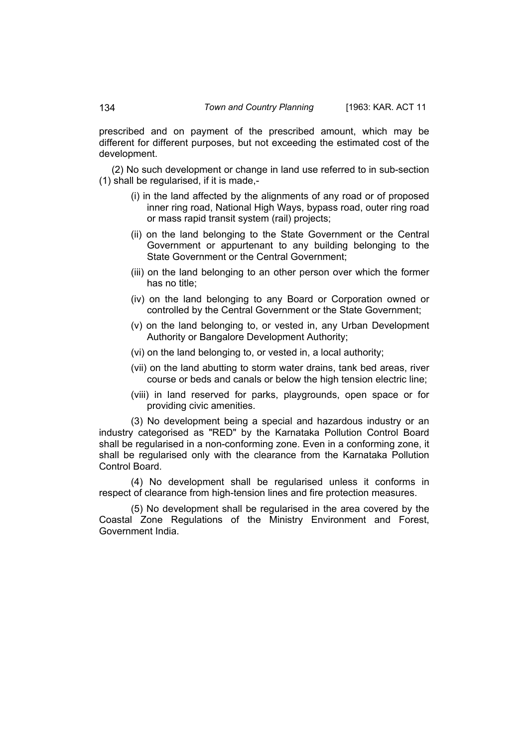prescribed and on payment of the prescribed amount, which may be different for different purposes, but not exceeding the estimated cost of the development.

(2) No such development or change in land use referred to in sub-section (1) shall be regularised, if it is made,-

- (i) in the land affected by the alignments of any road or of proposed inner ring road, National High Ways, bypass road, outer ring road or mass rapid transit system (rail) projects;
- (ii) on the land belonging to the State Government or the Central Government or appurtenant to any building belonging to the State Government or the Central Government;
- (iii) on the land belonging to an other person over which the former has no title;
- (iv) on the land belonging to any Board or Corporation owned or controlled by the Central Government or the State Government;
- (v) on the land belonging to, or vested in, any Urban Development Authority or Bangalore Development Authority;
- (vi) on the land belonging to, or vested in, a local authority;
- (vii) on the land abutting to storm water drains, tank bed areas, river course or beds and canals or below the high tension electric line;
- (viii) in land reserved for parks, playgrounds, open space or for providing civic amenities.

(3) No development being a special and hazardous industry or an industry categorised as "RED" by the Karnataka Pollution Control Board shall be regularised in a non-conforming zone. Even in a conforming zone, it shall be regularised only with the clearance from the Karnataka Pollution Control Board.

(4) No development shall be regularised unless it conforms in respect of clearance from high-tension lines and fire protection measures.

(5) No development shall be regularised in the area covered by the Coastal Zone Regulations of the Ministry Environment and Forest, Government India.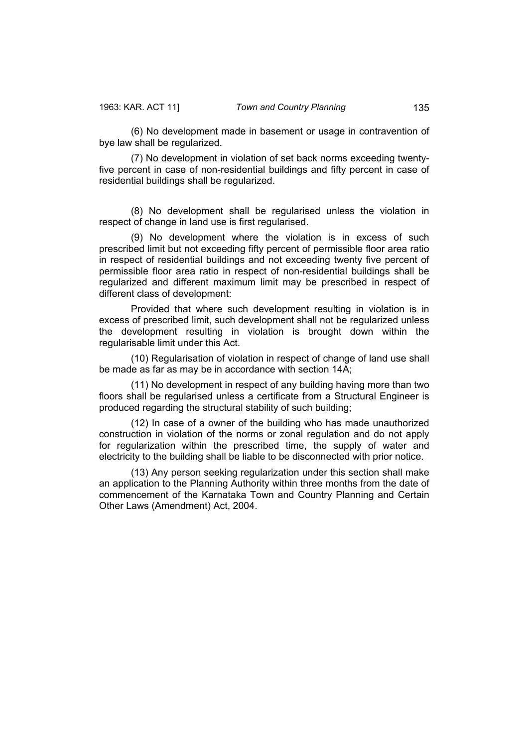(6) No development made in basement or usage in contravention of bye law shall be regularized.

(7) No development in violation of set back norms exceeding twentyfive percent in case of non-residential buildings and fifty percent in case of residential buildings shall be regularized.

(8) No development shall be regularised unless the violation in respect of change in land use is first regularised.

(9) No development where the violation is in excess of such prescribed limit but not exceeding fifty percent of permissible floor area ratio in respect of residential buildings and not exceeding twenty five percent of permissible floor area ratio in respect of non-residential buildings shall be regularized and different maximum limit may be prescribed in respect of different class of development:

Provided that where such development resulting in violation is in excess of prescribed limit, such development shall not be regularized unless the development resulting in violation is brought down within the regularisable limit under this Act.

(10) Regularisation of violation in respect of change of land use shall be made as far as may be in accordance with section 14A;

(11) No development in respect of any building having more than two floors shall be regularised unless a certificate from a Structural Engineer is produced regarding the structural stability of such building;

(12) In case of a owner of the building who has made unauthorized construction in violation of the norms or zonal regulation and do not apply for regularization within the prescribed time, the supply of water and electricity to the building shall be liable to be disconnected with prior notice.

(13) Any person seeking regularization under this section shall make an application to the Planning Authority within three months from the date of commencement of the Karnataka Town and Country Planning and Certain Other Laws (Amendment) Act, 2004.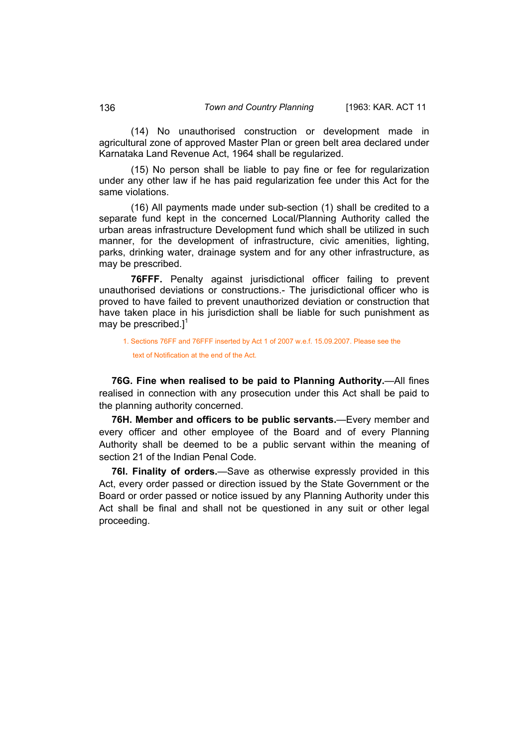(14) No unauthorised construction or development made in agricultural zone of approved Master Plan or green belt area declared under Karnataka Land Revenue Act, 1964 shall be regularized.

(15) No person shall be liable to pay fine or fee for regularization under any other law if he has paid regularization fee under this Act for the same violations.

(16) All payments made under sub-section (1) shall be credited to a separate fund kept in the concerned Local/Planning Authority called the urban areas infrastructure Development fund which shall be utilized in such manner, for the development of infrastructure, civic amenities, lighting, parks, drinking water, drainage system and for any other infrastructure, as may be prescribed.

**76FFF.** Penalty against jurisdictional officer failing to prevent unauthorised deviations or constructions.- The jurisdictional officer who is proved to have failed to prevent unauthorized deviation or construction that have taken place in his jurisdiction shall be liable for such punishment as may be prescribed.] $<sup>1</sup>$ </sup>

1. Sections 76FF and 76FFF inserted by Act 1 of 2007 w.e.f. 15.09.2007. Please see the text of Notification at the end of the Act.

**76G. Fine when realised to be paid to Planning Authority.**—All fines realised in connection with any prosecution under this Act shall be paid to the planning authority concerned.

**76H. Member and officers to be public servants.**—Every member and every officer and other employee of the Board and of every Planning Authority shall be deemed to be a public servant within the meaning of section 21 of the Indian Penal Code.

**76I. Finality of orders.**—Save as otherwise expressly provided in this Act, every order passed or direction issued by the State Government or the Board or order passed or notice issued by any Planning Authority under this Act shall be final and shall not be questioned in any suit or other legal proceeding.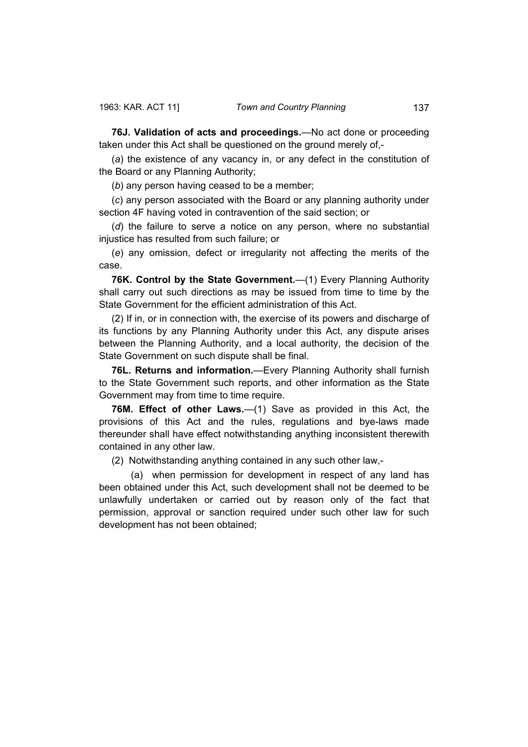**76J. Validation of acts and proceedings.**—No act done or proceeding taken under this Act shall be questioned on the ground merely of,-

(*a*) the existence of any vacancy in, or any defect in the constitution of the Board or any Planning Authority;

(*b*) any person having ceased to be a member;

(*c*) any person associated with the Board or any planning authority under section 4F having voted in contravention of the said section; or

(*d*) the failure to serve a notice on any person, where no substantial injustice has resulted from such failure; or

(*e*) any omission, defect or irregularity not affecting the merits of the case.

**76K. Control by the State Government.**—(1) Every Planning Authority shall carry out such directions as may be issued from time to time by the State Government for the efficient administration of this Act.

(2) If in, or in connection with, the exercise of its powers and discharge of its functions by any Planning Authority under this Act, any dispute arises between the Planning Authority, and a local authority, the decision of the State Government on such dispute shall be final.

**76L. Returns and information.**—Every Planning Authority shall furnish to the State Government such reports, and other information as the State Government may from time to time require.

**76M. Effect of other Laws.**—(1) Save as provided in this Act, the provisions of this Act and the rules, regulations and bye-laws made thereunder shall have effect notwithstanding anything inconsistent therewith contained in any other law.

(2) Notwithstanding anything contained in any such other law,-

 (a) when permission for development in respect of any land has been obtained under this Act, such development shall not be deemed to be unlawfully undertaken or carried out by reason only of the fact that permission, approval or sanction required under such other law for such development has not been obtained;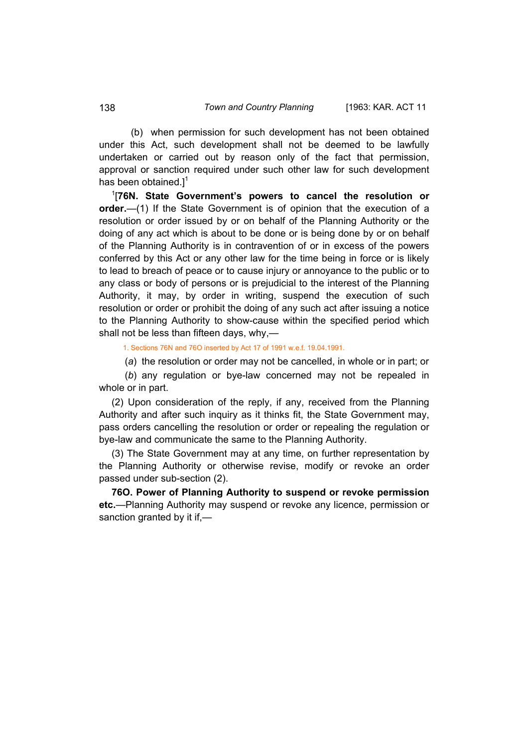(b) when permission for such development has not been obtained under this Act, such development shall not be deemed to be lawfully undertaken or carried out by reason only of the fact that permission, approval or sanction required under such other law for such development has been obtained. $l^1$ 

1 [**76N. State Government's powers to cancel the resolution or order.**—(1) If the State Government is of opinion that the execution of a resolution or order issued by or on behalf of the Planning Authority or the doing of any act which is about to be done or is being done by or on behalf of the Planning Authority is in contravention of or in excess of the powers conferred by this Act or any other law for the time being in force or is likely to lead to breach of peace or to cause injury or annoyance to the public or to any class or body of persons or is prejudicial to the interest of the Planning Authority, it may, by order in writing, suspend the execution of such resolution or order or prohibit the doing of any such act after issuing a notice to the Planning Authority to show-cause within the specified period which shall not be less than fifteen days, why,—

1. Sections 76N and 76O inserted by Act 17 of 1991 w.e.f. 19.04.1991.

(*a*) the resolution or order may not be cancelled, in whole or in part; or

 (*b*) any regulation or bye-law concerned may not be repealed in whole or in part.

(2) Upon consideration of the reply, if any, received from the Planning Authority and after such inquiry as it thinks fit, the State Government may, pass orders cancelling the resolution or order or repealing the regulation or bye-law and communicate the same to the Planning Authority.

(3) The State Government may at any time, on further representation by the Planning Authority or otherwise revise, modify or revoke an order passed under sub-section (2).

**76O. Power of Planning Authority to suspend or revoke permission etc.**—Planning Authority may suspend or revoke any licence, permission or sanction granted by it if,—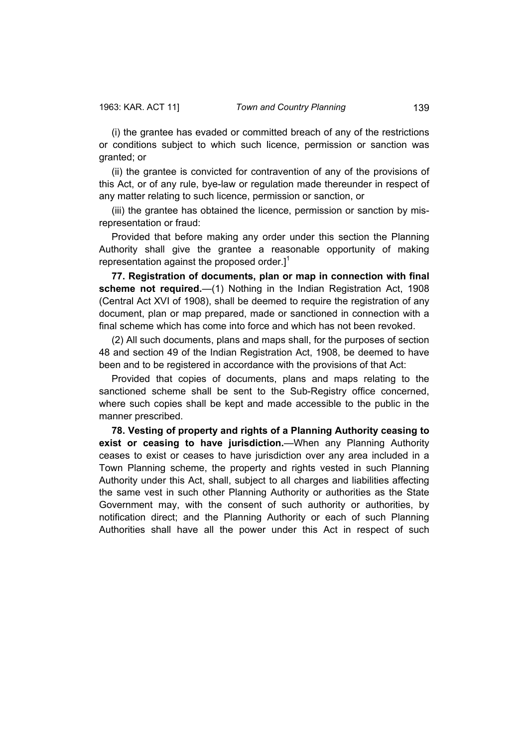(i) the grantee has evaded or committed breach of any of the restrictions or conditions subject to which such licence, permission or sanction was granted; or

(ii) the grantee is convicted for contravention of any of the provisions of this Act, or of any rule, bye-law or regulation made thereunder in respect of any matter relating to such licence, permission or sanction, or

(iii) the grantee has obtained the licence, permission or sanction by misrepresentation or fraud:

Provided that before making any order under this section the Planning Authority shall give the grantee a reasonable opportunity of making representation against the proposed order.]<sup>1</sup>

**77. Registration of documents, plan or map in connection with final scheme not required.**—(1) Nothing in the Indian Registration Act, 1908 (Central Act XVI of 1908), shall be deemed to require the registration of any document, plan or map prepared, made or sanctioned in connection with a final scheme which has come into force and which has not been revoked.

(2) All such documents, plans and maps shall, for the purposes of section 48 and section 49 of the Indian Registration Act, 1908, be deemed to have been and to be registered in accordance with the provisions of that Act:

Provided that copies of documents, plans and maps relating to the sanctioned scheme shall be sent to the Sub-Registry office concerned, where such copies shall be kept and made accessible to the public in the manner prescribed.

**78. Vesting of property and rights of a Planning Authority ceasing to exist or ceasing to have jurisdiction.**—When any Planning Authority ceases to exist or ceases to have jurisdiction over any area included in a Town Planning scheme, the property and rights vested in such Planning Authority under this Act, shall, subject to all charges and liabilities affecting the same vest in such other Planning Authority or authorities as the State Government may, with the consent of such authority or authorities, by notification direct; and the Planning Authority or each of such Planning Authorities shall have all the power under this Act in respect of such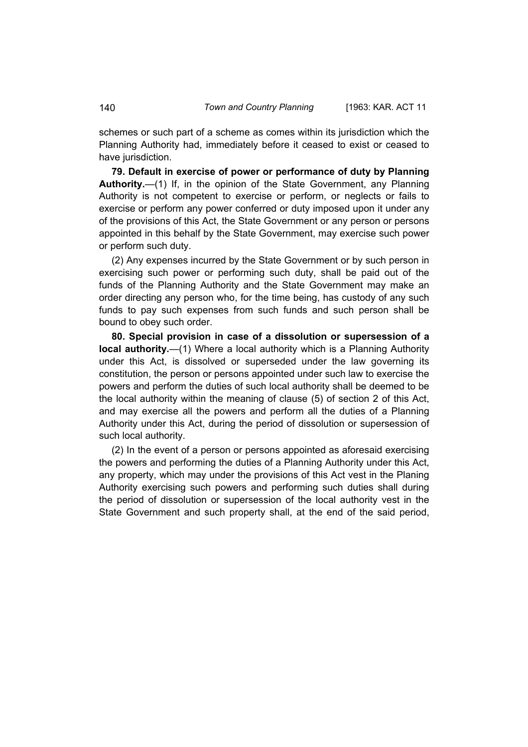schemes or such part of a scheme as comes within its jurisdiction which the Planning Authority had, immediately before it ceased to exist or ceased to have jurisdiction.

**79. Default in exercise of power or performance of duty by Planning Authority.**—(1) If, in the opinion of the State Government, any Planning Authority is not competent to exercise or perform, or neglects or fails to exercise or perform any power conferred or duty imposed upon it under any of the provisions of this Act, the State Government or any person or persons appointed in this behalf by the State Government, may exercise such power or perform such duty.

(2) Any expenses incurred by the State Government or by such person in exercising such power or performing such duty, shall be paid out of the funds of the Planning Authority and the State Government may make an order directing any person who, for the time being, has custody of any such funds to pay such expenses from such funds and such person shall be bound to obey such order.

**80. Special provision in case of a dissolution or supersession of a local authority.**—(1) Where a local authority which is a Planning Authority under this Act, is dissolved or superseded under the law governing its constitution, the person or persons appointed under such law to exercise the powers and perform the duties of such local authority shall be deemed to be the local authority within the meaning of clause (5) of section 2 of this Act, and may exercise all the powers and perform all the duties of a Planning Authority under this Act, during the period of dissolution or supersession of such local authority.

(2) In the event of a person or persons appointed as aforesaid exercising the powers and performing the duties of a Planning Authority under this Act, any property, which may under the provisions of this Act vest in the Planing Authority exercising such powers and performing such duties shall during the period of dissolution or supersession of the local authority vest in the State Government and such property shall, at the end of the said period,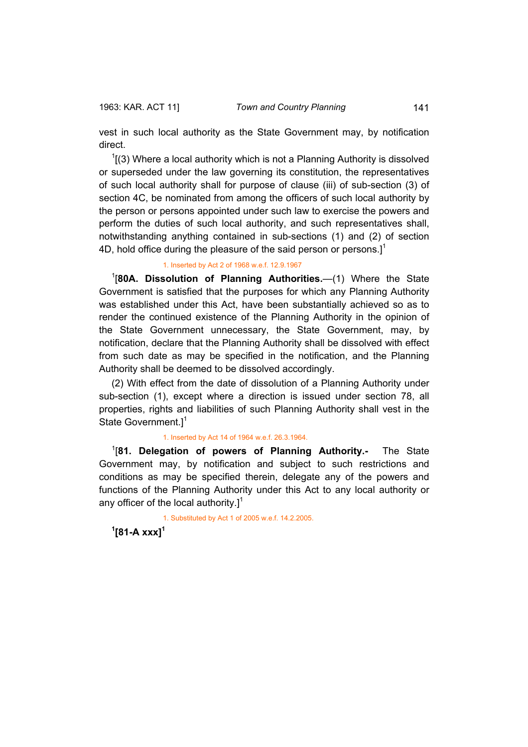vest in such local authority as the State Government may, by notification direct.

 $1(3)$  Where a local authority which is not a Planning Authority is dissolved or superseded under the law governing its constitution, the representatives of such local authority shall for purpose of clause (iii) of sub-section (3) of section 4C, be nominated from among the officers of such local authority by the person or persons appointed under such law to exercise the powers and perform the duties of such local authority, and such representatives shall, notwithstanding anything contained in sub-sections (1) and (2) of section 4D, hold office during the pleasure of the said person or persons. $]$ <sup>1</sup>

## 1. Inserted by Act 2 of 1968 w.e.f. 12.9.1967

1 [**80A. Dissolution of Planning Authorities.**—(1) Where the State Government is satisfied that the purposes for which any Planning Authority was established under this Act, have been substantially achieved so as to render the continued existence of the Planning Authority in the opinion of the State Government unnecessary, the State Government, may, by notification, declare that the Planning Authority shall be dissolved with effect from such date as may be specified in the notification, and the Planning Authority shall be deemed to be dissolved accordingly.

(2) With effect from the date of dissolution of a Planning Authority under sub-section (1), except where a direction is issued under section 78, all properties, rights and liabilities of such Planning Authority shall vest in the State Government. $]$ <sup>1</sup>

#### 1. Inserted by Act 14 of 1964 w.e.f. 26.3.1964.

1 [**81. Delegation of powers of Planning Authority.-** The State Government may, by notification and subject to such restrictions and conditions as may be specified therein, delegate any of the powers and functions of the Planning Authority under this Act to any local authority or any officer of the local authority. $l^1$ 

1. Substituted by Act 1 of 2005 w.e.f. 14.2.2005.

**1 [81-A xxx]<sup>1</sup>**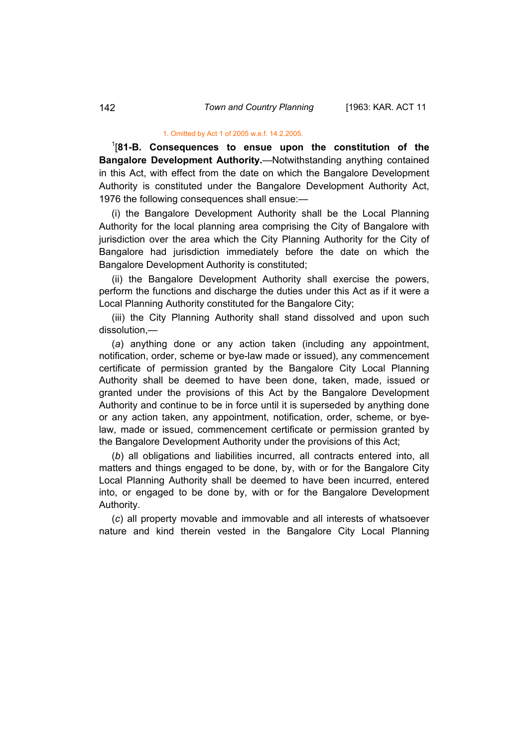#### 1. Omitted by Act 1 of 2005 w.e.f. 14.2.2005.

1 [**81-B. Consequences to ensue upon the constitution of the Bangalore Development Authority.**—Notwithstanding anything contained in this Act, with effect from the date on which the Bangalore Development Authority is constituted under the Bangalore Development Authority Act, 1976 the following consequences shall ensue:—

(i) the Bangalore Development Authority shall be the Local Planning Authority for the local planning area comprising the City of Bangalore with jurisdiction over the area which the City Planning Authority for the City of Bangalore had jurisdiction immediately before the date on which the Bangalore Development Authority is constituted;

(ii) the Bangalore Development Authority shall exercise the powers, perform the functions and discharge the duties under this Act as if it were a Local Planning Authority constituted for the Bangalore City;

(iii) the City Planning Authority shall stand dissolved and upon such dissolution,—

(*a*) anything done or any action taken (including any appointment, notification, order, scheme or bye-law made or issued), any commencement certificate of permission granted by the Bangalore City Local Planning Authority shall be deemed to have been done, taken, made, issued or granted under the provisions of this Act by the Bangalore Development Authority and continue to be in force until it is superseded by anything done or any action taken, any appointment, notification, order, scheme, or byelaw, made or issued, commencement certificate or permission granted by the Bangalore Development Authority under the provisions of this Act;

(*b*) all obligations and liabilities incurred, all contracts entered into, all matters and things engaged to be done, by, with or for the Bangalore City Local Planning Authority shall be deemed to have been incurred, entered into, or engaged to be done by, with or for the Bangalore Development Authority.

(*c*) all property movable and immovable and all interests of whatsoever nature and kind therein vested in the Bangalore City Local Planning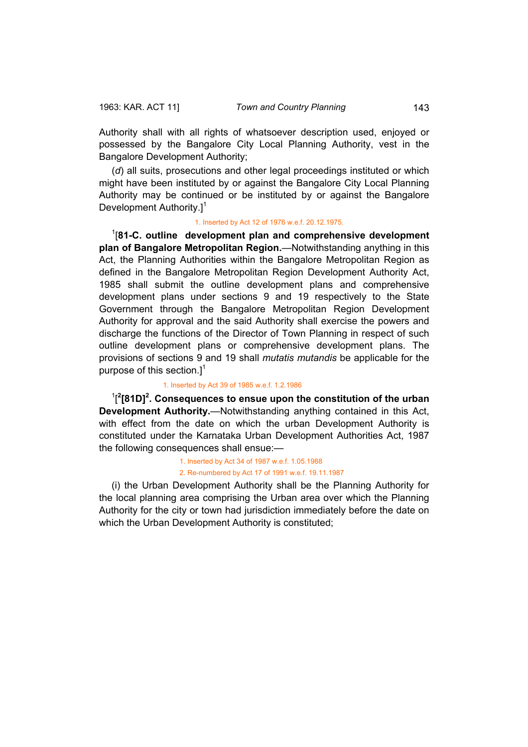Authority shall with all rights of whatsoever description used, enjoyed or possessed by the Bangalore City Local Planning Authority, vest in the Bangalore Development Authority;

(*d*) all suits, prosecutions and other legal proceedings instituted or which might have been instituted by or against the Bangalore City Local Planning Authority may be continued or be instituted by or against the Bangalore Development Authority.<sup>1</sup>

#### 1. Inserted by Act 12 of 1976 w.e.f. 20.12.1975.

1 [**81-C. outline development plan and comprehensive development plan of Bangalore Metropolitan Region.**—Notwithstanding anything in this Act, the Planning Authorities within the Bangalore Metropolitan Region as defined in the Bangalore Metropolitan Region Development Authority Act, 1985 shall submit the outline development plans and comprehensive development plans under sections 9 and 19 respectively to the State Government through the Bangalore Metropolitan Region Development Authority for approval and the said Authority shall exercise the powers and discharge the functions of the Director of Town Planning in respect of such outline development plans or comprehensive development plans. The provisions of sections 9 and 19 shall *mutatis mutandis* be applicable for the purpose of this section.] $<sup>1</sup>$ </sup>

#### 1. Inserted by Act 39 of 1985 w.e.f. 1.2.1986

<sup>1</sup>[<sup>2</sup>[81D]<sup>2</sup>. Consequences to ensue upon the constitution of the urban **Development Authority.**—Notwithstanding anything contained in this Act, with effect from the date on which the urban Development Authority is constituted under the Karnataka Urban Development Authorities Act, 1987 the following consequences shall ensue:—

#### 1. Inserted by Act 34 of 1987 w.e.f. 1.05.1988 2. Re-numbered by Act 17 of 1991 w.e.f. 19.11.1987

(i) the Urban Development Authority shall be the Planning Authority for the local planning area comprising the Urban area over which the Planning Authority for the city or town had jurisdiction immediately before the date on which the Urban Development Authority is constituted;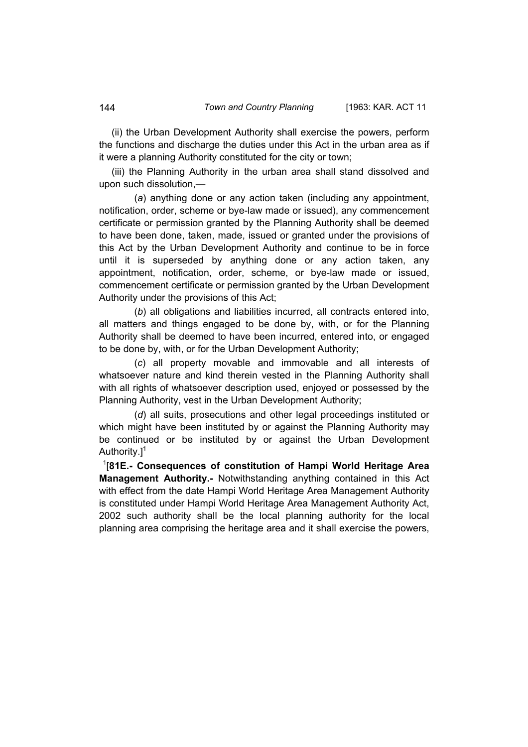(ii) the Urban Development Authority shall exercise the powers, perform the functions and discharge the duties under this Act in the urban area as if it were a planning Authority constituted for the city or town;

(iii) the Planning Authority in the urban area shall stand dissolved and upon such dissolution,—

 (*a*) anything done or any action taken (including any appointment, notification, order, scheme or bye-law made or issued), any commencement certificate or permission granted by the Planning Authority shall be deemed to have been done, taken, made, issued or granted under the provisions of this Act by the Urban Development Authority and continue to be in force until it is superseded by anything done or any action taken, any appointment, notification, order, scheme, or bye-law made or issued, commencement certificate or permission granted by the Urban Development Authority under the provisions of this Act;

 (*b*) all obligations and liabilities incurred, all contracts entered into, all matters and things engaged to be done by, with, or for the Planning Authority shall be deemed to have been incurred, entered into, or engaged to be done by, with, or for the Urban Development Authority;

 (*c*) all property movable and immovable and all interests of whatsoever nature and kind therein vested in the Planning Authority shall with all rights of whatsoever description used, enjoyed or possessed by the Planning Authority, vest in the Urban Development Authority;

 (*d*) all suits, prosecutions and other legal proceedings instituted or which might have been instituted by or against the Planning Authority may be continued or be instituted by or against the Urban Development Authority.<sup>1</sup>

1 [**81E.- Consequences of constitution of Hampi World Heritage Area Management Authority.-** Notwithstanding anything contained in this Act with effect from the date Hampi World Heritage Area Management Authority is constituted under Hampi World Heritage Area Management Authority Act, 2002 such authority shall be the local planning authority for the local planning area comprising the heritage area and it shall exercise the powers,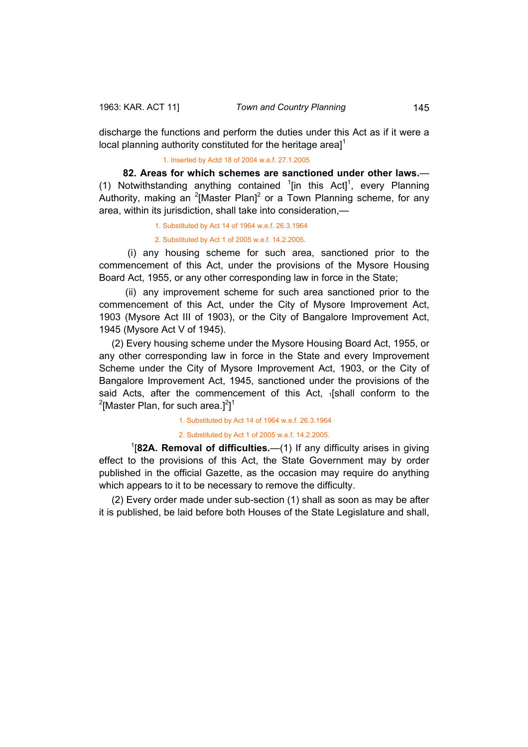discharge the functions and perform the duties under this Act as if it were a local planning authority constituted for the heritage area $1^1$ 

1. Inserted by Actd 18 of 2004 w.e.f. 27.1.2005

**82. Areas for which schemes are sanctioned under other laws.**— (1) Notwithstanding anything contained  $1$ [in this Act]<sup>1</sup>, every Planning Authority, making an  $2$ [Master Plan]<sup>2</sup> or a Town Planning scheme, for any area, within its jurisdiction, shall take into consideration,—

1. Substituted by Act 14 of 1964 w.e.f. 26.3.1964

2. Substituted by Act 1 of 2005 w.e.f. 14.2.2005.

 (i) any housing scheme for such area, sanctioned prior to the commencement of this Act, under the provisions of the Mysore Housing Board Act, 1955, or any other corresponding law in force in the State;

 (ii) any improvement scheme for such area sanctioned prior to the commencement of this Act, under the City of Mysore Improvement Act, 1903 (Mysore Act III of 1903), or the City of Bangalore Improvement Act, 1945 (Mysore Act V of 1945).

(2) Every housing scheme under the Mysore Housing Board Act, 1955, or any other corresponding law in force in the State and every Improvement Scheme under the City of Mysore Improvement Act, 1903, or the City of Bangalore Improvement Act, 1945, sanctioned under the provisions of the said Acts, after the commencement of this Act, 1[shall conform to the <sup>2</sup>[Master Plan, for such area.]<sup>2</sup>]<sup>1</sup>

1. Substituted by Act 14 of 1964 w.e.f. 26.3.1964

#### 2. Substituted by Act 1 of 2005 w.e.f. 14.2.2005.

<sup>1</sup>[82A. Removal of difficulties.—(1) If any difficulty arises in giving effect to the provisions of this Act, the State Government may by order published in the official Gazette, as the occasion may require do anything which appears to it to be necessary to remove the difficulty.

(2) Every order made under sub-section (1) shall as soon as may be after it is published, be laid before both Houses of the State Legislature and shall,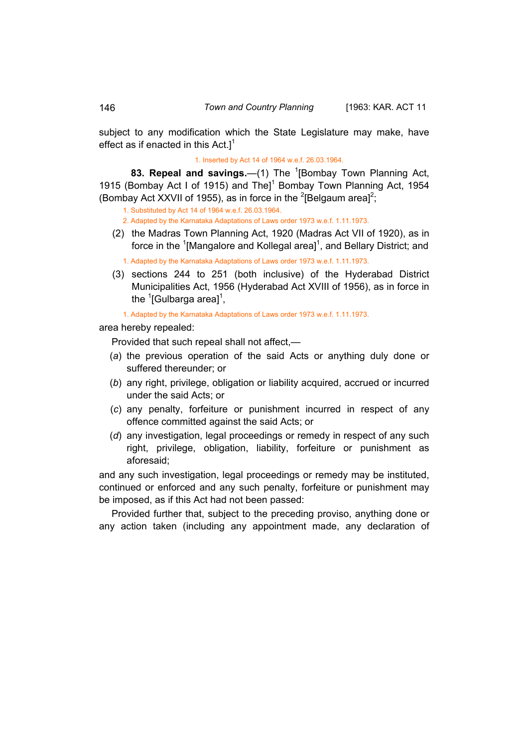subject to any modification which the State Legislature may make, have effect as if enacted in this  $Act.1<sup>1</sup>$ 

1. Inserted by Act 14 of 1964 w.e.f. 26.03.1964.

83. Repeal and savings.—(1) The <sup>1</sup>[Bombay Town Planning Act, 1915 (Bombay Act I of 1915) and The]<sup>1</sup> Bombay Town Planning Act, 1954 (Bombay Act XXVII of 1955), as in force in the <sup>2</sup>[Belgaum area]<sup>2</sup>;

1. Substituted by Act 14 of 1964 w.e.f. 26.03.1964.

2. Adapted by the Karnataka Adaptations of Laws order 1973 w.e.f. 1.11.1973.

 (2) the Madras Town Planning Act, 1920 (Madras Act VII of 1920), as in force in the <sup>1</sup>[Mangalore and Kollegal area]<sup>1</sup>, and Bellary District; and

1. Adapted by the Karnataka Adaptations of Laws order 1973 w.e.f. 1.11.1973.

 (3) sections 244 to 251 (both inclusive) of the Hyderabad District Municipalities Act, 1956 (Hyderabad Act XVIII of 1956), as in force in the <sup>1</sup>[Gulbarga area]<sup>1</sup>,

1. Adapted by the Karnataka Adaptations of Laws order 1973 w.e.f. 1.11.1973.

area hereby repealed:

Provided that such repeal shall not affect,—

- (*a*) the previous operation of the said Acts or anything duly done or suffered thereunder; or
- (*b*) any right, privilege, obligation or liability acquired, accrued or incurred under the said Acts; or
- (*c*) any penalty, forfeiture or punishment incurred in respect of any offence committed against the said Acts; or
- (*d*) any investigation, legal proceedings or remedy in respect of any such right, privilege, obligation, liability, forfeiture or punishment as aforesaid;

and any such investigation, legal proceedings or remedy may be instituted, continued or enforced and any such penalty, forfeiture or punishment may be imposed, as if this Act had not been passed:

Provided further that, subject to the preceding proviso, anything done or any action taken (including any appointment made, any declaration of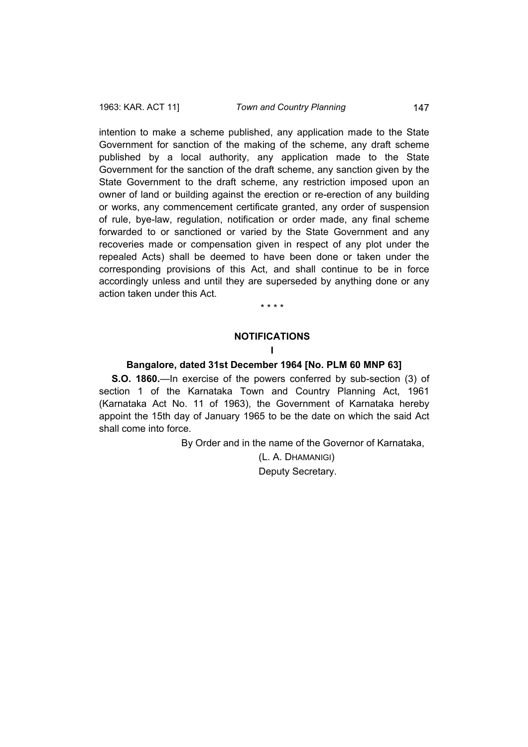intention to make a scheme published, any application made to the State Government for sanction of the making of the scheme, any draft scheme published by a local authority, any application made to the State Government for the sanction of the draft scheme, any sanction given by the State Government to the draft scheme, any restriction imposed upon an owner of land or building against the erection or re-erection of any building or works, any commencement certificate granted, any order of suspension of rule, bye-law, regulation, notification or order made, any final scheme forwarded to or sanctioned or varied by the State Government and any recoveries made or compensation given in respect of any plot under the repealed Acts) shall be deemed to have been done or taken under the corresponding provisions of this Act, and shall continue to be in force accordingly unless and until they are superseded by anything done or any action taken under this Act.

\* \* \* \*

#### **NOTIFICATIONS**

#### **I**

## **Bangalore, dated 31st December 1964 [No. PLM 60 MNP 63]**

**S.O. 1860.**—In exercise of the powers conferred by sub-section (3) of section 1 of the Karnataka Town and Country Planning Act, 1961 (Karnataka Act No. 11 of 1963), the Government of Karnataka hereby appoint the 15th day of January 1965 to be the date on which the said Act shall come into force.

By Order and in the name of the Governor of Karnataka,

(L. A. DHAMANIGI) Deputy Secretary.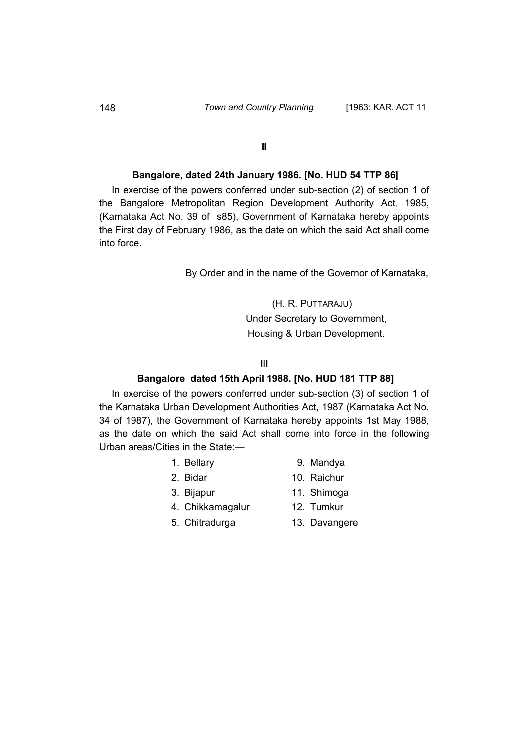**II** 

## **Bangalore, dated 24th January 1986. [No. HUD 54 TTP 86]**

In exercise of the powers conferred under sub-section (2) of section 1 of the Bangalore Metropolitan Region Development Authority Act, 1985, (Karnataka Act No. 39 of s85), Government of Karnataka hereby appoints the First day of February 1986, as the date on which the said Act shall come into force.

By Order and in the name of the Governor of Karnataka,

(H. R. PUTTARAJU) Under Secretary to Government, Housing & Urban Development.

## **III**

#### **Bangalore dated 15th April 1988. [No. HUD 181 TTP 88]**

In exercise of the powers conferred under sub-section (3) of section 1 of the Karnataka Urban Development Authorities Act, 1987 (Karnataka Act No. 34 of 1987), the Government of Karnataka hereby appoints 1st May 1988, as the date on which the said Act shall come into force in the following Urban areas/Cities in the State:—

- 
- 1. Bellary 9. Mandya
- 2. Bidar 10. Raichur
	-
- 3. Bijapur 11. Shimoga
- 4. Chikkamagalur 12. Tumkur
- 
- 5. Chitradurga 13. Davangere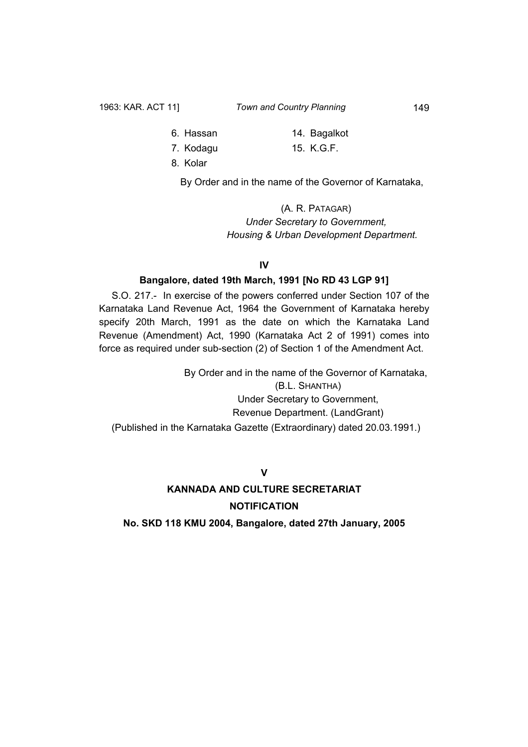- 6. Hassan 14. Bagalkot
- 7. Kodagu 15. K.G.F.
- 8. Kolar

By Order and in the name of the Governor of Karnataka,

(A. R. PATAGAR) *Under Secretary to Government, Housing & Urban Development Department.* 

## **IV**

# **Bangalore, dated 19th March, 1991 [No RD 43 LGP 91]**

S.O. 217.- In exercise of the powers conferred under Section 107 of the Karnataka Land Revenue Act, 1964 the Government of Karnataka hereby specify 20th March, 1991 as the date on which the Karnataka Land Revenue (Amendment) Act, 1990 (Karnataka Act 2 of 1991) comes into force as required under sub-section (2) of Section 1 of the Amendment Act.

 By Order and in the name of the Governor of Karnataka, (B.L. SHANTHA) Under Secretary to Government, Revenue Department. (LandGrant) (Published in the Karnataka Gazette (Extraordinary) dated 20.03.1991.)

**V**

# **KANNADA AND CULTURE SECRETARIAT NOTIFICATION**

**No. SKD 118 KMU 2004, Bangalore, dated 27th January, 2005**